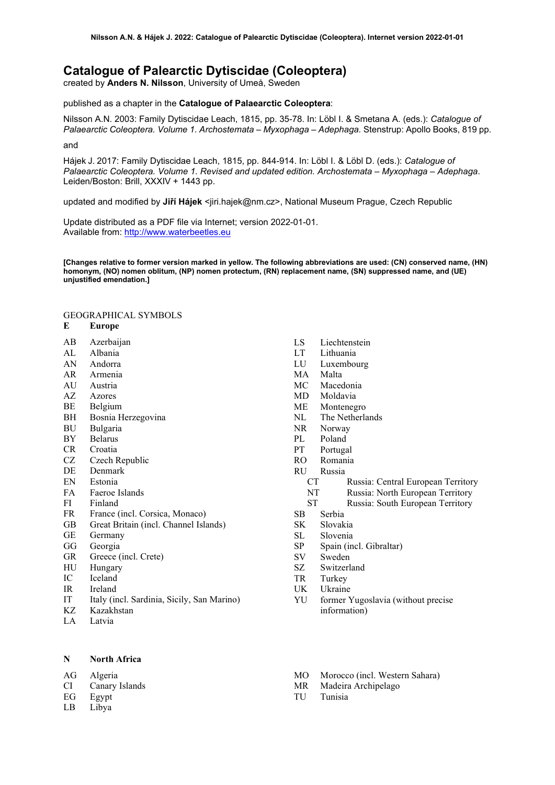# **Catalogue of Palearctic Dytiscidae (Coleoptera)**

created by **Anders N. Nilsson**, University of Umeå, Sweden

published as a chapter in the **Catalogue of Palaearctic Coleoptera**:

Nilsson A.N. 2003: Family Dytiscidae Leach, 1815, pp. 35-78. In: Löbl I. & Smetana A. (eds.): *Catalogue of Palaearctic Coleoptera. Volume 1. Archostemata – Myxophaga – Adephaga.* Stenstrup: Apollo Books, 819 pp.

and

Hájek J. 2017: Family Dytiscidae Leach, 1815, pp. 844-914. In: Löbl I. & Löbl D. (eds.): *Catalogue of Palaearctic Coleoptera. Volume 1. Revised and updated edition. Archostemata – Myxophaga – Adephaga*. Leiden/Boston: Brill, XXXIV + 1443 pp.

updated and modified by **Jiří Hájek** <jiri.hajek@nm.cz>, National Museum Prague, Czech Republic

Update distributed as a PDF file via Internet; version 2022-01-01. Available from: [http://www.waterbeetles.eu](http://www.emg.umu.se/biginst/andersn/Cat_main.htm)

**[Changes relative to former version marked in yellow. The following abbreviations are used: (CN) conserved name, (HN) homonym, (NO) nomen oblitum, (NP) nomen protectum, (RN) replacement name, (SN) suppressed name, and (UE) unjustified emendation.]**

## GEOGRAPHICAL SYMBOLS

### **E Europe**

- AB Azerbaijan
- AL Albania
- AN Andorra
- AR Armenia
- AU Austria
- AZ Azores
- BE Belgium
- BH Bosnia Herzegovina
- BU Bulgaria
- BY Belarus
- CR Croatia
- CZ Czech Republic
- DE Denmark
- EN Estonia
- FA Faeroe Islands
- FI Finland
- FR France (incl. Corsica, Monaco)
- GB Great Britain (incl. Channel Islands)
- GE Germany
- GG Georgia
- GR Greece (incl. Crete)
- HU Hungary
- IC Iceland
- IR Ireland
- IT Italy (incl. Sardinia, Sicily, San Marino)
- KZ Kazakhstan
- LA Latvia

### **N North Africa**

AG Algeria

- CI Canary Islands
- EG Egypt
- LB Libya
- LS Liechtenstein
- LT Lithuania
- LU Luxembourg
- MA Malta
- MC Macedonia
- MD Moldavia
- ME Montenegro
- NL The Netherlands
- NR Norway
- PL Poland
- PT Portugal
- RO Romania
- RU Russia
	- CT Russia: Central European Territory
	- NT Russia: North European Territory
	- ST Russia: South European Territory
- SB Serbia
- SK Slovakia
- SL Slovenia
- SP Spain (incl. Gibraltar)
- SV Sweden
- SZ Switzerland
- TR Turkey
- UK Ukraine
- YU former Yugoslavia (without precise information)
- MO Morocco (incl. Western Sahara)
- MR Madeira Archipelago
- TU Tunisia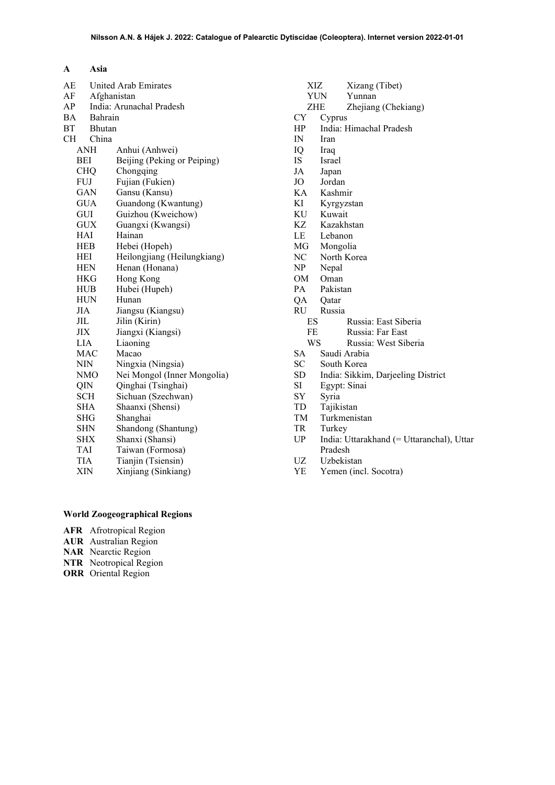| AE        |             | <b>United Arab Emirates</b> |
|-----------|-------------|-----------------------------|
| AF        | Afghanistan |                             |
| AP        |             | India: Arunachal Pradesh    |
| ВA        | Bahrain     |                             |
| ВT        | Bhutan      |                             |
| <b>CH</b> | China       |                             |
|           | ANH         | Anhui (Anhwei)              |
|           | BEI         | Beijing (Peking or Peiping) |
|           | <b>CHQ</b>  | Chongqing                   |
|           | FUJ         | Fujian (Fukien)             |
|           | GAN         | Gansu (Kansu)               |
|           | <b>GUA</b>  | Guandong (Kwantung)         |
|           | GUI         | Guizhou (Kweichow)          |
|           | GUX         | Guangxi (Kwangsi)           |
|           | HAI         | Hainan                      |
|           | HEB         | Hebei (Hopeh)               |
|           | HEI         | Heilongjiang (Heilungkiang) |
|           | HEN         | Henan (Honana)              |
|           | HKG         | Hong Kong                   |
|           | HUB         | Hubei (Hupeh)               |
|           | <b>HUN</b>  | Hunan                       |
|           | JIA         | Jiangsu (Kiangsu)           |
|           | JIL         | Jilin (Kirin)               |
|           | ЛX          | Jiangxi (Kiangsi)           |
|           | LIA         | Liaoning                    |
|           | MAC         | Macao                       |
|           | NIN         | Ningxia (Ningsia)           |
|           | NMO         | Nei Mongol (Inner Mongolia) |
|           | QIN         | Qinghai (Tsinghai)          |
|           | <b>SCH</b>  | Sichuan (Szechwan)          |
|           | SHA         | Shaanxi (Shensi)            |
|           | SHG         | Shanghai                    |
|           | SHN         | Shandong (Shantung)         |
|           | SHX         | Shanxi (Shansi)             |
|           | TAI         | Taiwan (Formosa)            |
|           | TIA         | Tianjin (Tsiensin)          |
|           | XIN         | Xinjiang (Sinkiang)         |
|           |             |                             |

| <b>XIZ</b>   | Xizang (Tibet)                            |
|--------------|-------------------------------------------|
|              | <b>YUN</b><br>Yunnan                      |
| ZHE          | Zhejiang (Chekiang)                       |
| CY           | Cyprus                                    |
| HP           | India: Himachal Pradesh                   |
| $\mathbb{N}$ | Iran                                      |
| IQ           | Iraq                                      |
| IS.          | Israel                                    |
| JA           | Japan                                     |
| JO           | Jordan                                    |
| KA           | Kashmir                                   |
| KI           | Kyrgyzstan                                |
| KU           | Kuwait                                    |
| KZ           | Kazakhstan                                |
| LE           | Lebanon                                   |
| MG           | Mongolia                                  |
| NC           | North Korea                               |
| NP           | Nepal                                     |
| OM           | Oman                                      |
| PA           | Pakistan                                  |
| QA           | Qatar                                     |
| RU           | Russia                                    |
| ES           | Russia: East Siberia                      |
| FE           | Russia: Far East                          |
| <b>WS</b>    | Russia: West Siberia                      |
| SA           | Saudi Arabia                              |
| SC           | South Korea                               |
| SD           | India: Sikkim, Darjeeling District        |
| SI           | Egypt: Sinai                              |
| SY           | Syria                                     |
| TD           | Tajikistan                                |
| TM           | Turkmenistan                              |
| TR           | Turkey                                    |
| <b>UP</b>    | India: Uttarakhand (= Uttaranchal), Uttar |
|              | Pradesh                                   |
| UZ           | Uzbekistan                                |
| YE           | Yemen (incl. Socotra)                     |
|              |                                           |
|              |                                           |
|              |                                           |
|              |                                           |
|              |                                           |

## **World Zoogeographical Regions**

- **AFR** Afrotropical Region
- **AUR** Australian Region
- **NAR** Nearctic Region
- **NTR** Neotropical Region
- **ORR** Oriental Region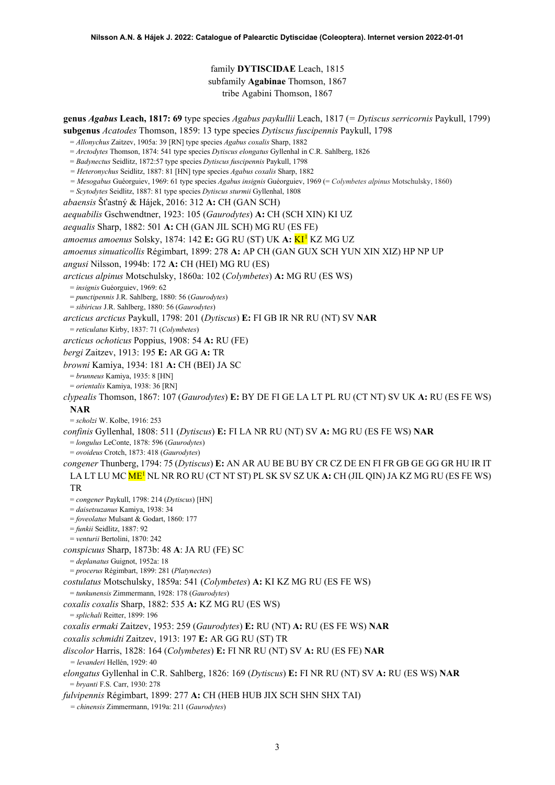## <span id="page-2-0"></span>family **DYTISCIDAE** Leach, 1815 subfamily **Agabinae** Thomson, 1867 tribe Agabini Thomson, 1867

**genus** *Agabus* **Leach, 1817: 69** type species *Agabus paykullii* Leach, 1817 (*= Dytiscus serricornis* Paykull, 1799) **subgenus** *Acatodes* Thomson, 1859: 13 type species *Dytiscus fuscipennis* Paykull, 1798

- = *Allonychus* Zaitzev, 1905a: 39 [RN] type species *Agabus coxalis* Sharp, 1882
- = *Arctodytes* Thomson, 1874: 541 type species *Dytiscus elongatus* Gyllenhal in C.R. Sahlberg, 1826
- = *Badynectus* Seidlitz, 1872:57 type species *Dytiscus fuscipennis* Paykull, 1798
- *= Heteronychus* Seidlitz, 1887: 81 [HN] type species *Agabus coxalis* Sharp, 1882
- *= Mesogabus* Guéorguiev, 1969: 61 type species *Agabus insignis* Guéorguiev, 1969 (= *Colymbetes alpinus* Motschulsky, 1860)
- = *Scytodytes* Seidlitz, 1887: 81 type species *Dytiscus sturmii* Gyllenhal, 1808
- *abaensis* Šťastný & Hájek, 2016: 312 **A:** CH (GAN SCH)

*aequabilis* Gschwendtner, 1923: 105 (*Gaurodytes*) **A:** CH (SCH XIN) KI UZ

*aequalis* Sharp, 1882: 501 **A:** CH (GAN JIL SCH) MG RU (ES FE)

*amoenus amoenus* Solsky, 1874: 142 **E:** GG RU (ST) UK **A:** KI[1](#page-52-0) KZ MG UZ

*amoenus sinuaticollis* Régimbart, 1899: 278 **A:** AP CH (GAN GUX SCH YUN XIN XIZ) HP NP UP

*angusi* Nilsson, 1994b: 172 **A:** CH (HEI) MG RU (ES)

*arcticus alpinus* Motschulsky, 1860a: 102 (*Colymbetes*) **A:** MG RU (ES WS)

= *insignis* Guéorguiev, 1969: 62

= *punctipennis* J.R. Sahlberg, 1880: 56 (*Gaurodytes*)

= *sibiricus* J.R. Sahlberg, 1880: 56 (*Gaurodytes*)

*arcticus arcticus* Paykull, 1798: 201 (*Dytiscus*) **E:** FI GB IR NR RU (NT) SV **NAR**

= *reticulatus* Kirby, 1837: 71 (*Colymbetes*)

*arcticus ochoticus* Poppius, 1908: 54 **A:** RU (FE)

*bergi* Zaitzev, 1913: 195 **E:** AR GG **A:** TR

*browni* Kamiya, 1934: 181 **A:** CH (BEI) JA SC

= *brunneus* Kamiya, 1935: 8 [HN]

= *orientalis* Kamiya, 1938: 36 [RN]

*clypealis* Thomson, 1867: 107 (*Gaurodytes*) **E:** BY DE FI GE LA LT PL RU (CT NT) SV UK **A:** RU (ES FE WS) **NAR**

= *scholzi* W. Kolbe, 1916: 253

*confinis* Gyllenhal, 1808: 511 (*Dytiscus*) **E:** FI LA NR RU (NT) SV **A:** MG RU (ES FE WS) **NAR**

= *longulus* LeConte, 1878: 596 (*Gaurodytes*)

= *ovoideus* Crotch, 1873: 418 (*Gaurodytes*)

*congener* Thunberg, 1794: 75 (*Dytiscus*) **E:** AN AR AU BE BU BY CR CZ DE EN FI FR GB GE GG GR HU IR IT LA LT LU MC M[E1](#page-2-0) NL NR RO RU (CT NT ST) PL SK SV SZ UK **A:** CH (JIL QIN) JA KZ MG RU (ES FE WS) TR

= *congener* Paykull, 1798: 214 (*Dytiscus*) [HN]

= *daisetsuzanus* Kamiya, 1938: 34

= *foveolatus* Mulsant & Godart, 1860: 177

= *funkii* Seidlitz, 1887: 92

= *venturii* Bertolini, 1870: 242

*conspicuus* Sharp, 1873b: 48 **A**: JA RU (FE) SC

= *deplanatus* Guignot, 1952a: 18

= *procerus* Régimbart, 1899: 281 (*Platynectes*)

*costulatus* Motschulsky, 1859a: 541 (*Colymbetes*) **A:** KI KZ MG RU (ES FE WS)

= *tunkunensis* Zimmermann, 1928: 178 (*Gaurodytes*)

*coxalis coxalis* Sharp, 1882: 535 **A:** KZ MG RU (ES WS)

= *splichali* Reitter, 1899: 196

*coxalis ermaki* Zaitzev, 1953: 259 (*Gaurodytes*) **E:** RU (NT) **A:** RU (ES FE WS) **NAR**

*coxalis schmidti* Zaitzev, 1913: 197 **E:** AR GG RU (ST) TR

# *discolor* Harris, 1828: 164 (*Colymbetes*) **E:** FI NR RU (NT) SV **A:** RU (ES FE) **NAR**

*= levanderi* Hellén, 1929: 40

*elongatus* Gyllenhal in C.R. Sahlberg, 1826: 169 (*Dytiscus*) **E:** FI NR RU (NT) SV **A:** RU (ES WS) **NAR** = *bryanti* F.S. Carr, 1930: 278

*fulvipennis* Régimbart, 1899: 277 **A:** CH (HEB HUB JIX SCH SHN SHX TAI)

*= chinensis* Zimmermann, 1919a: 211 (*Gaurodytes*)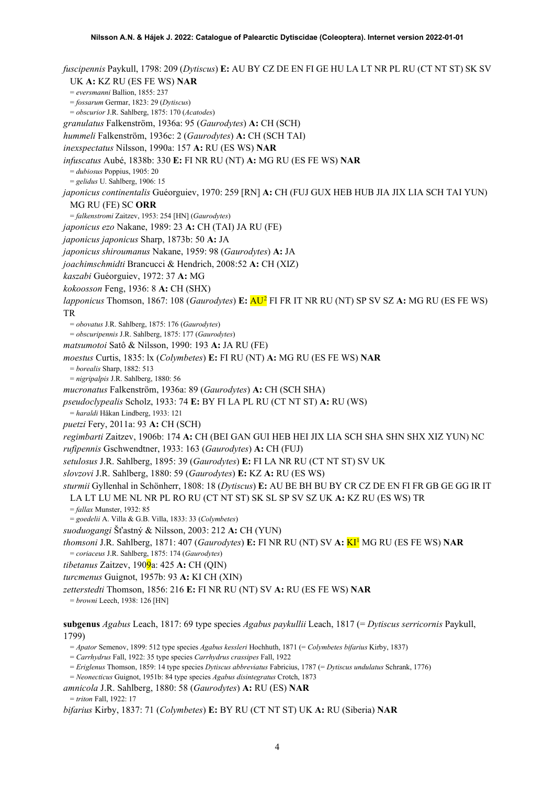*fuscipennis* Paykull, 1798: 209 (*Dytiscus*) **E:** AU BY CZ DE EN FI GE HU LA LT NR PL RU (CT NT ST) SK SV UK **A:** KZ RU (ES FE WS) **NAR** = *eversmanni* Ballion, 1855: 237 = *fossarum* Germar, 1823: 29 (*Dytiscus*) = *obscurior* J.R. Sahlberg, 1875: 170 (*Acatodes*) *granulatus* Falkenström, 1936a: 95 (*Gaurodytes*) **A:** CH (SCH) *hummeli* Falkenström, 1936c: 2 (*Gaurodytes*) **A:** CH (SCH TAI) *inexspectatus* Nilsson, 1990a: 157 **A:** RU (ES WS) **NAR** *infuscatus* Aubé, 1838b: 330 **E:** FI NR RU (NT) **A:** MG RU (ES FE WS) **NAR** = *dubiosus* Poppius, 1905: 20 = *gelidus* U. Sahlberg, 1906: 15 *japonicus continentalis* Guéorguiev, 1970: 259 [RN] **A:** CH (FUJ GUX HEB HUB JIA JIX LIA SCH TAI YUN) MG RU (FE) SC **ORR** = *falkenstromi* Zaitzev, 1953: 254 [HN] (*Gaurodytes*) *japonicus ezo* Nakane, 1989: 23 **A:** CH (TAI) JA RU (FE) *japonicus japonicus* Sharp, 1873b: 50 **A:** JA *japonicus shiroumanus* Nakane, 1959: 98 (*Gaurodytes*) **A:** JA *joachimschmidti* Brancucci & Hendrich, 2008:52 **A:** CH (XIZ) *kaszabi* Guéorguiev, 1972: 37 **A:** MG *kokoosson* Feng, 1936: 8 **A:** CH (SHX) *lapponicus* Thomson, 1867: 108 (*Gaurodytes*) **E:** AU<sup>[2](#page-52-1)</sup> FI FR IT NR RU (NT) SP SV SZ A: MG RU (ES FE WS) TR = *obovatus* J.R. Sahlberg, 1875: 176 (*Gaurodytes*) = *obscuripennis* J.R. Sahlberg, 1875: 177 (*Gaurodytes*) *matsumotoi* Satô & Nilsson, 1990: 193 **A:** JA RU (FE) *moestus* Curtis, 1835: lx (*Colymbetes*) **E:** FI RU (NT) **A:** MG RU (ES FE WS) **NAR** = *borealis* Sharp, 1882: 513 = *nigripalpis* J.R. Sahlberg, 1880: 56 *mucronatus* Falkenström, 1936a: 89 (*Gaurodytes*) **A:** CH (SCH SHA) *pseudoclypealis* Scholz, 1933: 74 **E:** BY FI LA PL RU (CT NT ST) **A:** RU (WS) = *haraldi* Håkan Lindberg, 1933: 121 *puetzi* Fery, 2011a: 93 **A:** CH (SCH) *regimbarti* Zaitzev, 1906b: 174 **A:** CH (BEI GAN GUI HEB HEI JIX LIA SCH SHA SHN SHX XIZ YUN) NC *rufipennis* Gschwendtner, 1933: 163 (*Gaurodytes*) **A:** CH (FUJ) *setulosus* J.R. Sahlberg, 1895: 39 (*Gaurodytes*) **E:** FI LA NR RU (CT NT ST) SV UK *slovzovi* J.R. Sahlberg, 1880: 59 (*Gaurodytes*) **E:** KZ **A:** RU (ES WS) *sturmii* Gyllenhal in Schönherr, 1808: 18 (*Dytiscus*) **E:** AU BE BH BU BY CR CZ DE EN FI FR GB GE GG IR IT LA LT LU ME NL NR PL RO RU (CT NT ST) SK SL SP SV SZ UK **A:** KZ RU (ES WS) TR = *fallax* Munster, 1932: 85 = *goedelii* A. Villa & G.B. Villa, 1833: 33 (*Colymbetes*) *suoduogangi* Šťastný & Nilsson, 2003: 212 **A:** CH (YUN) *thomsoni* J.R. Sahlberg, 1871: 407 (*Gaurodytes*) **E:** FI NR RU (NT) SV **A:** K[I1](#page-2-0) MG RU (ES FE WS) **NAR** = *coriaceus* J.R. Sahlberg, 1875: 174 (*Gaurodytes*) *tibetanus* Zaitzev, 1909a: 425 **A:** CH (QIN) *turcmenus* Guignot, 1957b: 93 **A:** KI CH (XIN) *zetterstedti* Thomson, 1856: 216 **E:** FI NR RU (NT) SV **A:** RU (ES FE WS) **NAR** = *browni* Leech, 1938: 126 [HN] **subgenus** *Agabus* Leach, 1817: 69 type species *Agabus paykullii* Leach, 1817 (= *Dytiscus serricornis* Paykull, 1799) = *Apator* Semenov, 1899: 512 type species *Agabus kessleri* Hochhuth, 1871 (= *Colymbetes bifarius* Kirby, 1837)

= *Carrhydrus* Fall, 1922: 35 type species *Carrhydrus crassipes* Fall, 1922

= *Eriglenus* Thomson, 1859: 14 type species *Dytiscus abbreviatus* Fabricius, 1787 (= *Dytiscus undulatus* Schrank, 1776)

= *Neonecticus* Guignot, 1951b: 84 type species *Agabus disintegratus* Crotch, 1873

*amnicola* J.R. Sahlberg, 1880: 58 (*Gaurodytes*) **A:** RU (ES) **NAR**

= *triton* Fall, 1922: 17

*bifarius* Kirby, 1837: 71 (*Colymbetes*) **E:** BY RU (CT NT ST) UK **A:** RU (Siberia) **NAR**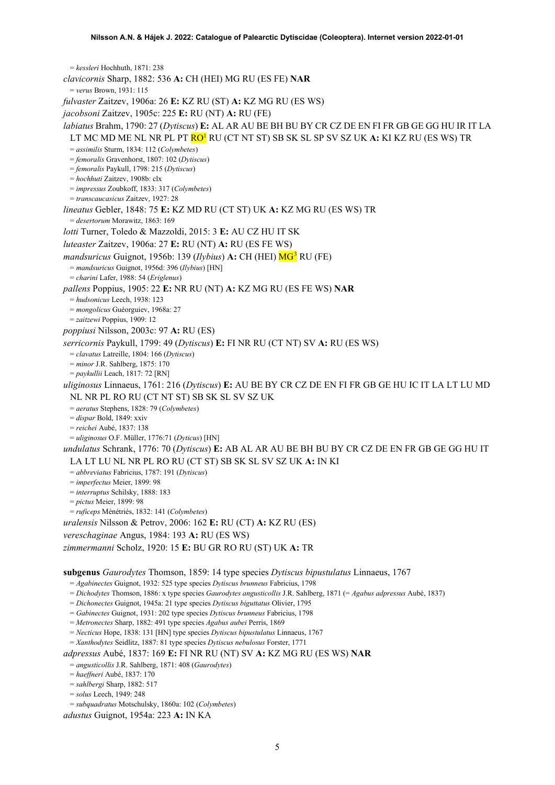<span id="page-4-0"></span>= *kessleri* Hochhuth, 1871: 238 *clavicornis* Sharp, 1882: 536 **A:** CH (HEI) MG RU (ES FE) **NAR** = *verus* Brown, 1931: 115 *fulvaster* Zaitzev, 1906a: 26 **E:** KZ RU (ST) **A:** KZ MG RU (ES WS) *jacobsoni* Zaitzev, 1905c: 225 **E:** RU (NT) **A:** RU (FE) *labiatus* Brahm, 1790: 27 (*Dytiscus*) **E:** AL AR AU BE BH BU BY CR CZ DE EN FI FR GB GE GG HU IR IT LA LT MC MD ME NL NR PL PT R[O1](#page-2-0) RU (CT NT ST) SB SK SL SP SV SZ UK **A:** KI KZ RU (ES WS) TR = *assimilis* Sturm, 1834: 112 (*Colymbetes*) = *femoralis* Gravenhorst, 1807: 102 (*Dytiscus*) = *femoralis* Paykull, 1798: 215 (*Dytiscus*) = *hochhuti* Zaitzev, 1908b: clx = *impressus* Zoubkoff, 1833: 317 (*Colymbetes*) = *transcaucasicus* Zaitzev, 1927: 28 *lineatus* Gebler, 1848: 75 **E:** KZ MD RU (CT ST) UK **A:** KZ MG RU (ES WS) TR = *desertorum* Morawitz, 1863: 169 *lotti* Turner, Toledo & Mazzoldi, 2015: 3 **E:** AU CZ HU IT SK *luteaster* Zaitzev, 1906a: 27 **E:** RU (NT) **A:** RU (ES FE WS) *mandsuricus* Guignot, 1956b: 1[3](#page-52-2)9 (*Ilybius*) **A:** CH (HEI)  $MG<sup>3</sup>$  RU (FE) = *mandsuricus* Guignot, 1956d: 396 (*Ilybius*) [HN] = *charini* Lafer, 1988: 54 (*Eriglenus*) *pallens* Poppius, 1905: 22 **E:** NR RU (NT) **A:** KZ MG RU (ES FE WS) **NAR** = *hudsonicus* Leech, 1938: 123 = *mongolicus* Guéorguiev, 1968a: 27 = *zaitzewi* Poppius, 1909: 12 *poppiusi* Nilsson, 2003c: 97 **A:** RU (ES) *serricornis* Paykull, 1799: 49 (*Dytiscus*) **E:** FI NR RU (CT NT) SV **A:** RU (ES WS) = *clavatus* Latreille, 1804: 166 (*Dytiscus*) = *minor* J.R. Sahlberg, 1875: 170 = *paykullii* Leach, 1817: 72 [RN] *uliginosus* Linnaeus, 1761: 216 (*Dytiscus*) **E:** AU BE BY CR CZ DE EN FI FR GB GE HU IC IT LA LT LU MD NL NR PL RO RU (CT NT ST) SB SK SL SV SZ UK = *aeratus* Stephens, 1828: 79 (*Colymbetes*) = *dispar* Bold, 1849: xxiv = *reichei* Aubé, 1837: 138 = *uliginosus* O.F. Müller, 1776:71 (*Dyticus*) [HN] *undulatus* Schrank, 1776: 70 (*Dytiscus*) **E:** AB AL AR AU BE BH BU BY CR CZ DE EN FR GB GE GG HU IT LA LT LU NL NR PL RO RU (CT ST) SB SK SL SV SZ UK **A:** IN KI = *abbreviatus* Fabricius, 1787: 191 (*Dytiscus*) = *imperfectus* Meier, 1899: 98 = *interruptus* Schilsky, 1888: 183 = *pictus* Meier, 1899: 98 = *ruficeps* Ménétriés, 1832: 141 (*Colymbetes*) *uralensis* Nilsson & Petrov, 2006: 162 **E:** RU (CT) **A:** KZ RU (ES) *vereschaginae* Angus, 1984: 193 **A:** RU (ES WS) *zimmermanni* Scholz, 1920: 15 **E:** BU GR RO RU (ST) UK **A:** TR **subgenus** *Gaurodytes* Thomson, 1859: 14 type species *Dytiscus bipustulatus* Linnaeus, 1767 = *Agabinectes* Guignot, 1932: 525 type species *Dytiscus brunneus* Fabricius, 1798 = *Dichodytes* Thomson, 1886: x type species *Gaurodytes angusticollis* J.R. Sahlberg, 1871 (= *Agabus adpressus* Aubé, 1837)

= *Dichonectes* Guignot, 1945a: 21 type species *Dytiscus biguttatus* Olivier, 1795 = *Gabinectes* Guignot, 1931: 202 type species *Dytiscus brunneus* Fabricius, 1798

= *Metronectes* Sharp, 1882: 491 type species *Agabus aubei* Perris, 1869

= *Necticus* Hope, 1838: 131 [HN] type species *Dytiscus bipustulatus* Linnaeus, 1767

= *Xanthodytes* Seidlitz, 1887: 81 type species *Dytiscus nebulosus* Forster, 1771

*adpressus* Aubé, 1837: 169 **E:** FI NR RU (NT) SV **A:** KZ MG RU (ES WS) **NAR**

= *angusticollis* J.R. Sahlberg, 1871: 408 (*Gaurodytes*)

= *haeffneri* Aubé, 1837: 170

= *sahlbergi* Sharp, 1882: 517

= *solus* Leech, 1949: 248

= *subquadratus* Motschulsky, 1860a: 102 (*Colymbetes*)

*adustus* Guignot, 1954a: 223 **A:** IN KA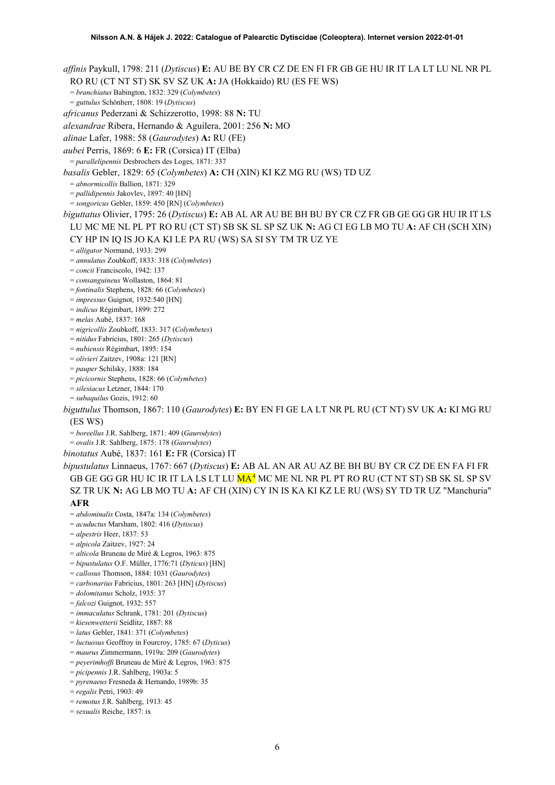*affinis* Paykull, 1798: 211 (*Dytiscus*) **E:** AU BE BY CR CZ DE EN FI FR GB GE HU IR IT LA LT LU NL NR PL RO RU (CT NT ST) SK SV SZ UK **A:** JA (Hokkaido) RU (ES FE WS) = *branchiatus* Babington, 1832: 329 (*Colymbetes*) = *guttulus* Schönherr, 1808: 19 (*Dytiscus*) *africanus* Pederzani & Schizzerotto, 1998: 88 **N:** TU *alexandrae* Ribera, Hernando & Aguilera, 2001: 256 **N:** MO *alinae* Lafer, 1988: 58 (*Gaurodytes*) **A:** RU (FE) *aubei* Perris, 1869: 6 **E:** FR (Corsica) IT (Elba) = *parallelipennis* Desbrochers des Loges, 1871: 337 *basalis* Gebler, 1829: 65 (*Colymbetes*) **A:** CH (XIN) KI KZ MG RU (WS) TD UZ = *abnormicollis* Ballion, 1871: 329 = *pallidipennis* Jakovlev, 1897: 40 [HN] = *songoricus* Gebler, 1859: 450 [RN] (*Colymbetes*) *biguttatus* Olivier, 1795: 26 (*Dytiscus*) **E:** AB AL AR AU BE BH BU BY CR CZ FR GB GE GG GR HU IR IT LS LU MC ME NL PL PT RO RU (CT ST) SB SK SL SP SZ UK **N:** AG CI EG LB MO TU **A:** AF CH (SCH XIN) CY HP IN IQ IS JO KA KI LE PA RU (WS) SA SI SY TM TR UZ YE = *alligator* Normand, 1933: 299 = *annulatus* Zoubkoff, 1833: 318 (*Colymbetes*) = *concii* Franciscolo, 1942: 137 = *consanguineus* Wollaston, 1864: 81 = *fontinalis* Stephens, 1828: 66 (*Colymbetes*) = *impressus* Guignot, 1932:540 [HN] = *indicus* Régimbart, 1899: 272 = *melas* Aubé, 1837: 168 = *nigricollis* Zoubkoff, 1833: 317 (*Colymbetes*) = *nitidus* Fabricius, 1801: 265 (*Dytiscus*) = *nubiensis* Régimbart, 1895: 154 = *olivieri* Zaitzev, 1908a: 121 [RN] = *pauper* Schilsky, 1888: 184 = *picicornis* Stephens, 1828: 66 (*Colymbetes*) = *silesiacus* Letzner, 1844: 170 = *subaquilus* Gozis, 1912: 60 *biguttulus* Thomson, 1867: 110 (*Gaurodytes*) **E:** BY EN FI GE LA LT NR PL RU (CT NT) SV UK **A:** KI MG RU (ES WS) = *boreellus* J.R. Sahlberg, 1871: 409 (*Gaurodytes*) = *ovalis* J.R. Sahlberg, 1875: 178 (*Gaurodytes*) *binotatus* Aubé, 1837: 161 **E:** FR (Corsica) IT *bipustulatus* Linnaeus, 1767: 667 (*Dytiscus*) **E:** AB AL AN AR AU AZ BE BH BU BY CR CZ DE EN FA FI FR GB GE GG GR HU IC IR IT LA LS LT LU MA<sup>[4](#page-52-3)</sup> MC ME NL NR PL PT RO RU (CT NT ST) SB SK SL SP SV SZ TR UK **N:** AG LB MO TU **A:** AF CH (XIN) CY IN IS KA KI KZ LE RU (WS) SY TD TR UZ "Manchuria" **AFR** = *abdominalis* Costa, 1847a: 134 (*Colymbetes*) = *acuductus* Marsham, 1802: 416 (*Dytiscus*) = *alpestris* Heer, 1837: 53 = *alpicola* Zaitzev, 1927: 24 = *alticola* Bruneau de Miré & Legros, 1963: 875 = *bipustulatus* O.F. Müller, 1776:71 (*Dyticus*) [HN] = *callosus* Thomson, 1884: 1031 (*Gaurodytes*)

- = *carbonarius* Fabricius, 1801: 263 [HN] (*Dytiscus*)
- = *dolomitanus* Scholz, 1935: 37
- = *falcozi* Guignot, 1932: 557
- = *immaculatus* Schrank, 1781: 201 (*Dytiscus*)
- = *kiesenwetterii* Seidlitz, 1887: 88
- = *latus* Gebler, 1841: 371 (*Colymbetes*)
- = *luctuosus* Geoffroy in Fourcroy, 1785: 67 (*Dyticus*)
- = *maurus* Zimmermann, 1919a: 209 (*Gaurodytes*)
- = *peyerimhoffi* Bruneau de Miré & Legros, 1963: 875
- = *picipennis* J.R. Sahlberg, 1903a: 5
- = *pyrenaeus* Fresneda & Hernando, 1989b: 35
- = *regalis* Petri, 1903: 49
- = *remotus* J.R. Sahlberg, 1913: 45
- = *sexualis* Reiche, 1857: ix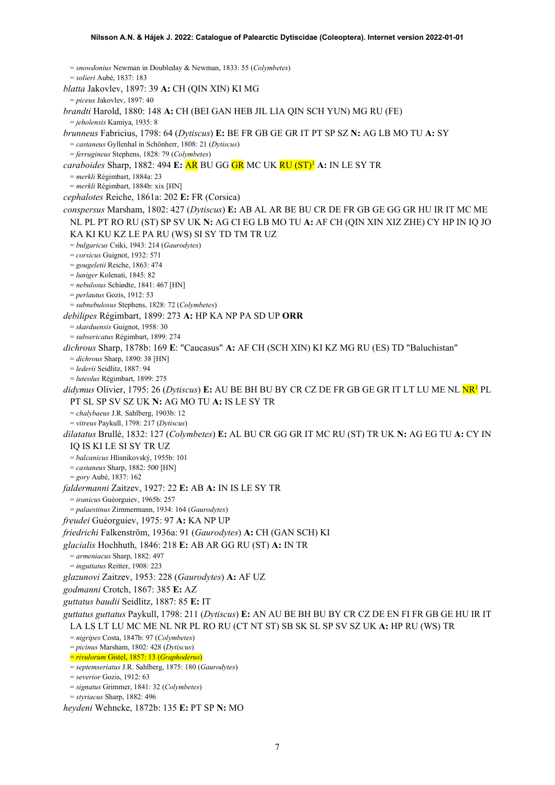= *snowdonius* Newman in Doubleday & Newman, 1833: 55 (*Colymbetes*) = *solieri* Aubé, 1837: 183 *blatta* Jakovlev, 1897: 39 **A:** CH (QIN XIN) KI MG = *piceus* Jakovlev, 1897: 40 *brandti* Harold, 1880: 148 **A:** CH (BEI GAN HEB JIL LIA QIN SCH YUN) MG RU (FE) = *jeholensis* Kamiya, 1935: 8 *brunneus* Fabricius, 1798: 64 (*Dytiscus*) **E:** BE FR GB GE GR IT PT SP SZ **N:** AG LB MO TU **A:** SY = *castaneus* Gyllenhal in Schönherr, 1808: 21 (*Dytiscus*) = *ferrugineus* Stephens, 1828: 79 (*Colymbetes*) *caraboides* Sharp, 1882: 494 **E:** AR BU GG GR MC UK RU (ST[\)1](#page-2-0) **A:** IN LE SY TR = *merkli* Régimbart, 1884a: 23 = *merkli* Régimbart, 1884b: xix [HN] *cephalotes* Reiche, 1861a: 202 **E:** FR (Corsica) *conspersus* Marsham, 1802: 427 (*Dytiscus*) **E:** AB AL AR BE BU CR DE FR GB GE GG GR HU IR IT MC ME NL PL PT RO RU (ST) SP SV UK **N:** AG CI EG LB MO TU **A:** AF CH (QIN XIN XIZ ZHE) CY HP IN IQ JO KA KI KU KZ LE PA RU (WS) SI SY TD TM TR UZ = *bulgaricus* Csiki, 1943: 214 (*Gaurodytes*) = *corsicus* Guignot, 1932: 571 = *gougeletii* Reiche, 1863: 474 = *luniger* Kolenati, 1845: 82 = *nebulosus* Schiødte, 1841: 467 [HN] = *perlautus* Gozis, 1912: 53 = *subnebulosus* Stephens, 1828: 72 (*Colymbetes*) *debilipes* Régimbart, 1899: 273 **A:** HP KA NP PA SD UP **ORR** = *skarduensis* Guignot, 1958: 30 = *subsericatus* Régimbart, 1899: 274 *dichrous* Sharp, 1878b: 169 **E**: "Caucasus" **A:** AF CH (SCH XIN) KI KZ MG RU (ES) TD "Baluchistan" = *dichrous* Sharp, 1890: 38 [HN] = *lederii* Seidlitz, 1887: 94 = *luteolus* Régimbart, 1899: 275 didymus Olivier, 1795: 26 (Dytiscus) **E:** AU BE BH BU BY CR CZ DE FR GB GE GR IT LT LU ME NL **NR<sup>1</sup>** PL PT SL SP SV SZ UK **N:** AG MO TU **A:** IS LE SY TR = *chalybaeus* J.R. Sahlberg, 1903b: 12 = *vitreus* Paykull, 1798: 217 (*Dytiscus*) *dilatatus* Brullé, 1832: 127 (*Colymbetes*) **E:** AL BU CR GG GR IT MC RU (ST) TR UK **N:** AG EG TU **A:** CY IN IQ IS KI LE SI SY TR UZ = *balcanicus* Hlisnikovský, 1955b: 101 = *castaneus* Sharp, 1882: 500 [HN] = *gory* Aubé, 1837: 162 *faldermanni* Zaitzev, 1927: 22 **E:** AB **A:** IN IS LE SY TR = *iranicus* Guéorguiev, 1965b: 257 = *palaestinus* Zimmermann, 1934: 164 (*Gaurodytes*) *freudei* Guéorguiev, 1975: 97 **A:** KA NP UP *friedrichi* Falkenström, 1936a: 91 (*Gaurodytes*) **A:** CH (GAN SCH) KI *glacialis* Hochhuth, 1846: 218 **E:** AB AR GG RU (ST) **A:** IN TR = *armeniacus* Sharp, 1882: 497 = *inguttatus* Reitter, 1908: 223 *glazunovi* Zaitzev, 1953: 228 (*Gaurodytes*) **A:** AF UZ *godmanni* Crotch, 1867: 385 **E:** AZ *guttatus baudii* Seidlitz, 1887: 85 **E:** IT *guttatus guttatus* Paykull, 1798: 211 (*Dytiscus*) **E:** AN AU BE BH BU BY CR CZ DE EN FI FR GB GE HU IR IT LA LS LT LU MC ME NL NR PL RO RU (CT NT ST) SB SK SL SP SV SZ UK **A:** HP RU (WS) TR = *nigripes* Costa, 1847b: 97 (*Colymbetes*) = *picinus* Marsham, 1802: 428 (*Dytiscus*) = *rivulorum* Gistel, 1857: 13 (*Graphoderus*) = *septemseriatus* J.R. Sahlberg, 1875: 180 (*Gaurodytes*) = *severior* Gozis, 1912: 63 = *signatus* Grimmer, 1841: 32 (*Colymbetes*)

<sup>=</sup> *styriacus* Sharp, 1882: 496

*heydeni* Wehncke, 1872b: 135 **E:** PT SP **N:** MO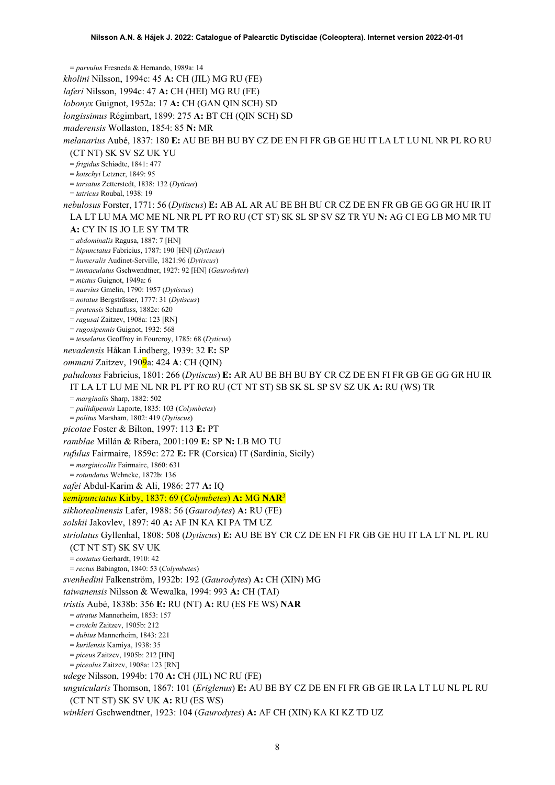= *parvulus* Fresneda & Hernando, 1989a: 14 *kholini* Nilsson, 1994c: 45 **A:** CH (JIL) MG RU (FE) *laferi* Nilsson, 1994c: 47 **A:** CH (HEI) MG RU (FE) *lobonyx* Guignot, 1952a: 17 **A:** CH (GAN QIN SCH) SD *longissimus* Régimbart, 1899: 275 **A:** BT CH (QIN SCH) SD *maderensis* Wollaston, 1854: 85 **N:** MR *melanarius* Aubé, 1837: 180 **E:** AU BE BH BU BY CZ DE EN FI FR GB GE HU IT LA LT LU NL NR PL RO RU (CT NT) SK SV SZ UK YU = *frigidus* Schiødte, 1841: 477 = *kotschyi* Letzner, 1849: 95 = *tarsatus* Zetterstedt, 1838: 132 (*Dyticus*) = *tatricus* Roubal, 1938: 19 *nebulosus* Forster, 1771: 56 (*Dytiscus*) **E:** AB AL AR AU BE BH BU CR CZ DE EN FR GB GE GG GR HU IR IT LA LT LU MA MC ME NL NR PL PT RO RU (CT ST) SK SL SP SV SZ TR YU **N:** AG CI EG LB MO MR TU **A:** CY IN IS JO LE SY TM TR = *abdominalis* Ragusa, 1887: 7 [HN] = *bipunctatus* Fabricius, 1787: 190 [HN] (*Dytiscus*) = *humeralis* Audinet-Serville, 1821:96 (*Dytiscus*) = *immaculatus* Gschwendtner, 1927: 92 [HN] (*Gaurodytes*) = *mixtus* Guignot, 1949a: 6 = *naevius* Gmelin, 1790: 1957 (*Dytiscus*) = *notatus* Bergsträsser, 1777: 31 (*Dytiscus*) = *pratensis* Schaufuss, 1882c: 620 = *ragusai* Zaitzev, 1908a: 123 [RN] = *rugosipennis* Guignot, 1932: 568 = *tesselatus* Geoffroy in Fourcroy, 1785: 68 (*Dyticus*) *nevadensis* Håkan Lindberg, 1939: 32 **E:** SP *ommani* Zaitzev, 1909a: 424 **A**: CH (QIN) *paludosus* Fabricius, 1801: 266 (*Dytiscus*) **E:** AR AU BE BH BU BY CR CZ DE EN FI FR GB GE GG GR HU IR IT LA LT LU ME NL NR PL PT RO RU (CT NT ST) SB SK SL SP SV SZ UK **A:** RU (WS) TR = *marginalis* Sharp, 1882: 502 = *pallidipennis* Laporte, 1835: 103 (*Colymbetes*) = *politus* Marsham, 1802: 419 (*Dytiscus*) *picotae* Foster & Bilton, 1997: 113 **E:** PT *ramblae* Millán & Ribera, 2001:109 **E:** SP **N:** LB MO TU *rufulus* Fairmaire, 1859c: 272 **E:** FR (Corsica) IT (Sardinia, Sicily) = *marginicollis* Fairmaire, 1860: 631 = *rotundatus* Wehncke, 1872b: 136 *safei* Abdul-Karim & Ali, 1986: 277 **A:** IQ *semipunctatus* Kirby, 1837: 69 (*Colymbetes*) **A:** MG **NAR**[3](#page-4-0) *sikhotealinensis* Lafer, 1988: 56 (*Gaurodytes*) **A:** RU (FE) *solskii* Jakovlev, 1897: 40 **A:** AF IN KA KI PA TM UZ *striolatus* Gyllenhal, 1808: 508 (*Dytiscus*) **E:** AU BE BY CR CZ DE EN FI FR GB GE HU IT LA LT NL PL RU (CT NT ST) SK SV UK = *costatus* Gerhardt, 1910: 42 = *rectus* Babington, 1840: 53 (*Colymbetes*) *svenhedini* Falkenström, 1932b: 192 (*Gaurodytes*) **A:** CH (XIN) MG *taiwanensis* Nilsson & Wewalka, 1994: 993 **A:** CH (TAI) *tristis* Aubé, 1838b: 356 **E:** RU (NT) **A:** RU (ES FE WS) **NAR** = *atratus* Mannerheim, 1853: 157 = *crotchi* Zaitzev, 1905b: 212 = *dubius* Mannerheim, 1843: 221 = *kurilensis* Kamiya, 1938: 35 = *piceu*s Zaitzev, 1905b: 212 [HN] = *piceolus* Zaitzev, 1908a: 123 [RN] *udege* Nilsson, 1994b: 170 **A:** CH (JIL) NC RU (FE) *unguicularis* Thomson, 1867: 101 (*Eriglenus*) **E:** AU BE BY CZ DE EN FI FR GB GE IR LA LT LU NL PL RU (CT NT ST) SK SV UK **A:** RU (ES WS)

*winkleri* Gschwendtner, 1923: 104 (*Gaurodytes*) **A:** AF CH (XIN) KA KI KZ TD UZ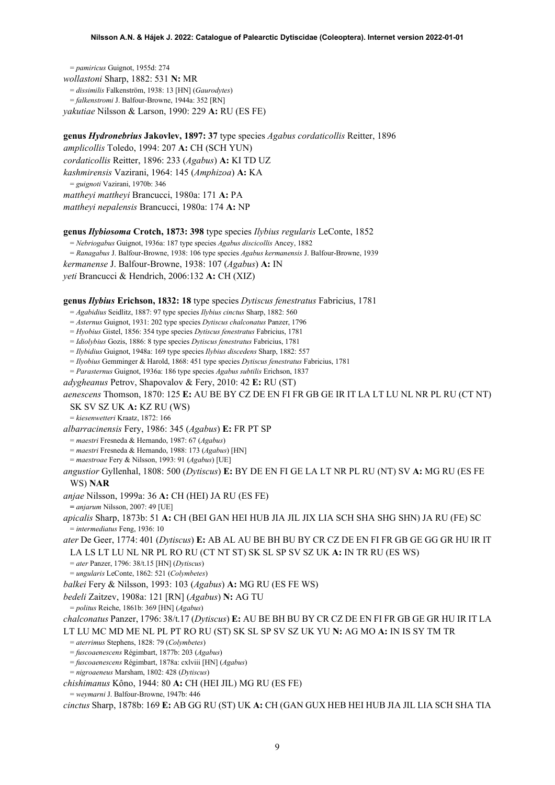= *pamiricus* Guignot, 1955d: 274 *wollastoni* Sharp, 1882: 531 **N:** MR = *dissimilis* Falkenström, 1938: 13 [HN] (*Gaurodytes*) = *falkenstromi* J. Balfour-Browne, 1944a: 352 [RN] *yakutiae* Nilsson & Larson, 1990: 229 **A:** RU (ES FE)

**genus** *Hydronebrius* **Jakovlev, 1897: 37** type species *Agabus cordaticollis* Reitter, 1896 *amplicollis* Toledo, 1994: 207 **A:** CH (SCH YUN) *cordaticollis* Reitter, 1896: 233 (*Agabus*) **A:** KI TD UZ *kashmirensis* Vazirani, 1964: 145 (*Amphizoa*) **A:** KA = *guignoti* Vazirani, 1970b: 346 *mattheyi mattheyi* Brancucci, 1980a: 171 **A:** PA *mattheyi nepalensis* Brancucci, 1980a: 174 **A:** NP

### **genus** *Ilybiosoma* **Crotch, 1873: 398** type species *Ilybius regularis* LeConte, 1852

= *Nebriogabus* Guignot, 1936a: 187 type species *Agabus discicollis* Ancey, 1882

= *Ranagabus* J. Balfour-Browne, 1938: 106 type species *Agabus kermanensis* J. Balfour-Browne, 1939

*kermanense* J. Balfour-Browne, 1938: 107 (*Agabus*) **A:** IN

*yeti* Brancucci & Hendrich, 2006:132 **A:** CH (XIZ)

### **genus** *Ilybius* **Erichson, 1832: 18** type species *Dytiscus fenestratus* Fabricius, 1781

= *Agabidius* Seidlitz, 1887: 97 type species *Ilybius cinctus* Sharp, 1882: 560

= *Asternus* Guignot, 1931: 202 type species *Dytiscus chalconatus* Panzer, 1796

= *Hyobius* Gistel, 1856: 354 type species *Dytiscus fenestratus* Fabricius, 1781

= *Idiolybius* Gozis, 1886: 8 type species *Dytiscus fenestratus* Fabricius, 1781

= *Ilybidius* Guignot, 1948a: 169 type species *Ilybius discedens* Sharp, 1882: 557

= *Ilyobius* Gemminger & Harold, 1868: 451 type species *Dytiscus fenestratus* Fabricius, 1781

= *Parasternus* Guignot, 1936a: 186 type species *Agabus subtilis* Erichson, 1837

*adygheanus* Petrov, Shapovalov & Fery, 2010: 42 **E:** RU (ST)

*aenescens* Thomson, 1870: 125 **E:** AU BE BY CZ DE EN FI FR GB GE IR IT LA LT LU NL NR PL RU (CT NT) SK SV SZ UK **A:** KZ RU (WS)

= *kiesenwetteri* Kraatz, 1872: 166

*albarracinensis* Fery, 1986: 345 (*Agabus*) **E:** FR PT SP

= *maestri* Fresneda & Hernando, 1987: 67 (*Agabus*)

= *maestri* Fresneda & Hernando, 1988: 173 (*Agabus*) [HN]

= *maestroae* Fery & Nilsson, 1993: 91 (*Agabus*) [UE]

*angustior* Gyllenhal, 1808: 500 (*Dytiscus*) **E:** BY DE EN FI GE LA LT NR PL RU (NT) SV **A:** MG RU (ES FE WS) **NAR**

*anjae* Nilsson, 1999a: 36 **A:** CH (HEI) JA RU (ES FE)

**=** *anjarum* Nilsson, 2007: 49 [UE]

*apicalis* Sharp, 1873b: 51 **A:** CH (BEI GAN HEI HUB JIA JIL JIX LIA SCH SHA SHG SHN) JA RU (FE) SC = *intermediatus* Feng, 1936: 10

*ater* De Geer, 1774: 401 (*Dytiscus*) **E:** AB AL AU BE BH BU BY CR CZ DE EN FI FR GB GE GG GR HU IR IT LA LS LT LU NL NR PL RO RU (CT NT ST) SK SL SP SV SZ UK **A:** IN TR RU (ES WS)

= *ater* Panzer, 1796: 38/t.15 [HN] (*Dytiscus*)

= *ungularis* LeConte, 1862: 521 (*Colymbetes*)

*balkei* Fery & Nilsson, 1993: 103 (*Agabus*) **A:** MG RU (ES FE WS)

*bedeli* Zaitzev, 1908a: 121 [RN] (*Agabus*) **N:** AG TU

= *politus* Reiche, 1861b: 369 [HN] (*Agabus*)

*chalconatus* Panzer, 1796: 38/t.17 (*Dytiscus*) **E:** AU BE BH BU BY CR CZ DE EN FI FR GB GE GR HU IR IT LA LT LU MC MD ME NL PL PT RO RU (ST) SK SL SP SV SZ UK YU **N:** AG MO **A:** IN IS SY TM TR

= *aterrimus* Stephens, 1828: 79 (*Colymbetes*)

= *fuscoaenescens* Régimbart, 1877b: 203 (*Agabus*)

= *fuscoaenescens* Régimbart, 1878a: cxlviii [HN] (*Agabus*)

= *nigroaeneus* Marsham, 1802: 428 (*Dytiscus*)

*chishimanus* Kôno, 1944: 80 **A:** CH (HEI JIL) MG RU (ES FE)

= *weymarni* J. Balfour-Browne, 1947b: 446

*cinctus* Sharp, 1878b: 169 **E:** AB GG RU (ST) UK **A:** CH (GAN GUX HEB HEI HUB JIA JIL LIA SCH SHA TIA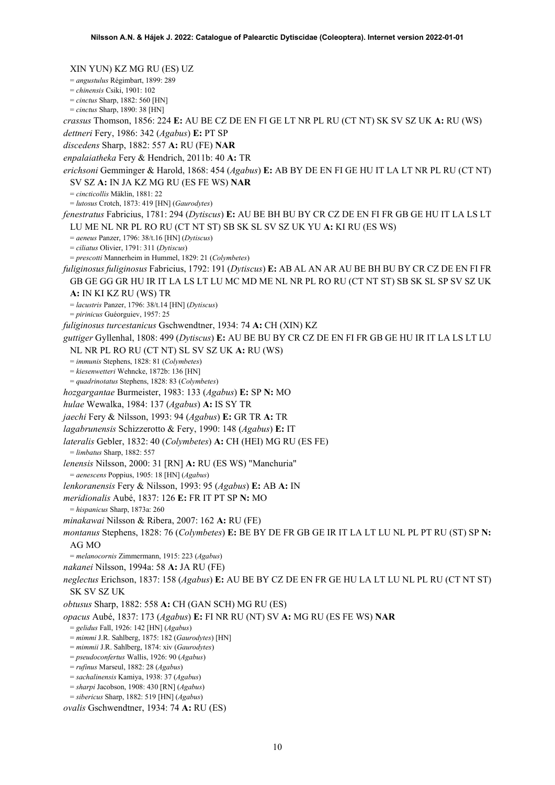XIN YUN) KZ MG RU (ES) UZ = *angustulus* Régimbart, 1899: 289 = *chinensis* Csiki, 1901: 102 = *cinctus* Sharp, 1882: 560 [HN] = *cinctus* Sharp, 1890: 38 [HN] *crassus* Thomson, 1856: 224 **E:** AU BE CZ DE EN FI GE LT NR PL RU (CT NT) SK SV SZ UK **A:** RU (WS) *dettneri* Fery, 1986: 342 (*Agabus*) **E:** PT SP *discedens* Sharp, 1882: 557 **A:** RU (FE) **NAR** *enpalaiatheka* Fery & Hendrich, 2011b: 40 **A:** TR *erichsoni* Gemminger & Harold, 1868: 454 (*Agabus*) **E:** AB BY DE EN FI GE HU IT LA LT NR PL RU (CT NT) SV SZ **A:** IN JA KZ MG RU (ES FE WS) **NAR** = *cincticollis* Mäklin, 1881: 22 = *lutosus* Crotch, 1873: 419 [HN] (*Gaurodytes*) *fenestratus* Fabricius, 1781: 294 (*Dytiscus*) **E:** AU BE BH BU BY CR CZ DE EN FI FR GB GE HU IT LA LS LT LU ME NL NR PL RO RU (CT NT ST) SB SK SL SV SZ UK YU **A:** KI RU (ES WS) = *aeneus* Panzer, 1796: 38/t.16 [HN] (*Dytiscus*) = *ciliatus* Olivier, 1791: 311 (*Dytiscus*) = *prescotti* Mannerheim in Hummel, 1829: 21 (*Colymbetes*) *fuliginosus fuliginosus* Fabricius, 1792: 191 (*Dytiscus*) **E:** AB AL AN AR AU BE BH BU BY CR CZ DE EN FI FR GB GE GG GR HU IR IT LA LS LT LU MC MD ME NL NR PL RO RU (CT NT ST) SB SK SL SP SV SZ UK **A:** IN KI KZ RU (WS) TR = *lacustris* Panzer, 1796: 38/t.14 [HN] (*Dytiscus*) = *pirinicus* Guéorguiev, 1957: 25 *fuliginosus turcestanicus* Gschwendtner, 1934: 74 **A:** CH (XIN) KZ *guttiger* Gyllenhal, 1808: 499 (*Dytiscus*) **E:** AU BE BU BY CR CZ DE EN FI FR GB GE HU IR IT LA LS LT LU NL NR PL RO RU (CT NT) SL SV SZ UK **A:** RU (WS) = *immunis* Stephens, 1828: 81 (*Colymbetes*) = *kiesenwetteri* Wehncke, 1872b: 136 [HN] = *quadrinotatus* Stephens, 1828: 83 (*Colymbetes*) *hozgargantae* Burmeister, 1983: 133 (*Agabus*) **E:** SP **N:** MO *hulae* Wewalka, 1984: 137 (*Agabus*) **A:** IS SY TR *jaechi* Fery & Nilsson, 1993: 94 (*Agabus*) **E:** GR TR **A:** TR *lagabrunensis* Schizzerotto & Fery, 1990: 148 (*Agabus*) **E:** IT *lateralis* Gebler, 1832: 40 (*Colymbetes*) **A:** CH (HEI) MG RU (ES FE) = *limbatus* Sharp, 1882: 557 *lenensis* Nilsson, 2000: 31 [RN] **A:** RU (ES WS) "Manchuria" = *aenescens* Poppius, 1905: 18 [HN] (*Agabus*) *lenkoranensis* Fery & Nilsson, 1993: 95 (*Agabus*) **E:** AB **A:** IN *meridionalis* Aubé, 1837: 126 **E:** FR IT PT SP **N:** MO = *hispanicus* Sharp, 1873a: 260 *minakawai* Nilsson & Ribera, 2007: 162 **A:** RU (FE) *montanus* Stephens, 1828: 76 (*Colymbetes*) **E:** BE BY DE FR GB GE IR IT LA LT LU NL PL PT RU (ST) SP **N:**  AG MO = *melanocornis* Zimmermann, 1915: 223 (*Agabus*) *nakanei* Nilsson, 1994a: 58 **A:** JA RU (FE) *neglectus* Erichson, 1837: 158 (*Agabus*) **E:** AU BE BY CZ DE EN FR GE HU LA LT LU NL PL RU (CT NT ST) SK SV SZ UK *obtusus* Sharp, 1882: 558 **A:** CH (GAN SCH) MG RU (ES) *opacus* Aubé, 1837: 173 (*Agabus*) **E:** FI NR RU (NT) SV **A:** MG RU (ES FE WS) **NAR** = *gelidus* Fall, 1926: 142 [HN] (*Agabus*) = *mimmi* J.R. Sahlberg, 1875: 182 (*Gaurodytes*) [HN] = *mimmii* J.R. Sahlberg, 1874: xiv (*Gaurodytes*) = *pseudoconfertus* Wallis, 1926: 90 (*Agabus*) = *rufinus* Marseul, 1882: 28 (*Agabus*) = *sachalinensis* Kamiya, 1938: 37 (*Agabus*) = *sharpi* Jacobson, 1908: 430 [RN] (*Agabus*) = *sibericus* Sharp, 1882: 519 [HN] (*Agabus*) *ovalis* Gschwendtner, 1934: 74 **A:** RU (ES)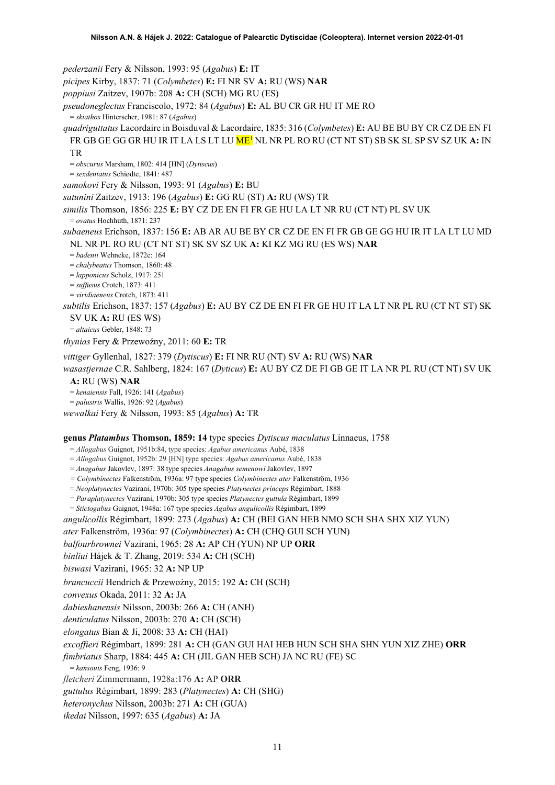*pederzanii* Fery & Nilsson, 1993: 95 (*Agabus*) **E:** IT

*picipes* Kirby, 1837: 71 (*Colymbetes*) **E:** FI NR SV **A:** RU (WS) **NAR**

*poppiusi* Zaitzev, 1907b: 208 **A:** CH (SCH) MG RU (ES)

*pseudoneglectus* Franciscolo, 1972: 84 (*Agabus*) **E:** AL BU CR GR HU IT ME RO

= *skiathos* Hinterseher, 1981: 87 (*Agabus*)

*quadriguttatus* Lacordaire in Boisduval & Lacordaire, 1835: 316 (*Colymbetes*) **E:** AU BE BU BY CR CZ DE EN FI FR GB GE GG GR HU IR IT LA LS LT LU M[E1](#page-2-0) NL NR PL RO RU (CT NT ST) SB SK SL SP SV SZ UK **A:** IN TR

= *obscurus* Marsham, 1802: 414 [HN] (*Dytiscus*)

= *sexdentatus* Schiødte, 1841: 487

*samokovi* Fery & Nilsson, 1993: 91 (*Agabus*) **E:** BU

*satunini* Zaitzev, 1913: 196 (*Agabus*) **E:** GG RU (ST) **A:** RU (WS) TR

*similis* Thomson, 1856: 225 **E:** BY CZ DE EN FI FR GE HU LA LT NR RU (CT NT) PL SV UK

= *ovatus* Hochhuth, 1871: 237

*subaeneus* Erichson, 1837: 156 **E:** AB AR AU BE BY CR CZ DE EN FI FR GB GE GG HU IR IT LA LT LU MD NL NR PL RO RU (CT NT ST) SK SV SZ UK **A:** KI KZ MG RU (ES WS) **NAR**

= *badenii* Wehncke, 1872c: 164

= *chalybeatus* Thomson, 1860: 48

= *lapponicus* Scholz, 1917: 251

= *suffusus* Crotch, 1873: 411 = *viridiaeneus* Crotch, 1873: 411

*subtilis* Erichson, 1837: 157 (*Agabus*) **E:** AU BY CZ DE EN FI FR GE HU IT LA LT NR PL RU (CT NT ST) SK

SV UK **A:** RU (ES WS)

= *altaicus* Gebler, 1848: 73

*thynias* Fery & Przewoźny, 2011: 60 E: TR

*vittiger* Gyllenhal, 1827: 379 (*Dytiscus*) **E:** FI NR RU (NT) SV **A:** RU (WS) **NAR**

*wasastjernae* C.R. Sahlberg, 1824: 167 (*Dyticus*) **E:** AU BY CZ DE FI GB GE IT LA NR PL RU (CT NT) SV UK

### **A:** RU (WS) **NAR**

= *kenaiensis* Fall, 1926: 141 (*Agabus*)

= *palustris* Wallis, 1926: 92 (*Agabus*)

*wewalkai* Fery & Nilsson, 1993: 85 (*Agabus*) **A:** TR

### **genus** *Platambus* **Thomson, 1859: 14** type species *Dytiscus maculatus* Linnaeus, 1758

= *Allogabus* Guignot, 1951b:84, type species: *Agabus americanus* Aubé, 1838

= *Allogabus* Guignot, 1952b: 29 [HN] type species: *Agabus americanus* Aubé, 1838

= *Anagabus* Jakovlev, 1897: 38 type species *Anagabus semenowi* Jakovlev, 1897

*= Colymbinectes* Falkenström, 1936a: 97 type species *Colymbinectes ater* Falkenström, 1936

= *Neoplatynectes* Vazirani, 1970b: 305 type species *Platynectes princeps* Régimbart, 1888

= *Paraplatynectes* Vazirani, 1970b: 305 type species *Platynectes guttula* Régimbart, 1899

= *Stictogabus* Guignot, 1948a: 167 type species *Agabus angulicollis* Régimbart, 1899

*angulicollis* Régimbart, 1899: 273 (*Agabus*) **A:** CH (BEI GAN HEB NMO SCH SHA SHX XIZ YUN)

*ater* Falkenström, 1936a: 97 (*Colymbinectes*) **A:** CH (CHQ GUI SCH YUN)

*balfourbrownei* Vazirani, 1965: 28 **A:** AP CH (YUN) NP UP **ORR**

*binliui* Hájek & T. Zhang, 2019: 534 **A:** CH (SCH)

*biswasi* Vazirani, 1965: 32 **A:** NP UP

*brancuccii* Hendrich & Przewoźny, 2015: 192 A: CH (SCH)

*convexus* Okada, 2011: 32 **A:** JA

*dabieshanensis* Nilsson, 2003b: 266 **A:** CH (ANH)

*denticulatus* Nilsson, 2003b: 270 **A:** CH (SCH)

*elongatus* Bian & Ji, 2008: 33 **A:** CH (HAI)

*excoffieri* Régimbart, 1899: 281 **A:** CH (GAN GUI HAI HEB HUN SCH SHA SHN YUN XIZ ZHE) **ORR**

*fimbriatus* Sharp, 1884: 445 **A:** CH (JIL GAN HEB SCH) JA NC RU (FE) SC

= *kansouis* Feng, 1936: 9

*fletcheri* Zimmermann, 1928a:176 **A:** AP **ORR**

*guttulus* Régimbart, 1899: 283 (*Platynectes*) **A:** CH (SHG)

*heteronychus* Nilsson, 2003b: 271 **A:** CH (GUA)

*ikedai* Nilsson, 1997: 635 (*Agabus*) **A:** JA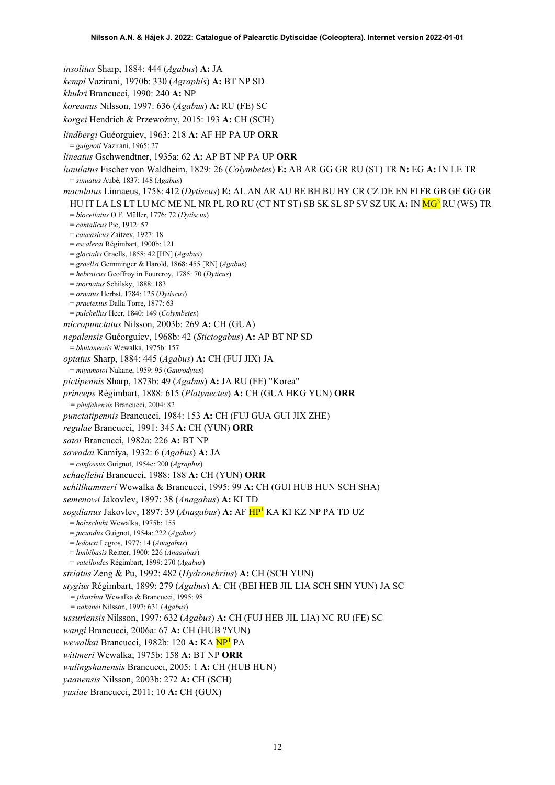*insolitus* Sharp, 1884: 444 (*Agabus*) **A:** JA *kempi* Vazirani, 1970b: 330 (*Agraphis*) **A:** BT NP SD *khukri* Brancucci, 1990: 240 **A:** NP *koreanus* Nilsson, 1997: 636 (*Agabus*) **A:** RU (FE) SC *korgei* Hendrich & Przewoźny, 2015: 193 A: CH (SCH) *lindbergi* Guéorguiev, 1963: 218 **A:** AF HP PA UP **ORR** = *guignoti* Vazirani, 1965: 27 *lineatus* Gschwendtner, 1935a: 62 **A:** AP BT NP PA UP **ORR** *lunulatus* Fischer von Waldheim, 1829: 26 (*Colymbetes*) **E:** AB AR GG GR RU (ST) TR **N:** EG **A:** IN LE TR = *sinuatus* Aubé, 1837: 148 (*Agabus*) *maculatus* Linnaeus, 1758: 412 (*Dytiscus*) **E:** AL AN AR AU BE BH BU BY CR CZ DE EN FI FR GB GE GG GR HU IT LA LS LT LU MC ME NL NR PL RO RU (CT NT ST) SB SK SL SP SV SZ UK **A:** IN M[G3](#page-4-0) RU (WS) TR = *biocellatus* O.F. Müller, 1776: 72 (*Dytiscus*) = *cantalicus* Pic, 1912: 57 = *caucasicus* Zaitzev, 1927: 18 = *escalerai* Régimbart, 1900b: 121 = *glacialis* Graells, 1858: 42 [HN] (*Agabus*) = *graellsi* Gemminger & Harold, 1868: 455 [RN] (*Agabus*) = *hebraicus* Geoffroy in Fourcroy, 1785: 70 (*Dyticus*) = *inornatus* Schilsky, 1888: 183 = *ornatus* Herbst, 1784: 125 (*Dytiscus*) = *praetextus* Dalla Torre, 1877: 63 = *pulchellus* Heer, 1840: 149 (*Colymbetes*) *micropunctatus* Nilsson, 2003b: 269 **A:** CH (GUA) *nepalensis* Guéorguiev, 1968b: 42 (*Stictogabus*) **A:** AP BT NP SD = *bhutanensis* Wewalka, 1975b: 157 *optatus* Sharp, 1884: 445 (*Agabus*) **A:** CH (FUJ JIX) JA = *miyamotoi* Nakane, 1959: 95 (*Gaurodytes*) *pictipennis* Sharp, 1873b: 49 (*Agabus*) **A:** JA RU (FE) "Korea" *princeps* Régimbart, 1888: 615 (*Platynectes*) **A:** CH (GUA HKG YUN) **ORR** *= phufahensis* Brancucci, 2004: 82 *punctatipennis* Brancucci, 1984: 153 **A:** CH (FUJ GUA GUI JIX ZHE) *regulae* Brancucci, 1991: 345 **A:** CH (YUN) **ORR** *satoi* Brancucci, 1982a: 226 **A:** BT NP *sawadai* Kamiya, 1932: 6 (*Agabus*) **A:** JA = *confossus* Guignot, 1954c: 200 (*Agraphis*) *schaefleini* Brancucci, 1988: 188 **A:** CH (YUN) **ORR** *schillhammeri* Wewalka & Brancucci, 1995: 99 **A:** CH (GUI HUB HUN SCH SHA) *semenowi* Jakovlev, 1897: 38 (*Anagabus*) **A:** KI TD *sogdianus* Jakovlev, 1897: 39 (*Anagabus*) **A:** AF H[P1](#page-2-0) KA KI KZ NP PA TD UZ = *holzschuhi* Wewalka, 1975b: 155 = *jucundus* Guignot, 1954a: 222 (*Agabus*) = *ledouxi* Legros, 1977: 14 (*Anagabus*) = *limbibasis* Reitter, 1900: 226 (*Anagabus*) = *vatelloides* Régimbart, 1899: 270 (*Agabus*) *striatus* Zeng & Pu, 1992: 482 (*Hydronebrius*) **A:** CH (SCH YUN) *stygius* Régimbart, 1899: 279 (*Agabus*) **A**: CH (BEI HEB JIL LIA SCH SHN YUN) JA SC *= jilanzhui* Wewalka & Brancucci, 1995: 98 *= nakanei* Nilsson, 1997: 631 (*Agabus*) *ussuriensis* Nilsson, 1997: 632 (*Agabus*) **A:** CH (FUJ HEB JIL LIA) NC RU (FE) SC *wangi* Brancucci, 2006a: 67 **A:** CH (HUB ?YUN) *wewalkai* Brancucci, 1982b: 120 **A:** KA N[P1](#page-2-0) PA *wittmeri* Wewalka, 1975b: 158 **A:** BT NP **ORR** *wulingshanensis* Brancucci, 2005: 1 **A:** CH (HUB HUN) *yaanensis* Nilsson, 2003b: 272 **A:** CH (SCH) *yuxiae* Brancucci, 2011: 10 **A:** CH (GUX)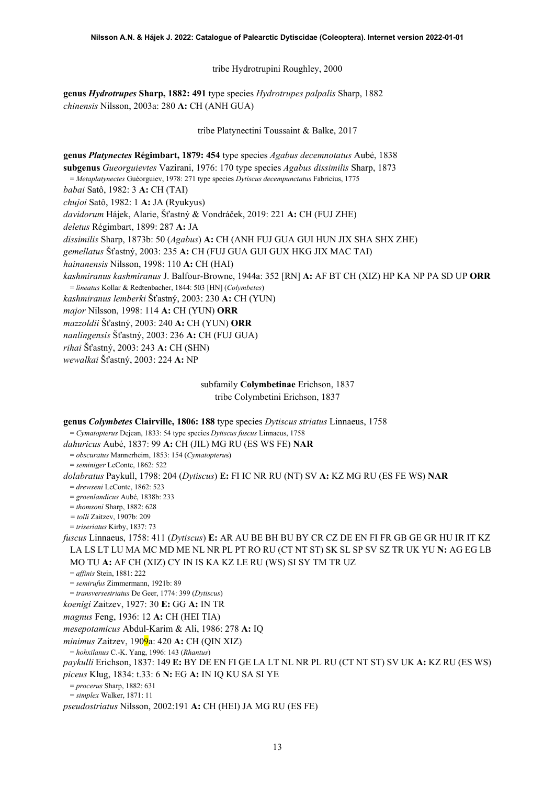tribe Hydrotrupini Roughley, 2000

**genus** *Hydrotrupes* **Sharp, 1882: 491** type species *Hydrotrupes palpalis* Sharp, 1882 *chinensis* Nilsson, 2003a: 280 **A:** CH (ANH GUA)

tribe Platynectini Toussaint & Balke, 2017

**genus** *Platynectes* **Régimbart, 1879: 454** type species *Agabus decemnotatus* Aubé, 1838 **subgenus** *Gueorguievtes* Vazirani, 1976: 170 type species *Agabus dissimilis* Sharp, 1873 = *Metaplatynectes* Guéorguiev, 1978: 271 type species *Dytiscus decempunctatus* Fabricius, 1775 *babai* Satô, 1982: 3 **A:** CH (TAI) *chujoi* Satô, 1982: 1 **A:** JA (Ryukyus) *davidorum* Hájek, Alarie, Šťastný & Vondráček, 2019: 221 **A:** CH (FUJ ZHE) *deletus* Régimbart, 1899: 287 **A:** JA *dissimilis* Sharp, 1873b: 50 (*Agabus*) **A:** CH (ANH FUJ GUA GUI HUN JIX SHA SHX ZHE) *gemellatus* Šťastný, 2003: 235 **A:** CH (FUJ GUA GUI GUX HKG JIX MAC TAI) *hainanensis* Nilsson, 1998: 110 **A:** CH (HAI) *kashmiranus kashmiranus* J. Balfour-Browne, 1944a: 352 [RN] **A:** AF BT CH (XIZ) HP KA NP PA SD UP **ORR** = *lineatus* Kollar & Redtenbacher, 1844: 503 [HN] (*Colymbetes*) *kashmiranus lemberki* Šťastný, 2003: 230 **A:** CH (YUN) *major* Nilsson, 1998: 114 **A:** CH (YUN) **ORR** *mazzoldii* Šťastný, 2003: 240 **A:** CH (YUN) **ORR** *nanlingensis* Šťastný, 2003: 236 **A:** CH (FUJ GUA) *rihai* Šťastný, 2003: 243 **A:** CH (SHN) *wewalkai* Šťastný, 2003: 224 **A:** NP

> subfamily **Colymbetinae** Erichson, 1837 tribe Colymbetini Erichson, 1837

| genus Colymbetes Clairville, 1806: 188 type species Dytiscus striatus Linnaeus, 1758               |
|----------------------------------------------------------------------------------------------------|
| $= Cymatopterus$ Dejean, 1833: 54 type species <i>Dytiscus fuscus</i> Linnaeus, 1758               |
| dahuricus Aubé, 1837: 99 A: CH (JIL) MG RU (ES WS FE) NAR                                          |
| $= obscuratus$ Mannerheim, 1853: 154 (Cymatopterus)                                                |
| $=$ seminiger LeConte, 1862: 522                                                                   |
| dolabratus Paykull, 1798: 204 (Dytiscus) E: FI IC NR RU (NT) SV A: KZ MG RU (ES FE WS) NAR         |
| $=$ drewseni LeConte, 1862: 523                                                                    |
| $=$ groenlandicus Aubé, 1838b: 233                                                                 |
| $= thomsoni$ Sharp, 1882: 628                                                                      |
| $=$ tolli Zaitzev, 1907b: 209                                                                      |
| $= triseriaus$ Kirby, 1837: 73                                                                     |
| fuscus Linnaeus, 1758: 411 (Dytiscus) E: AR AU BE BH BU BY CR CZ DE EN FI FR GB GE GR HU IR IT KZ  |
| LA LS LT LU MA MC MD ME NL NR PL PT RO RU (CT NT ST) SK SL SP SV SZ TR UK YU N: AG EG LB           |
| MO TU A: AF CH (XIZ) CY IN IS KA KZ LE RU (WS) SI SY TM TR UZ                                      |
| $=$ <i>affinis</i> Stein, 1881: 222                                                                |
| $=$ semirufus Zimmermann, 1921b: 89                                                                |
| $= transversestriatus$ De Geer, 1774: 399 (Dytiscus)                                               |
| koenigi Zaitzev, 1927: 30 E: GG A: IN TR                                                           |
| magnus Feng, 1936: 12 A: CH (HEI TIA)                                                              |
| mesepotamicus Abdul-Karim & Ali, 1986: 278 A: IQ                                                   |
| <i>minimus</i> Zaitzev, 190 $9a$ : 420 A: CH (QIN XIZ)                                             |
| $=$ hohxilanus C.-K. Yang, 1996: 143 (Rhantus)                                                     |
| paykulli Erichson, 1837: 149 E: BY DE EN FI GE LA LT NL NR PL RU (CT NT ST) SV UK A: KZ RU (ES WS) |
| piceus Klug, 1834: t.33: 6 N: EG A: IN IQ KU SA SI YE                                              |
| $= procerus Sharp, 1882: 631$                                                                      |
| $=$ simplex Walker, 1871: 11                                                                       |
| <i>pseudostriatus</i> Nilsson, 2002:191 A: CH (HEI) JA MG RU (ES FE)                               |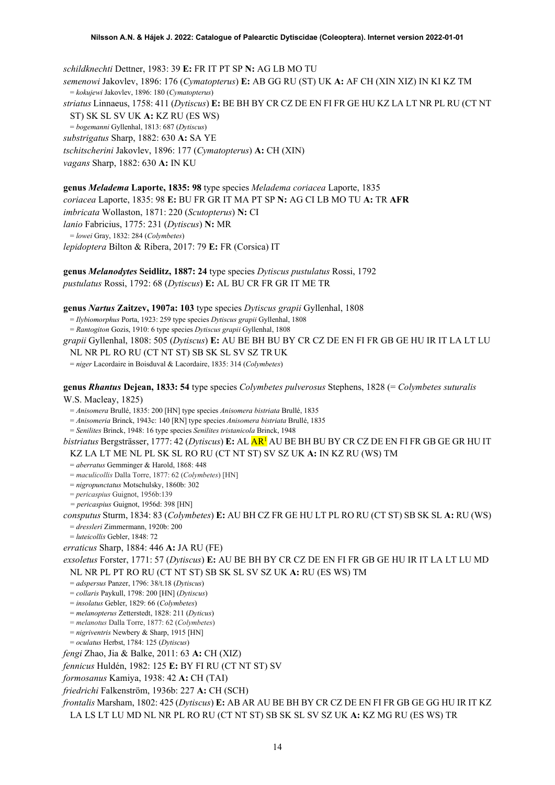*schildknechti* Dettner, 1983: 39 **E:** FR IT PT SP **N:** AG LB MO TU *semenowi* Jakovlev, 1896: 176 (*Cymatopterus*) **E:** AB GG RU (ST) UK **A:** AF CH (XIN XIZ) IN KI KZ TM = *kokujewi* Jakovlev, 1896: 180 (*Cymatopterus*) *striatus* Linnaeus, 1758: 411 (*Dytiscus*) **E:** BE BH BY CR CZ DE EN FI FR GE HU KZ LA LT NR PL RU (CT NT ST) SK SL SV UK **A:** KZ RU (ES WS) = *bogemanni* Gyllenhal, 1813: 687 (*Dytiscus*) *substrigatus* Sharp, 1882: 630 **A:** SA YE *tschitscherini* Jakovlev, 1896: 177 (*Cymatopterus*) **A:** CH (XIN) *vagans* Sharp, 1882: 630 **A:** IN KU

**genus** *Meladema* **Laporte, 1835: 98** type species *Meladema coriacea* Laporte, 1835 *coriacea* Laporte, 1835: 98 **E:** BU FR GR IT MA PT SP **N:** AG CI LB MO TU **A:** TR **AFR** *imbricata* Wollaston, 1871: 220 (*Scutopterus*) **N:** CI *lanio* Fabricius, 1775: 231 (*Dytiscus*) **N:** MR = *lowei* Gray, 1832: 284 (*Colymbetes*) *lepidoptera* Bilton & Ribera, 2017: 79 **E:** FR (Corsica) IT

**genus** *Melanodytes* **Seidlitz, 1887: 24** type species *Dytiscus pustulatus* Rossi, 1792 *pustulatus* Rossi, 1792: 68 (*Dytiscus*) **E:** AL BU CR FR GR IT ME TR

**genus** *Nartus* **Zaitzev, 1907a: 103** type species *Dytiscus grapii* Gyllenhal, 1808

= *Ilybiomorphus* Porta, 1923: 259 type species *Dytiscus grapii* Gyllenhal, 1808 = *Rantogiton* Gozis, 1910: 6 type species *Dytiscus grapii* Gyllenhal, 1808

*grapii* Gyllenhal, 1808: 505 (*Dytiscus*) **E:** AU BE BH BU BY CR CZ DE EN FI FR GB GE HU IR IT LA LT LU NL NR PL RO RU (CT NT ST) SB SK SL SV SZ TR UK

= *niger* Lacordaire in Boisduval & Lacordaire, 1835: 314 (*Colymbetes*)

**genus** *Rhantus* **Dejean, 1833: 54** type species *Colymbetes pulverosus* Stephens, 1828 (= *Colymbetes suturalis* W.S. Macleay, 1825)

= *Anisomera* Brullé, 1835: 200 [HN] type species *Anisomera bistriata* Brullé, 1835

= *Anisomeria* Brinck, 1943c: 140 [RN] type species *Anisomera bistriata* Brullé, 1835

= *Senilites* Brinck, 1948: 16 type species *Senilites tristanicola* Brinck, 1948

*bistriatus* Bergsträsser, 1777: 42 (*Dytiscus*) **E:** AL A[R1](#page-2-0) AU BE BH BU BY CR CZ DE EN FI FR GB GE GR HU IT KZ LA LT ME NL PL SK SL RO RU (CT NT ST) SV SZ UK **A:** IN KZ RU (WS) TM

= *aberratus* Gemminger & Harold, 1868: 448

= *maculicollis* Dalla Torre, 1877: 62 (*Colymbetes*) [HN]

= *nigropunctatus* Motschulsky, 1860b: 302

= *pericaspius* Guignot, 1956b:139

*= pericaspius* Guignot, 1956d: 398 [HN]

*consputus* Sturm, 1834: 83 (*Colymbetes*) **E:** AU BH CZ FR GE HU LT PL RO RU (CT ST) SB SK SL **A:** RU (WS)

= *dressleri* Zimmermann, 1920b: 200

= *luteicollis* Gebler, 1848: 72

*erraticus* Sharp, 1884: 446 **A:** JA RU (FE)

*exsoletus* Forster, 1771: 57 (*Dytiscus*) **E:** AU BE BH BY CR CZ DE EN FI FR GB GE HU IR IT LA LT LU MD NL NR PL PT RO RU (CT NT ST) SB SK SL SV SZ UK **A:** RU (ES WS) TM

= *adspersus* Panzer, 1796: 38/t.18 (*Dytiscus*)

= *collaris* Paykull, 1798: 200 [HN] (*Dytiscus*)

= *insolatus* Gebler, 1829: 66 (*Colymbetes*)

= *melanopterus* Zetterstedt, 1828: 211 (*Dyticus*)

= *melanotus* Dalla Torre, 1877: 62 (*Colymbetes*)

= *nigriventris* Newbery & Sharp, 1915 [HN]

= *oculatus* Herbst, 1784: 125 (*Dytiscus*)

*fengi* Zhao, Jia & Balke, 2011: 63 **A:** CH (XIZ)

*fennicus* Huldén, 1982: 125 **E:** BY FI RU (CT NT ST) SV

*formosanus* Kamiya, 1938: 42 **A:** CH (TAI)

*friedrichi* Falkenström, 1936b: 227 **A:** CH (SCH)

*frontalis* Marsham, 1802: 425 (*Dytiscus*) **E:** AB AR AU BE BH BY CR CZ DE EN FI FR GB GE GG HU IR IT KZ LA LS LT LU MD NL NR PL RO RU (CT NT ST) SB SK SL SV SZ UK **A:** KZ MG RU (ES WS) TR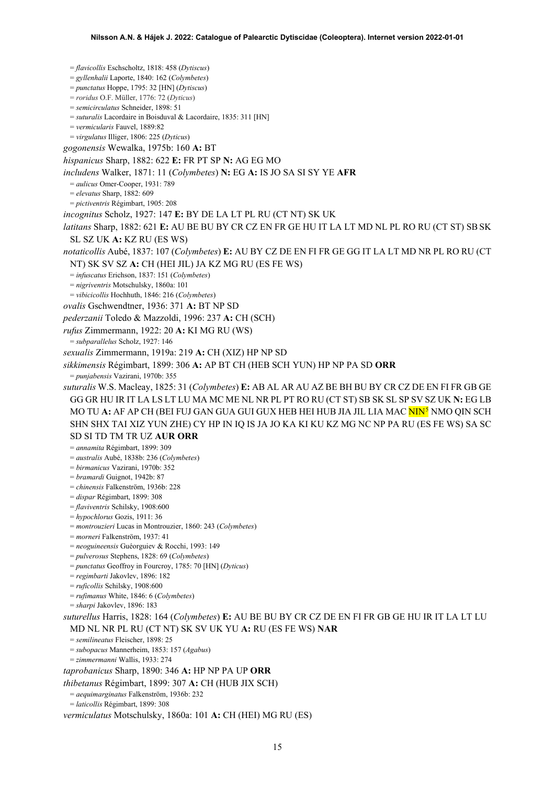= *flavicollis* Eschscholtz, 1818: 458 (*Dytiscus*) = *gyllenhalii* Laporte, 1840: 162 (*Colymbetes*) = *punctatus* Hoppe, 1795: 32 [HN] (*Dytiscus*) = *roridus* O.F. Müller, 1776: 72 (*Dyticus*) = *semicirculatus* Schneider, 1898: 51 = *suturalis* Lacordaire in Boisduval & Lacordaire, 1835: 311 [HN] = *vermicularis* Fauvel, 1889:82 = *virgulatus* Illiger, 1806: 225 (*Dyticus*) *gogonensis* Wewalka, 1975b: 160 **A:** BT *hispanicus* Sharp, 1882: 622 **E:** FR PT SP **N:** AG EG MO *includens* Walker, 1871: 11 (*Colymbetes*) **N:** EG **A:** IS JO SA SI SY YE **AFR** = *aulicus* Omer-Cooper, 1931: 789 = *elevatus* Sharp, 1882: 609 = *pictiventris* Régimbart, 1905: 208 *incognitus* Scholz, 1927: 147 **E:** BY DE LA LT PL RU (CT NT) SK UK *latitans* Sharp, 1882: 621 **E:** AU BE BU BY CR CZ EN FR GE HU IT LA LT MD NL PL RO RU (CT ST) SBSK SL SZ UK **A:** KZ RU (ES WS) *notaticollis* Aubé, 1837: 107 (*Colymbetes*) **E:** AU BY CZ DE EN FI FR GE GG IT LA LT MD NR PL RO RU (CT NT) SK SV SZ **A:** CH (HEI JIL) JA KZ MG RU (ES FE WS) = *infuscatus* Erichson, 1837: 151 (*Colymbetes*) = *nigriventris* Motschulsky, 1860a: 101 = *vibicicollis* Hochhuth, 1846: 216 (*Colymbetes*) *ovalis* Gschwendtner, 1936: 371 **A:** BT NP SD *pederzanii* Toledo & Mazzoldi, 1996: 237 **A:** CH (SCH) *rufus* Zimmermann, 1922: 20 **A:** KI MG RU (WS) = *subparallelus* Scholz, 1927: 146 *sexualis* Zimmermann, 1919a: 219 **A:** CH (XIZ) HP NP SD *sikkimensis* Régimbart, 1899: 306 **A:** AP BT CH (HEB SCH YUN) HP NP PA SD **ORR** = *punjabensis* Vazirani, 1970b: 355 *suturalis* W.S. Macleay, 1825: 31 (*Colymbetes*) **E:** AB AL AR AU AZ BE BH BU BY CR CZ DE EN FI FR GB GE GG GR HU IR IT LA LS LT LU MA MC ME NL NR PL PT RO RU (CT ST) SB SK SL SP SV SZ UK **N:** EG LB MO TU **A:** AF AP CH (BEI FUJ GAN GUA GUI GUX HEB HEI HUB JIA JIL LIA MAC NIN[5](#page-52-4) NMO QIN SCH SHN SHX TAI XIZ YUN ZHE) CY HP IN IQ IS JA JO KA KI KU KZ MG NC NP PA RU (ES FE WS) SA SC SD SI TD TM TR UZ **AUR ORR** = *annamita* Régimbart, 1899: 309 = *australis* Aubé, 1838b: 236 (*Colymbetes*) = *birmanicus* Vazirani, 1970b: 352 = *bramardi* Guignot, 1942b: 87 = *chinensis* Falkenström, 1936b: 228 = *dispar* Régimbart, 1899: 308 = *flaviventris* Schilsky, 1908:600 = *hypochlorus* Gozis, 1911: 36 = *montrouzieri* Lucas in Montrouzier, 1860: 243 (*Colymbetes*) = *morneri* Falkenström, 1937: 41 = *neoguineensis* Guéorguiev & Rocchi, 1993: 149 = *pulverosus* Stephens, 1828: 69 (*Colymbetes*) = *punctatus* Geoffroy in Fourcroy, 1785: 70 [HN] (*Dyticus*) = *regimbarti* Jakovlev, 1896: 182 = *ruficollis* Schilsky, 1908:600 = *rufimanus* White, 1846: 6 (*Colymbetes*) = *sharpi* Jakovlev, 1896: 183 *suturellus* Harris, 1828: 164 (*Colymbetes*) **E:** AU BE BU BY CR CZ DE EN FI FR GB GE HU IR IT LA LT LU MD NL NR PL RU (CT NT) SK SV UK YU **A:** RU (ES FE WS) **NAR** = *semilineatus* Fleischer, 1898: 25 = *subopacus* Mannerheim, 1853: 157 (*Agabus*) = *zimmermanni* Wallis, 1933: 274 *taprobanicus* Sharp, 1890: 346 **A:** HP NP PA UP **ORR** *thibetanus* Régimbart, 1899: 307 **A:** CH (HUB JIX SCH) = *aequimarginatus* Falkenström, 1936b: 232 = *laticollis* Régimbart, 1899: 308

*vermiculatus* Motschulsky, 1860a: 101 **A:** CH (HEI) MG RU (ES)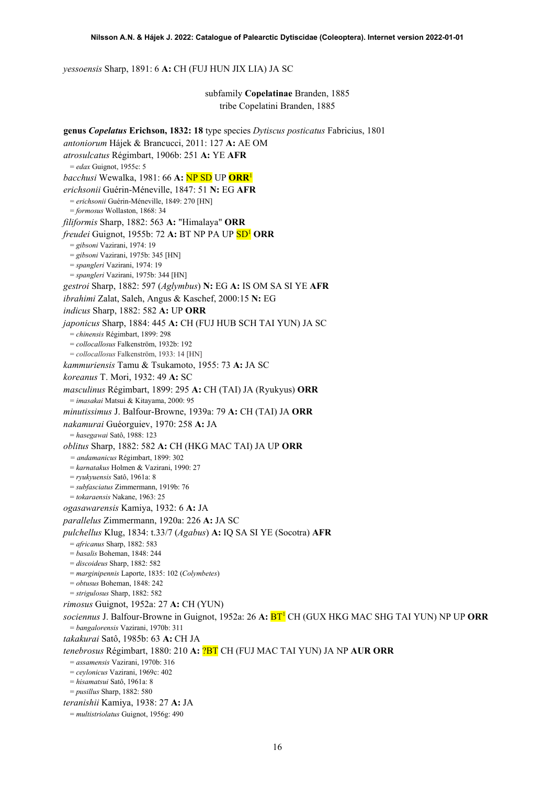*yessoensis* Sharp, 1891: 6 **A:** CH (FUJ HUN JIX LIA) JA SC

subfamily **Copelatinae** Branden, 1885 tribe Copelatini Branden, 1885

**genus** *Copelatus* **Erichson, 1832: 18** type species *Dytiscus posticatus* Fabricius, 1801 *antoniorum* Hájek & Brancucci, 2011: 127 **A:** AE OM *atrosulcatus* Régimbart, 1906b: 251 **A:** YE **AFR** = *edax* Guignot, 1955c: 5 *bacchusi* Wewalka, 1981: 66 **A:** NP SD UP **ORR**[1](#page-2-0) *erichsonii* Guérin-Méneville, 1847: 51 **N:** EG **AFR** = *erichsonii* Guérin-Méneville, 1849: 270 [HN] = *formosus* Wollaston, 1868: 34 *filiformis* Sharp, 1882: 563 **A:** "Himalaya" **ORR** *freudei* Guignot, 1955b: 72 **A:** BT NP PA UP S[D1](#page-2-0) **ORR** = *gibsoni* Vazirani, 1974: 19 = *gibsoni* Vazirani, 1975b: 345 [HN] = *spangleri* Vazirani, 1974: 19 = *spangleri* Vazirani, 1975b: 344 [HN] *gestroi* Sharp, 1882: 597 (*Aglymbus*) **N:** EG **A:** IS OM SA SI YE **AFR** *ibrahimi* Zalat, Saleh, Angus & Kaschef, 2000:15 **N:** EG *indicus* Sharp, 1882: 582 **A:** UP **ORR** *japonicus* Sharp, 1884: 445 **A:** CH (FUJ HUB SCH TAI YUN) JA SC = *chinensis* Régimbart, 1899: 298 = *collocallosus* Falkenström, 1932b: 192 = *collocallosus* Falkenström, 1933: 14 [HN] *kammuriensis* Tamu & Tsukamoto, 1955: 73 **A:** JA SC *koreanus* T. Mori, 1932: 49 **A:** SC *masculinus* Régimbart, 1899: 295 **A:** CH (TAI) JA (Ryukyus) **ORR** = *imasakai* Matsui & Kitayama, 2000: 95 *minutissimus* J. Balfour-Browne, 1939a: 79 **A:** CH (TAI) JA **ORR** *nakamurai* Guéorguiev, 1970: 258 **A:** JA = *hasegawai* Satô, 1988: 123 *oblitus* Sharp, 1882: 582 **A:** CH (HKG MAC TAI) JA UP **ORR** *= andamanicus* Régimbart, 1899: 302 = *karnatakus* Holmen & Vazirani, 1990: 27 = *ryukyuensis* Satô, 1961a: 8 = *subfasciatus* Zimmermann, 1919b: 76 = *tokaraensis* Nakane, 1963: 25 *ogasawarensis* Kamiya, 1932: 6 **A:** JA *parallelus* Zimmermann, 1920a: 226 **A:** JA SC *pulchellus* Klug, 1834: t.33/7 (*Agabus*) **A:** IQ SA SI YE (Socotra) **AFR** = *africanus* Sharp, 1882: 583 = *basalis* Boheman, 1848: 244 = *discoideus* Sharp, 1882: 582 = *marginipennis* Laporte, 1835: 102 (*Colymbetes*) = *obtusus* Boheman, 1848: 242 = *strigulosus* Sharp, 1882: 582 *rimosus* Guignot, 1952a: 27 **A:** CH (YUN) *sociennus* J. Balfour-Browne in Guignot, 1952a: 26 **A:** B[T1](#page-2-0) CH (GUX HKG MAC SHG TAI YUN) NP UP **ORR** = *bangalorensis* Vazirani, 1970b: 311 *takakurai* Satô, 1985b: 63 **A:** CH JA *tenebrosus* Régimbart, 1880: 210 **A:** ?BT CH (FUJ MAC TAI YUN) JA NP **AUR ORR** = *assamensis* Vazirani, 1970b: 316 = *ceylonicus* Vazirani, 1969c: 402 = *hisamatsui* Satô, 1961a: 8 = *pusillus* Sharp, 1882: 580 *teranishii* Kamiya, 1938: 27 **A:** JA = *multistriolatus* Guignot, 1956g: 490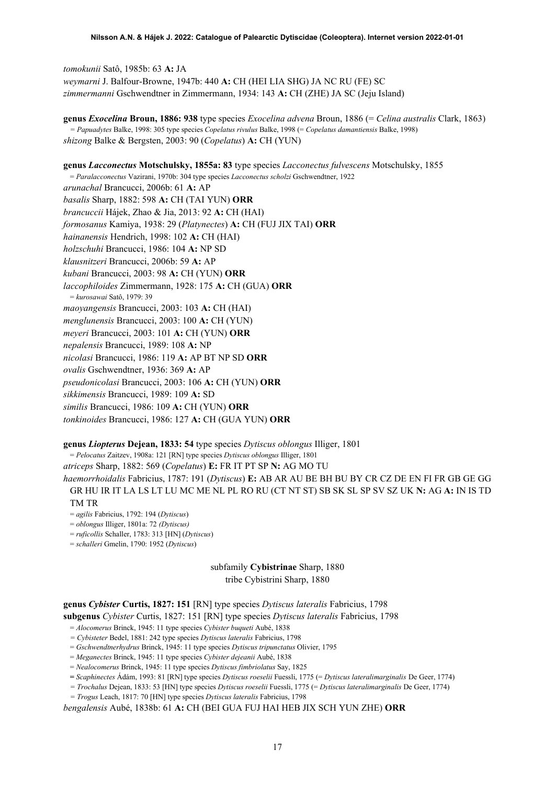*tomokunii* Satô, 1985b: 63 **A:** JA *weymarni* J. Balfour-Browne, 1947b: 440 **A:** CH (HEI LIA SHG) JA NC RU (FE) SC *zimmermanni* Gschwendtner in Zimmermann, 1934: 143 **A:** CH (ZHE) JA SC (Jeju Island)

**genus** *Exocelina* **Broun, 1886: 938** type species *Exocelina advena* Broun, 1886 (= *Celina australis* Clark, 1863) *= Papuadytes* Balke, 1998: 305 type species *Copelatus rivulus* Balke, 1998 (= *Copelatus damantiensis* Balke, 1998) *shizong* Balke & Bergsten, 2003: 90 (*Copelatus*) **A:** CH (YUN)

**genus** *Lacconectus* **Motschulsky, 1855a: 83** type species *Lacconectus fulvescens* Motschulsky, 1855 = *Paralacconectus* Vazirani, 1970b: 304 type species *Lacconectus scholzi* Gschwendtner, 1922 *arunachal* Brancucci, 2006b: 61 **A:** AP *basalis* Sharp, 1882: 598 **A:** CH (TAI YUN) **ORR** *brancuccii* Hájek, Zhao & Jia, 2013: 92 **A:** CH (HAI) *formosanus* Kamiya, 1938: 29 (*Platynectes*) **A:** CH (FUJ JIX TAI) **ORR** *hainanensis* Hendrich, 1998: 102 **A:** CH (HAI) *holzschuhi* Brancucci, 1986: 104 **A:** NP SD *klausnitzeri* Brancucci, 2006b: 59 **A:** AP *kubani* Brancucci, 2003: 98 **A:** CH (YUN) **ORR** *laccophiloides* Zimmermann, 1928: 175 **A:** CH (GUA) **ORR** = *kurosawai* Satô, 1979: 39 *maoyangensis* Brancucci, 2003: 103 **A:** CH (HAI) *menglunensis* Brancucci, 2003: 100 **A:** CH (YUN) *meyeri* Brancucci, 2003: 101 **A:** CH (YUN) **ORR** *nepalensis* Brancucci, 1989: 108 **A:** NP *nicolasi* Brancucci, 1986: 119 **A:** AP BT NP SD **ORR** *ovalis* Gschwendtner, 1936: 369 **A:** AP *pseudonicolasi* Brancucci, 2003: 106 **A:** CH (YUN) **ORR** *sikkimensis* Brancucci, 1989: 109 **A:** SD *similis* Brancucci, 1986: 109 **A:** CH (YUN) **ORR** *tonkinoides* Brancucci, 1986: 127 **A:** CH (GUA YUN) **ORR**

### **genus** *Liopterus* **Dejean, 1833: 54** type species *Dytiscus oblongus* Illiger, 1801

= *Pelocatus* Zaitzev, 1908a: 121 [RN] type species *Dytiscus oblongus* Illiger, 1801

*atriceps* Sharp, 1882: 569 (*Copelatus*) **E:** FR IT PT SP **N:** AG MO TU

*haemorrhoidalis* Fabricius, 1787: 191 (*Dytiscus*) **E:** AB AR AU BE BH BU BY CR CZ DE EN FI FR GB GE GG GR HU IR IT LA LS LT LU MC ME NL PL RO RU (CT NT ST) SB SK SL SP SV SZ UK **N:** AG **A:** IN IS TD TM TR

- = *agilis* Fabricius, 1792: 194 (*Dytiscus*)
- = *oblongus* Illiger, 1801a: 72 *(Dytiscus)*
- = *ruficollis* Schaller, 1783: 313 [HN] (*Dytiscus*)
- = *schalleri* Gmelin, 1790: 1952 (*Dytiscus*)

subfamily **Cybistrinae** Sharp, 1880

tribe Cybistrini Sharp, 1880

**genus** *Cybister* **Curtis, 1827: 151** [RN] type species *Dytiscus lateralis* Fabricius, 1798 **subgenus** *Cybister* Curtis, 1827: 151 [RN] type species *Dytiscus lateralis* Fabricius, 1798

= *Alocomerus* Brinck, 1945: 11 type species *Cybister buqueti* Aubé, 1838

*= Cybisteter* Bedel, 1881: 242 type species *Dytiscus lateralis* Fabricius, 1798

= *Gschwendtnerhydrus* Brinck, 1945: 11 type species *Dytiscus tripunctatus* Olivier, 1795

= *Meganectes* Brinck, 1945: 11 type species *Cybister dejeanii* Aubé, 1838

= *Nealocomerus* Brinck, 1945: 11 type species *Dytiscus fimbriolatus* Say, 1825

**=** *Scaphinectes* Ádám, 1993: 81 [RN] type species *Dytiscus roeselii* Fuessli, 1775 (= *Dytiscus lateralimarginalis* De Geer, 1774)

*= Trochalus* Dejean, 1833: 53 [HN] type species *Dytiscus roeselii* Fuessli, 1775 (= *Dytiscus lateralimarginalis* De Geer, 1774)

*= Trogus* Leach, 1817: 70 [HN] type species *Dytiscus lateralis* Fabricius, 1798

*bengalensis* Aubé, 1838b: 61 **A:** CH (BEI GUA FUJ HAI HEB JIX SCH YUN ZHE) **ORR**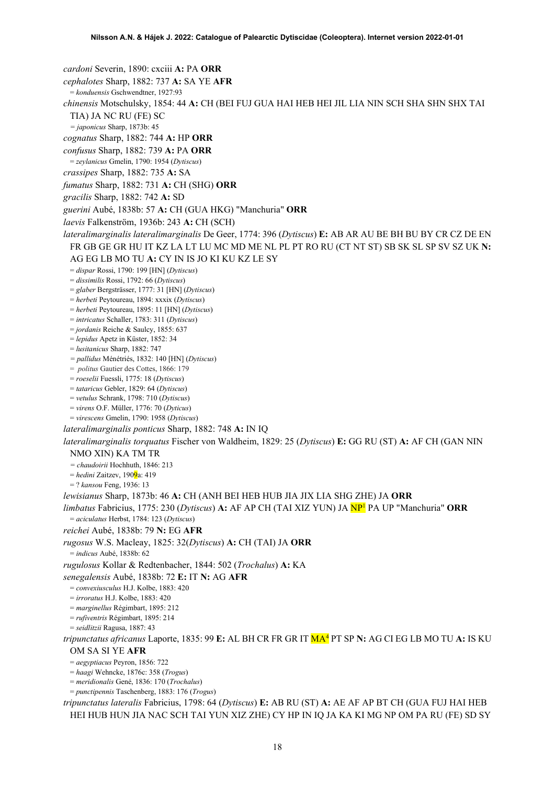*cardoni* Severin, 1890: cxciii **A:** PA **ORR** *cephalotes* Sharp, 1882: 737 **A:** SA YE **AFR** = *konduensis* Gschwendtner, 1927:93 *chinensis* Motschulsky, 1854: 44 **A:** CH (BEI FUJ GUA HAI HEB HEI JIL LIA NIN SCH SHA SHN SHX TAI TIA) JA NC RU (FE) SC *= japonicus* Sharp, 1873b: 45 *cognatus* Sharp, 1882: 744 **A:** HP **ORR** *confusus* Sharp, 1882: 739 **A:** PA **ORR** = *zeylanicus* Gmelin, 1790: 1954 (*Dytiscus*) *crassipes* Sharp, 1882: 735 **A:** SA *fumatus* Sharp, 1882: 731 **A:** CH (SHG) **ORR** *gracilis* Sharp, 1882: 742 **A:** SD *guerini* Aubé, 1838b: 57 **A:** CH (GUA HKG) "Manchuria" **ORR** *laevis* Falkenström, 1936b: 243 **A:** CH (SCH) *lateralimarginalis lateralimarginalis* De Geer, 1774: 396 (*Dytiscus*) **E:** AB AR AU BE BH BU BY CR CZ DE EN FR GB GE GR HU IT KZ LA LT LU MC MD ME NL PL PT RO RU (CT NT ST) SB SK SL SP SV SZ UK **N:**  AG EG LB MO TU **A:** CY IN IS JO KI KU KZ LE SY = *dispar* Rossi, 1790: 199 [HN] (*Dytiscus*) = *dissimilis* Rossi, 1792: 66 (*Dytiscus*) = *glaber* Bergsträsser, 1777: 31 [HN] (*Dytiscus*) = *herbeti* Peytoureau, 1894: xxxix (*Dytiscus*) = *herbeti* Peytoureau, 1895: 11 [HN] (*Dytiscus*) = *intricatus* Schaller, 1783: 311 (*Dytiscus*) = *jordanis* Reiche & Saulcy, 1855: 637 = *lepidus* Apetz in Küster, 1852: 34 = *lusitanicus* Sharp, 1882: 747 *= pallidus* Ménétriés, 1832: 140 [HN] (*Dytiscus*) = *politus* Gautier des Cottes, 1866: 179 = *roeselii* Fuessli, 1775: 18 (*Dytiscus*) = *tataricus* Gebler, 1829: 64 (*Dytiscus*) = *vetulus* Schrank, 1798: 710 (*Dytiscus*) = *virens* O.F. Müller, 1776: 70 (*Dyticus*) = *virescens* Gmelin, 1790: 1958 (*Dytiscus*) *lateralimarginalis ponticus* Sharp, 1882: 748 **A:** IN IQ *lateralimarginalis torquatus* Fischer von Waldheim, 1829: 25 (*Dytiscus*) **E:** GG RU (ST) **A:** AF CH (GAN NIN NMO XIN) KA TM TR *= chaudoirii* Hochhuth, 1846: 213 = *hedini* Zaitzev, 1909a: 419 = ? *kansou* Feng, 1936: 13 *lewisianus* Sharp, 1873b: 46 **A:** CH (ANH BEI HEB HUB JIA JIX LIA SHG ZHE) JA **ORR** *limbatus* Fabricius, 1775: 230 (*Dytiscus*) **A:** AF AP CH (TAI XIZ YUN) JA N[P1](#page-2-0) PA UP "Manchuria" **ORR** = *aciculatus* Herbst, 1784: 123 (*Dytiscus*) *reichei* Aubé, 1838b: 79 **N:** EG **AFR** *rugosus* W.S. Macleay, 1825: 32(*Dytiscus*) **A:** CH (TAI) JA **ORR** = *indicus* Aubé, 1838b: 62 *rugulosus* Kollar & Redtenbacher, 1844: 502 (*Trochalus*) **A:** KA *senegalensis* Aubé, 1838b: 72 **E:** IT **N:** AG **AFR** = *convexiusculus* H.J. Kolbe, 1883: 420 = *irroratus* H.J. Kolbe, 1883: 420 = *marginellus* Régimbart, 1895: 212 = *rufiventris* Régimbart, 1895: 214 = *seidlitzii* Ragusa, 1887: 43 *tripunctatus africanus* Laporte, 1835: 99 **E:** AL BH CR FR GR IT MA4 PT SP **N:** AG CI EG LB MO TU **A:** IS KU OM SA SI YE **AFR** = *aegyptiacus* Peyron, 1856: 722 = *haagi* Wehncke, 1876c: 358 (*Trogus*) = *meridionalis* Gené, 1836: 170 (*Trochalus*) = *punctipennis* Taschenberg, 1883: 176 (*Trogus*) *tripunctatus lateralis* Fabricius, 1798: 64 (*Dytiscus*) **E:** AB RU (ST) **A:** AE AF AP BT CH (GUA FUJ HAI HEB HEI HUB HUN JIA NAC SCH TAI YUN XIZ ZHE) CY HP IN IQ JA KA KI MG NP OM PA RU (FE) SD SY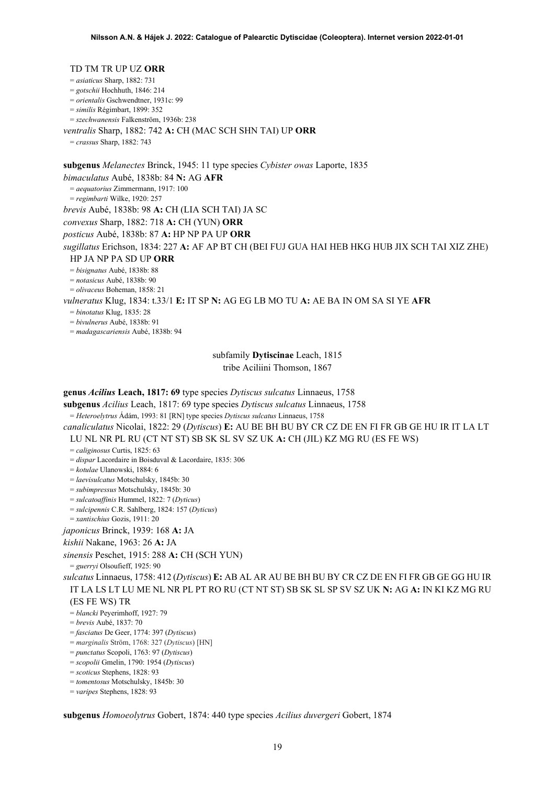### TD TM TR UP UZ **ORR**

= *asiaticus* Sharp, 1882: 731

= *gotschii* Hochhuth, 1846: 214

= *orientalis* Gschwendtner, 1931c: 99

= *similis* Régimbart, 1899: 352

= *szechwanensis* Falkenström, 1936b: 238

*ventralis* Sharp, 1882: 742 **A:** CH (MAC SCH SHN TAI) UP **ORR**

= *crassus* Sharp, 1882: 743

**subgenus** *Melanectes* Brinck, 1945: 11 type species *Cybister owas* Laporte, 1835 *bimaculatus* Aubé, 1838b: 84 **N:** AG **AFR** = *aequatorius* Zimmermann, 1917: 100 = *regimbarti* Wilke, 1920: 257 *brevis* Aubé, 1838b: 98 **A:** CH (LIA SCH TAI) JA SC *convexus* Sharp, 1882: 718 **A:** CH (YUN) **ORR** *posticus* Aubé, 1838b: 87 **A:** HP NP PA UP **ORR** *sugillatus* Erichson, 1834: 227 **A:** AF AP BT CH (BEI FUJ GUA HAI HEB HKG HUB JIX SCH TAI XIZ ZHE) HP JA NP PA SD UP **ORR** = *bisignatus* Aubé, 1838b: 88 = *notasicus* Aubé, 1838b: 90 = *olivaceus* Boheman, 1858: 21 *vulneratus* Klug, 1834: t.33/1 **E:** IT SP **N:** AG EG LB MO TU **A:** AE BA IN OM SA SI YE **AFR** = *binotatus* Klug, 1835: 28

= *bivulnerus* Aubé, 1838b: 91

= *madagascariensis* Aubé, 1838b: 94

subfamily **Dytiscinae** Leach, 1815 tribe Aciliini Thomson, 1867

**genus** *Acilius* **Leach, 1817: 69** type species *Dytiscus sulcatus* Linnaeus, 1758

**subgenus** *Acilius* Leach, 1817: 69 type species *Dytiscus sulcatus* Linnaeus, 1758

= *Heteroelytrus* Ádám, 1993: 81 [RN] type species *Dytiscus sulcatus* Linnaeus, 1758

*canaliculatus* Nicolai, 1822: 29 (*Dytiscus*) **E:** AU BE BH BU BY CR CZ DE EN FI FR GB GE HU IR IT LA LT LU NL NR PL RU (CT NT ST) SB SK SL SV SZ UK **A:** CH (JIL) KZ MG RU (ES FE WS)

= *caliginosus* Curtis, 1825: 63

= *dispar* Lacordaire in Boisduval & Lacordaire, 1835: 306

= *kotulae* Ulanowski, 1884: 6

= *laevisulcatus* Motschulsky, 1845b: 30

= *subimpressus* Motschulsky, 1845b: 30

= *sulcatoaffinis* Hummel, 1822: 7 (*Dyticus*)

= *sulcipennis* C.R. Sahlberg, 1824: 157 (*Dyticus*)

= *xantischius* Gozis, 1911: 20

*japonicus* Brinck, 1939: 168 **A:** JA

*kishii* Nakane, 1963: 26 **A:** JA

*sinensis* Peschet, 1915: 288 **A:** CH (SCH YUN)

= *guerryi* Olsoufieff, 1925: 90

*sulcatus* Linnaeus, 1758: 412 (*Dytiscus*) **E:** AB AL AR AU BE BH BU BY CR CZ DE EN FI FR GB GE GG HU IR IT LA LS LT LU ME NL NR PL PT RO RU (CT NT ST) SB SK SL SP SV SZ UK **N:** AG **A:** IN KI KZ MG RU (ES FE WS) TR

= *blancki* Peyerimhoff, 1927: 79

= *brevis* Aubé, 1837: 70

= *fasciatus* De Geer, 1774: 397 (*Dytiscus*)

= *marginalis* Ström, 1768: 327 (*Dytiscus*) [HN]

= *punctatus* Scopoli, 1763: 97 (*Dytiscus*)

= *scopolii* Gmelin, 1790: 1954 (*Dytiscus*)

= *scoticus* Stephens, 1828: 93

= *tomentosus* Motschulsky, 1845b: 30

= *varipes* Stephens, 1828: 93

**subgenus** *Homoeolytrus* Gobert, 1874: 440 type species *Acilius duvergeri* Gobert, 1874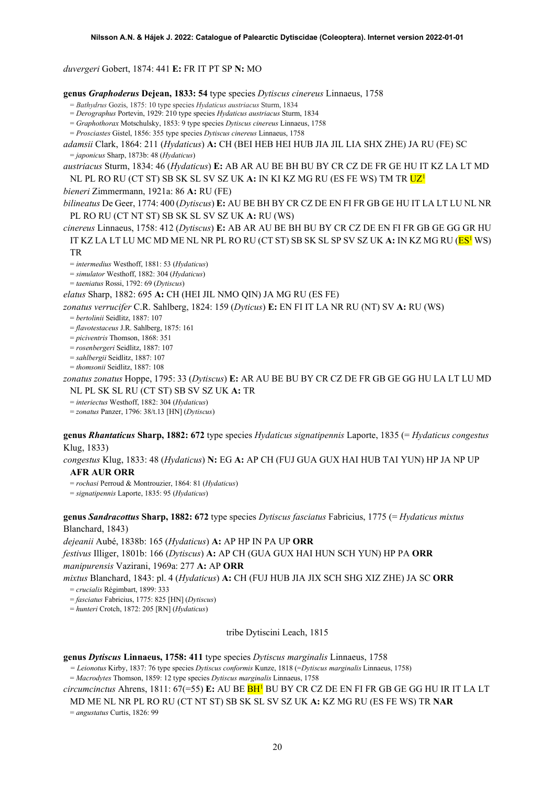*duvergeri* Gobert, 1874: 441 **E:** FR IT PT SP **N:** MO

- **genus** *Graphoderus* **Dejean, 1833: 54** type species *Dytiscus cinereus* Linnaeus, 1758
	- = *Bathydrus* Gozis, 1875: 10 type species *Hydaticus austriacus* Sturm, 1834
	- = *Derographus* Portevin, 1929: 210 type species *Hydaticus austriacus* Sturm, 1834
	- = *Graphothorax* Motschulsky, 1853: 9 type species *Dytiscus cinereus* Linnaeus, 1758
	- = *Prosciastes* Gistel, 1856: 355 type species *Dytiscus cinereus* Linnaeus, 1758

*adamsii* Clark, 1864: 211 (*Hydaticus*) **A:** CH (BEI HEB HEI HUB JIA JIL LIA SHX ZHE) JA RU (FE) SC = *japonicus* Sharp, 1873b: 48 (*Hydaticus*)

*austriacus* Sturm, 1834: 46 (*Hydaticus*) **E:** AB AR AU BE BH BU BY CR CZ DE FR GE HU IT KZ LA LT MD NL PL RO RU (CT ST) SB SK SL SV SZ UK **A:** IN KI KZ MG RU (ES FE WS) TM TR U[Z1](#page-2-0)

*bieneri* Zimmermann, 1921a: 86 **A:** RU (FE)

*bilineatus* De Geer, 1774: 400 (*Dytiscus*) **E:** AU BE BH BY CR CZ DE EN FI FR GB GE HU IT LA LT LU NL NR PL RO RU (CT NT ST) SB SK SL SV SZ UK **A:** RU (WS)

*cinereus* Linnaeus, 1758: 412 (*Dytiscus*) **E:** AB AR AU BE BH BU BY CR CZ DE EN FI FR GB GE GG GR HU IT KZ LA LT LU MC MD ME NL NR PL RO RU (CT ST) SB SK SL SP SV SZ UK **A:** IN KZ MG RU (E[S1](#page-2-0) WS) TR

= *intermedius* Westhoff, 1881: 53 (*Hydaticus*)

= *simulator* Westhoff, 1882: 304 (*Hydaticus*)

= *taeniatus* Rossi, 1792: 69 (*Dytiscus*)

*elatus* Sharp, 1882: 695 **A:** CH (HEI JIL NMO QIN) JA MG RU (ES FE)

*zonatus verrucifer* C.R. Sahlberg, 1824: 159 (*Dyticus*) **E:** EN FI IT LA NR RU (NT) SV **A:** RU (WS)

= *bertolinii* Seidlitz, 1887: 107

= *flavotestaceus* J.R. Sahlberg, 1875: 161

= *piciventris* Thomson, 1868: 351

= *rosenbergeri* Seidlitz, 1887: 107

= *sahlbergii* Seidlitz, 1887: 107

= *thomsonii* Seidlitz, 1887: 108

*zonatus zonatus* Hoppe, 1795: 33 (*Dytiscus*) **E:** AR AU BE BU BY CR CZ DE FR GB GE GG HU LA LT LU MD NL PL SK SL RU (CT ST) SB SV SZ UK **A:** TR

= *interiectus* Westhoff, 1882: 304 (*Hydaticus*)

= *zonatus* Panzer, 1796: 38/t.13 [HN] (*Dytiscus*)

**genus** *Rhantaticus* **Sharp, 1882: 672** type species *Hydaticus signatipennis* Laporte, 1835 (= *Hydaticus congestus*  Klug, 1833)

*congestus* Klug, 1833: 48 (*Hydaticus*) **N:** EG **A:** AP CH (FUJ GUA GUX HAI HUB TAI YUN) HP JA NP UP **AFR AUR ORR**

= *rochasi* Perroud & Montrouzier, 1864: 81 (*Hydaticus*)

= *signatipennis* Laporte, 1835: 95 (*Hydaticus*)

**genus** *Sandracottus* **Sharp, 1882: 672** type species *Dytiscus fasciatus* Fabricius, 1775 (= *Hydaticus mixtus* Blanchard, 1843)

*dejeanii* Aubé, 1838b: 165 (*Hydaticus*) **A:** AP HP IN PA UP **ORR**

*festivus* Illiger, 1801b: 166 (*Dytiscus*) **A:** AP CH (GUA GUX HAI HUN SCH YUN) HP PA **ORR** *manipurensis* Vazirani, 1969a: 277 **A:** AP **ORR**

*mixtus* Blanchard, 1843: pl. 4 (*Hydaticus*) **A:** CH (FUJ HUB JIA JIX SCH SHG XIZ ZHE) JA SC **ORR** = *crucialis* Régimbart, 1899: 333

= *fasciatus* Fabricius, 1775: 825 [HN] (*Dytiscus*)

= *hunteri* Crotch, 1872: 205 [RN] (*Hydaticus*)

tribe Dytiscini Leach, 1815

### **genus** *Dytiscus* **Linnaeus, 1758: 411** type species *Dytiscus marginalis* Linnaeus, 1758

*= Leionotus* Kirby, 1837: 76 type species *Dytiscus conformis* Kunze, 1818 (=*Dytiscus marginalis* Linnaeus, 1758)

= *Macrodytes* Thomson, 1859: 12 type species *Dytiscus marginalis* Linnaeus, 1758

*circumcinctus* Ahrens, 1811: 67(=55) **E:** AU BE B[H1](#page-2-0) BU BY CR CZ DE EN FI FR GB GE GG HU IR IT LA LT MD ME NL NR PL RO RU (CT NT ST) SB SK SL SV SZ UK **A:** KZ MG RU (ES FE WS) TR **NAR**

= *angustatus* Curtis, 1826: 99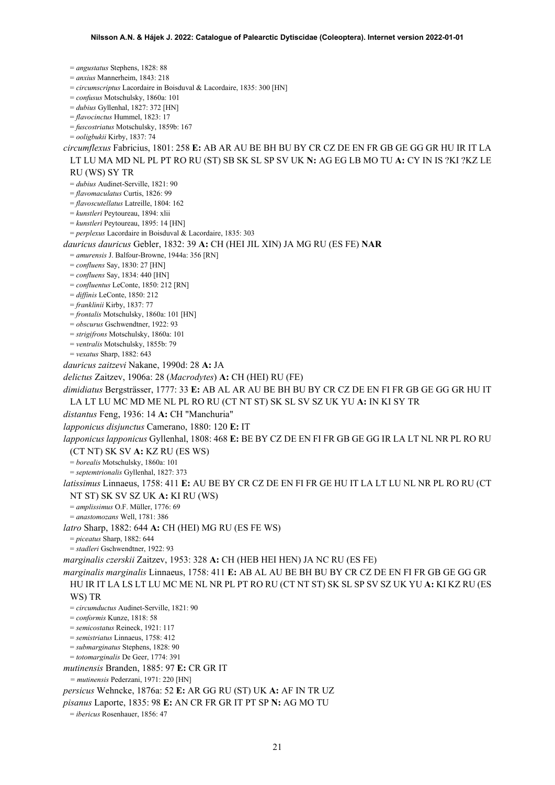= *angustatus* Stephens, 1828: 88 = *anxius* Mannerheim, 1843: 218 = *circumscriptus* Lacordaire in Boisduval & Lacordaire, 1835: 300 [HN] = *confusus* Motschulsky, 1860a: 101 = *dubius* Gyllenhal, 1827: 372 [HN] = *flavocinctus* Hummel, 1823: 17 = *fuscostriatus* Motschulsky, 1859b: 167 = *ooligbukii* Kirby, 1837: 74 *circumflexus* Fabricius, 1801: 258 **E:** AB AR AU BE BH BU BY CR CZ DE EN FR GB GE GG GR HU IR IT LA LT LU MA MD NL PL PT RO RU (ST) SB SK SL SP SV UK **N:** AG EG LB MO TU **A:** CY IN IS ?KI ?KZ LE RU (WS) SY TR = *dubius* Audinet-Serville, 1821: 90 = *flavomaculatus* Curtis, 1826: 99 = *flavoscutellatus* Latreille, 1804: 162 = *kunstleri* Peytoureau, 1894: xlii = *kunstleri* Peytoureau, 1895: 14 [HN] = *perplexus* Lacordaire in Boisduval & Lacordaire, 1835: 303 *dauricus dauricus* Gebler, 1832: 39 **A:** CH (HEI JIL XIN) JA MG RU (ES FE) **NAR** = *amurensis* J. Balfour-Browne, 1944a: 356 [RN] = *confluens* Say, 1830: 27 [HN] = *confluens* Say, 1834: 440 [HN] = *confluentus* LeConte, 1850: 212 [RN] = *diffinis* LeConte, 1850: 212 = *franklinii* Kirby, 1837: 77 = *frontalis* Motschulsky, 1860a: 101 [HN] = *obscurus* Gschwendtner, 1922: 93 = *strigifrons* Motschulsky, 1860a: 101 = *ventralis* Motschulsky, 1855b: 79 = *vexatus* Sharp, 1882: 643 *dauricus zaitzevi* Nakane, 1990d: 28 **A:** JA *delictus* Zaitzev, 1906a: 28 (*Macrodytes*) **A:** CH (HEI) RU (FE) *dimidiatus* Bergsträsser, 1777: 33 **E:** AB AL AR AU BE BH BU BY CR CZ DE EN FI FR GB GE GG GR HU IT LA LT LU MC MD ME NL PL RO RU (CT NT ST) SK SL SV SZ UK YU **A:** IN KI SY TR *distantus* Feng, 1936: 14 **A:** CH "Manchuria" *lapponicus disjunctus* Camerano, 1880: 120 **E:** IT *lapponicus lapponicus* Gyllenhal, 1808: 468 **E:** BE BY CZ DE EN FI FR GB GE GG IR LA LT NL NR PL RO RU (CT NT) SK SV **A:** KZ RU (ES WS) = *borealis* Motschulsky, 1860a: 101 = *septemtrionalis* Gyllenhal, 1827: 373 *latissimus* Linnaeus, 1758: 411 **E:** AU BE BY CR CZ DE EN FI FR GE HU IT LA LT LU NL NR PL RO RU (CT NT ST) SK SV SZ UK **A:** KI RU (WS) = *amplissimus* O.F. Müller, 1776: 69 = *anastomozans* Well, 1781: 386 *latro* Sharp, 1882: 644 **A:** CH (HEI) MG RU (ES FE WS) = *piceatus* Sharp, 1882: 644 = *stadleri* Gschwendtner, 1922: 93 *marginalis czerskii* Zaitzev, 1953: 328 **A:** CH (HEB HEI HEN) JA NC RU (ES FE) *marginalis marginalis* Linnaeus, 1758: 411 **E:** AB AL AU BE BH BU BY CR CZ DE EN FI FR GB GE GG GR HU IR IT LA LS LT LU MC ME NL NR PL PT RO RU (CT NT ST) SK SL SP SV SZ UK YU **A:** KI KZ RU (ES WS) TR = *circumductus* Audinet-Serville, 1821: 90 = *conformis* Kunze, 1818: 58 = *semicostatus* Reineck, 1921: 117 = *semistriatus* Linnaeus, 1758: 412 = *submarginatus* Stephens, 1828: 90 = *totomarginalis* De Geer, 1774: 391 *mutinensis* Branden, 1885: 97 **E:** CR GR IT *= mutinensis* Pederzani, 1971: 220 [HN] *persicus* Wehncke, 1876a: 52 **E:** AR GG RU (ST) UK **A:** AF IN TR UZ *pisanus* Laporte, 1835: 98 **E:** AN CR FR GR IT PT SP **N:** AG MO TU = *ibericus* Rosenhauer, 1856: 47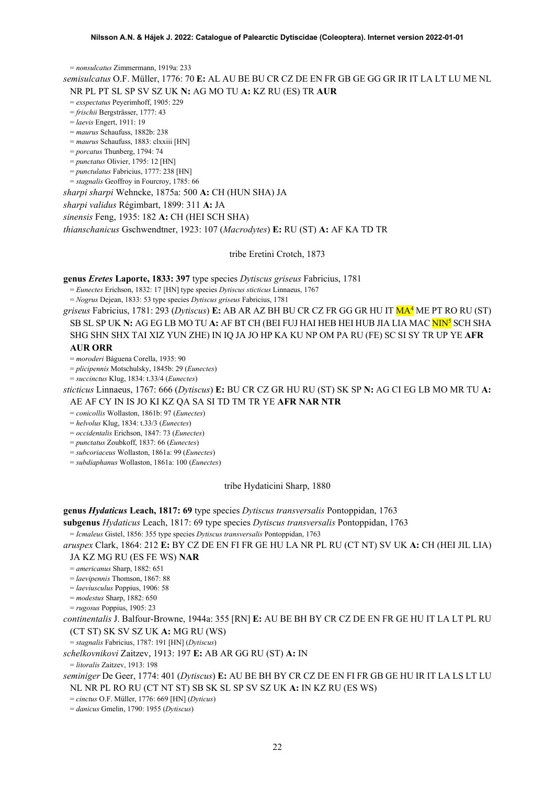= *nonsulcatus* Zimmermann, 1919a: 233

*semisulcatus* O.F. Müller, 1776: 70 **E:** AL AU BE BU CR CZ DE EN FR GB GE GG GR IR IT LA LT LU ME NL

NR PL PT SL SP SV SZ UK **N:** AG MO TU **A:** KZ RU (ES) TR **AUR**

= *exspectatus* Peyerimhoff, 1905: 229 = *frischii* Bergsträsser, 1777: 43

= *laevis* Engert, 1911: 19

= *maurus* Schaufuss, 1882b: 238

= *maurus* Schaufuss, 1883: clxxiii [HN]

= *porcatus* Thunberg, 1794: 74

- = *punctatus* Olivier, 1795: 12 [HN]
- = *punctulatus* Fabricius, 1777: 238 [HN]
- = *stagnalis* Geoffroy in Fourcroy, 1785: 66

*sharpi sharpi* Wehncke, 1875a: 500 **A:** CH (HUN SHA) JA

*sharpi validus* Régimbart, 1899: 311 **A:** JA

*sinensis* Feng, 1935: 182 **A:** CH (HEI SCH SHA)

*thianschanicus* Gschwendtner, 1923: 107 (*Macrodytes*) **E:** RU (ST) **A:** AF KA TD TR

### tribe Eretini Crotch, 1873

**genus** *Eretes* **Laporte, 1833: 397** type species *Dytiscus griseus* Fabricius, 1781

= *Eunectes* Erichson, 1832: 17 [HN] type species *Dytiscus sticticus* Linnaeus, 1767

= *Nogrus* Dejean, 1833: 53 type species *Dytiscus griseus* Fabricius, 1781

*griseus* Fabricius, 1781: 293 (*Dytiscus*) **E:** AB AR AZ BH BU CR CZ FR GG GR HU IT MA4 ME PT RO RU (ST) SB SL SP UK **N:** AG EG LB MO TU **A:** AF BT CH (BEI FUJ HAI HEB HEI HUB JIA LIA MAC NIN5 SCH SHA SHG SHN SHX TAI XIZ YUN ZHE) IN IQ JA JO HP KA KU NP OM PA RU (FE) SC SI SY TR UP YE **AFR AUR ORR**

= *moroderi* Báguena Corella, 1935: 90

= *plicipennis* Motschulsky, 1845b: 29 (*Eunectes*)

= *succinctus* Klug, 1834: t.33/4 (*Eunectes*)

*sticticus* Linnaeus, 1767: 666 (*Dytiscus*) **E:** BU CR CZ GR HU RU (ST) SK SP **N:** AG CI EG LB MO MR TU **A:** AE AF CY IN IS JO KI KZ QA SA SI TD TM TR YE **AFR NAR NTR**

= *conicollis* Wollaston, 1861b: 97 (*Eunectes*)

= *helvolus* Klug, 1834: t.33/3 (*Eunectes*)

= *occidentalis* Erichson, 1847: 73 (*Eunectes*)

= *punctatus* Zoubkoff, 1837: 66 (*Eunectes*)

= *subcoriaceus* Wollaston, 1861a: 99 (*Eunectes*)

= *subdiaphanus* Wollaston, 1861a: 100 (*Eunectes*)

tribe Hydaticini Sharp, 1880

**genus** *Hydaticus* **Leach, 1817: 69** type species *Dytiscus transversalis* Pontoppidan, 1763

**subgenus** *Hydaticus* Leach, 1817: 69 type species *Dytiscus transversalis* Pontoppidan, 1763

= *Icmaleus* Gistel, 1856: 355 type species *Dytiscus transversalis* Pontoppidan, 1763

*aruspex* Clark, 1864: 212 **E:** BY CZ DE EN FI FR GE HU LA NR PL RU (CT NT) SV UK **A:** CH (HEI JIL LIA) JA KZ MG RU (ES FE WS) **NAR**

= *americanus* Sharp, 1882: 651

= *laevipennis* Thomson, 1867: 88

= *laeviusculus* Poppius, 1906: 58

= *modestus* Sharp, 1882: 650

= *rugosus* Poppius, 1905: 23

*continentalis* J. Balfour-Browne, 1944a: 355 [RN] **E:** AU BE BH BY CR CZ DE EN FR GE HU IT LA LT PL RU (CT ST) SK SV SZ UK **A:** MG RU (WS)

= *stagnalis* Fabricius, 1787: 191 [HN] (*Dytiscus*)

*schelkovnikovi* Zaitzev, 1913: 197 **E:** AB AR GG RU (ST) **A:** IN

= *litoralis* Zaitzev, 1913: 198

*seminiger* De Geer, 1774: 401 (*Dytiscus*) **E:** AU BE BH BY CR CZ DE EN FI FR GB GE HU IR IT LA LS LT LU NL NR PL RO RU (CT NT ST) SB SK SL SP SV SZ UK **A:** IN KZ RU (ES WS)

= *cinctus* O.F. Müller, 1776: 669 [HN] (*Dyticus*)

= *danicus* Gmelin, 1790: 1955 (*Dytiscus*)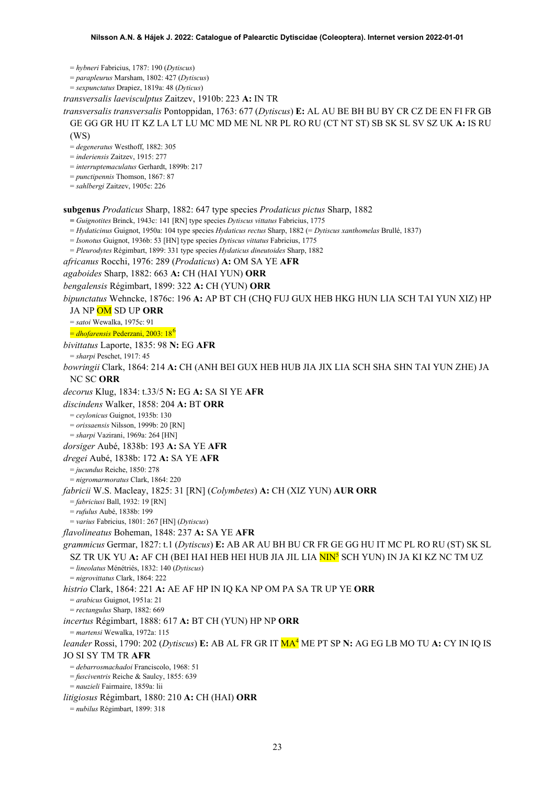= *hybneri* Fabricius, 1787: 190 (*Dytiscus*)

= *parapleurus* Marsham, 1802: 427 (*Dytiscus*)

= *sexpunctatus* Drapiez, 1819a: 48 (*Dyticus*)

*transversalis laevisculptus* Zaitzev, 1910b: 223 **A:** IN TR

*transversalis transversalis* Pontoppidan, 1763: 677 (*Dytiscus*) **E:** AL AU BE BH BU BY CR CZ DE EN FI FR GB GE GG GR HU IT KZ LA LT LU MC MD ME NL NR PL RO RU (CT NT ST) SB SK SL SV SZ UK **A:** IS RU

(WS)

= *degeneratus* Westhoff, 1882: 305

= *inderiensis* Zaitzev, 1915: 277

= *interruptemaculatus* Gerhardt, 1899b: 217

= *punctipennis* Thomson, 1867: 87

= *sahlbergi* Zaitzev, 1905c: 226

**subgenus** *Prodaticus* Sharp, 1882: 647 type species *Prodaticus pictus* Sharp, 1882

**=** *Guignotites* Brinck, 1943c: 141 [RN] type species *Dytiscus vittatus* Fabricius, 1775

= *Hydaticinus* Guignot, 1950a: 104 type species *Hydaticus rectus* Sharp, 1882 (= *Dytiscus xanthomelas* Brullé, 1837)

= *Isonotus* Guignot, 1936b: 53 [HN] type species *Dytiscus vittatus* Fabricius, 1775

= *Pleurodytes* Régimbart, 1899: 331 type species *Hydaticus dineutoides* Sharp, 1882

*africanus* Rocchi, 1976: 289 (*Prodaticus*) **A:** OM SA YE **AFR**

*agaboides* Sharp, 1882: 663 **A:** CH (HAI YUN) **ORR**

*bengalensis* Régimbart, 1899: 322 **A:** CH (YUN) **ORR**

*bipunctatus* Wehncke, 1876c: 196 **A:** AP BT CH (CHQ FUJ GUX HEB HKG HUN LIA SCH TAI YUN XIZ) HP

JA NP OM SD UP **ORR**

= *satoi* Wewalka, 1975c: 91

= *dhofarensis* Pederzani, 2003: 18[6](#page-52-5)

*bivittatus* Laporte, 1835: 98 **N:** EG **AFR**

= *sharpi* Peschet, 1917: 45 *bowringii* Clark, 1864: 214 **A:** CH (ANH BEI GUX HEB HUB JIA JIX LIA SCH SHA SHN TAI YUN ZHE) JA NC SC **ORR**

*decorus* Klug, 1834: t.33/5 **N:** EG **A:** SA SI YE **AFR**

*discindens* Walker, 1858: 204 **A:** BT **ORR**

= *ceylonicus* Guignot, 1935b: 130

= *orissaensis* Nilsson, 1999b: 20 [RN]

= *sharpi* Vazirani, 1969a: 264 [HN]

*dorsiger* Aubé, 1838b: 193 **A:** SA YE **AFR**

*dregei* Aubé, 1838b: 172 **A:** SA YE **AFR**

= *jucundus* Reiche, 1850: 278

= *nigromarmoratus* Clark, 1864: 220

*fabricii* W.S. Macleay, 1825: 31 [RN] (*Colymbetes*) **A:** CH (XIZ YUN) **AUR ORR**

= *fabriciusi* Ball, 1932: 19 [RN]

= *rufulus* Aubé, 1838b: 199

= *varius* Fabricius, 1801: 267 [HN] (*Dytiscus*)

*flavolineatus* Boheman, 1848: 237 **A:** SA YE **AFR**

*grammicus* Germar, 1827: t.1 (*Dytiscus*) **E:** AB AR AU BH BU CR FR GE GG HU IT MC PL RO RU (ST) SK SL SZ TR UK YU **A:** AF CH (BEI HAI HEB HEI HUB JIA JIL LIA NIN5 SCH YUN) IN JA KI KZ NC TM UZ

= *lineolatus* Ménétriés, 1832: 140 (*Dytiscus*)

= *nigrovittatus* Clark, 1864: 222

*histrio* Clark, 1864: 221 **A:** AE AF HP IN IQ KA NP OM PA SA TR UP YE **ORR**

= *arabicus* Guignot, 1951a: 21

= *rectangulus* Sharp, 1882: 669

*incertus* Régimbart, 1888: 617 **A:** BT CH (YUN) HP NP **ORR**

= *martensi* Wewalka, 1972a: 115

*leander* Rossi, 1790: 202 (*Dytiscus*) **E:** AB AL FR GR IT MA4 ME PT SP **N:** AG EG LB MO TU **A:** CY IN IQ IS JO SI SY TM TR **AFR**

= *debarrosmachadoi* Franciscolo, 1968: 51

= *fusciventris* Reiche & Saulcy, 1855: 639

= *nauzieli* Fairmaire, 1859a: lii

*litigiosus* Régimbart, 1880: 210 **A:** CH (HAI) **ORR**

= *nubilus* Régimbart, 1899: 318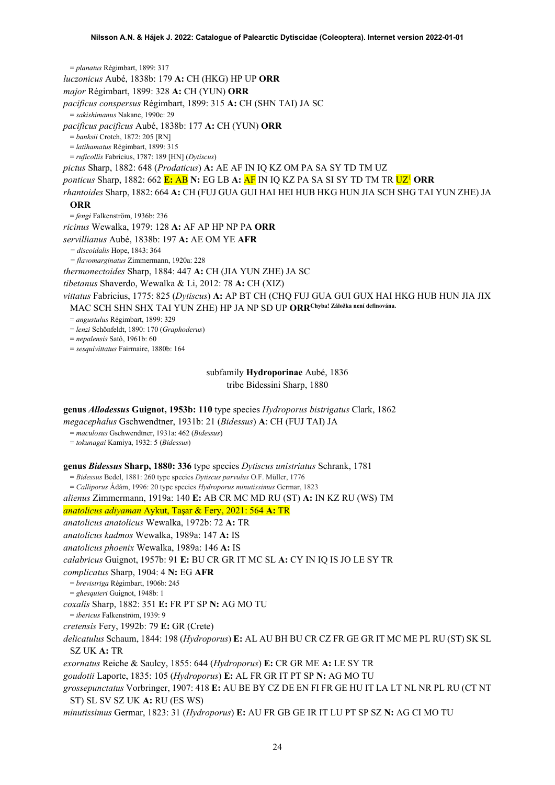= *planatus* Régimbart, 1899: 317 *luczonicus* Aubé, 1838b: 179 **A:** CH (HKG) HP UP **ORR** *major* Régimbart, 1899: 328 **A:** CH (YUN) **ORR** *pacificus conspersus* Régimbart, 1899: 315 **A:** CH (SHN TAI) JA SC = *sakishimanus* Nakane, 1990c: 29 *pacificus pacificus* Aubé, 1838b: 177 **A:** CH (YUN) **ORR** = *banksii* Crotch, 1872: 205 [RN] = *latihamatus* Régimbart, 1899: 315 = *ruficollis* Fabricius, 1787: 189 [HN] (*Dytiscus*) *pictus* Sharp, 1882: 648 (*Prodaticus*) **A:** AE AF IN IQ KZ OM PA SA SY TD TM UZ *ponticus* Sharp, 1882: 662 **E:** AB **N:** EG LB **A:** AF IN IQ KZ PA SA SI SY TD TM TR U[Z1](#page-2-0) **ORR** *rhantoides* Sharp, 1882: 664 **A:** CH (FUJ GUA GUI HAI HEI HUB HKG HUN JIA SCH SHG TAI YUN ZHE) JA **ORR** = *fengi* Falkenström, 1936b: 236 *ricinus* Wewalka, 1979: 128 **A:** AF AP HP NP PA **ORR** *servillianus* Aubé, 1838b: 197 **A:** AE OM YE **AFR** *= discoidalis* Hope, 1843: 364 *= flavomarginatus* Zimmermann, 1920a: 228 *thermonectoides* Sharp, 1884: 447 **A:** CH (JIA YUN ZHE) JA SC *tibetanus* Shaverdo, Wewalka & Li, 2012: 78 **A:** CH (XIZ) *vittatus* Fabricius, 1775: 825 (*Dytiscus*) **A:** AP BT CH (CHQ FUJ GUA GUI GUX HAI HKG HUB HUN JIA JIX MAC SCH SHN SHX TAI YUN ZHE) HP JA NP SD UP **ORRChyba! Záložka není definována.** = *angustulus* Régimbart, 1899: 329 = *lenzi* Schönfeldt, 1890: 170 (*Graphoderus*) = *nepalensis* Satô, 1961b: 60 = *sesquivittatus* Fairmaire, 1880b: 164 subfamily **Hydroporinae** Aubé, 1836

tribe Bidessini Sharp, 1880

### **genus** *Allodessus* **Guignot, 1953b: 110** type species *Hydroporus bistrigatus* Clark, 1862

*megacephalus* Gschwendtner, 1931b: 21 (*Bidessus*) **A**: CH (FUJ TAI) JA

= *maculosus* Gschwendtner, 1931a: 462 (*Bidessus*)

= *tokunagai* Kamiya, 1932: 5 (*Bidessus*)

### **genus** *Bidessus* **Sharp, 1880: 336** type species *Dytiscus unistriatus* Schrank, 1781

= *Bidessus* Bedel, 1881: 260 type species *Dytiscus parvulus* O.F. Müller, 1776

= *Calliporus* Ádám, 1996: 20 type species *Hydroporus minutissimus* Germar, 1823

*alienus* Zimmermann, 1919a: 140 **E:** AB CR MC MD RU (ST) **A:** IN KZ RU (WS) TM

*anatolicus adiyaman* Aykut, Taşar & Fery, 2021: 564 **A:** TR

*anatolicus anatolicus* Wewalka, 1972b: 72 **A:** TR

*anatolicus kadmos* Wewalka, 1989a: 147 **A:** IS

*anatolicus phoenix* Wewalka, 1989a: 146 **A:** IS

*calabricus* Guignot, 1957b: 91 **E:** BU CR GR IT MC SL **A:** CY IN IQ IS JO LE SY TR

*complicatus* Sharp, 1904: 4 **N:** EG **AFR**

= *brevistriga* Régimbart, 1906b: 245

= *ghesquieri* Guignot, 1948b: 1

*coxalis* Sharp, 1882: 351 **E:** FR PT SP **N:** AG MO TU

= *ibericus* Falkenström, 1939: 9

*cretensis* Fery, 1992b: 79 **E:** GR (Crete)

*delicatulus* Schaum, 1844: 198 (*Hydroporus*) **E:** AL AU BH BU CR CZ FR GE GR IT MC ME PL RU (ST) SK SL SZ UK **A:** TR

*exornatus* Reiche & Saulcy, 1855: 644 (*Hydroporus*) **E:** CR GR ME **A:** LE SY TR

*goudotii* Laporte, 1835: 105 (*Hydroporus*) **E:** AL FR GR IT PT SP **N:** AG MO TU

*grossepunctatus* Vorbringer, 1907: 418 **E:** AU BE BY CZ DE EN FI FR GE HU IT LA LT NL NR PL RU (CT NT ST) SL SV SZ UK **A:** RU (ES WS)

*minutissimus* Germar, 1823: 31 (*Hydroporus*) **E:** AU FR GB GE IR IT LU PT SP SZ **N:** AG CI MO TU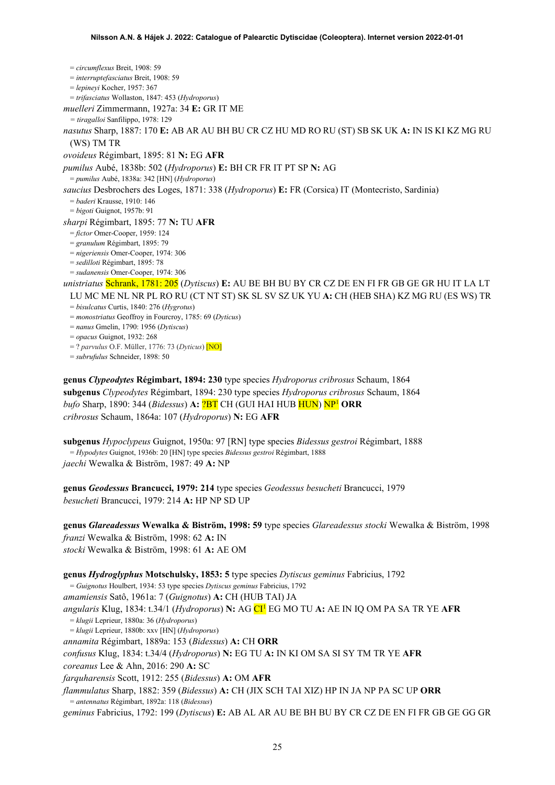= *circumflexus* Breit, 1908: 59 = *interruptefasciatus* Breit, 1908: 59 = *lepineyi* Kocher, 1957: 367 = *trifasciatus* Wollaston, 1847: 453 (*Hydroporus*) *muelleri* Zimmermann, 1927a: 34 **E:** GR IT ME *= tiragalloi* Sanfilippo, 1978: 129 *nasutus* Sharp, 1887: 170 **E:** AB AR AU BH BU CR CZ HU MD RO RU (ST) SB SK UK **A:** IN IS KI KZ MG RU (WS) TM TR *ovoideus* Régimbart, 1895: 81 **N:** EG **AFR** *pumilus* Aubé, 1838b: 502 (*Hydroporus*) **E:** BH CR FR IT PT SP **N:** AG = *pumilus* Aubé, 1838a: 342 [HN] (*Hydroporus*) *saucius* Desbrochers des Loges, 1871: 338 (*Hydroporus*) **E:** FR (Corsica) IT (Montecristo, Sardinia) = *baderi* Krausse, 1910: 146 = *bigoti* Guignot, 1957b: 91 *sharpi* Régimbart, 1895: 77 **N:** TU **AFR** = *fictor* Omer-Cooper, 1959: 124 = *granulum* Régimbart, 1895: 79 = *nigeriensis* Omer-Cooper, 1974: 306 = *sedilloti* Régimbart, 1895: 78 = *sudanensis* Omer-Cooper, 1974: 306 *unistriatus* Schrank, 1781: 205 (*Dytiscus*) **E:** AU BE BH BU BY CR CZ DE EN FI FR GB GE GR HU IT LA LT LU MC ME NL NR PL RO RU (CT NT ST) SK SL SV SZ UK YU **A:** CH (HEB SHA) KZ MG RU (ES WS) TR = *bisulcatus* Curtis, 1840: 276 (*Hygrotus*) = *monostriatus* Geoffroy in Fourcroy, 1785: 69 (*Dyticus*) = *nanus* Gmelin, 1790: 1956 (*Dytiscus*) = *opacus* Guignot, 1932: 268 = ? *parvulus* O.F. Müller, 1776: 73 (*Dyticus*) [NO]

= *subrufulus* Schneider, 1898: 50

**genus** *Clypeodytes* **Régimbart, 1894: 230** type species *Hydroporus cribrosus* Schaum, 1864 **subgenus** *Clypeodytes* Régimbart, 1894: 230 type species *Hydroporus cribrosus* Schaum, 1864 *bufo* Sharp, 1890: 344 (*Bidessus*) **A:** ?BT CH (GUI HAI HUB HUN) N[P1](#page-2-0) **ORR** *cribrosus* Schaum, 1864a: 107 (*Hydroporus*) **N:** EG **AFR**

**subgenus** *Hypoclypeus* Guignot, 1950a: 97 [RN] type species *Bidessus gestroi* Régimbart, 1888 = *Hypodytes* Guignot, 1936b: 20 [HN] type species *Bidessus gestroi* Régimbart, 1888 *jaechi* Wewalka & Biström, 1987: 49 **A:** NP

**genus** *Geodessus* **Brancucci, 1979: 214** type species *Geodessus besucheti* Brancucci, 1979 *besucheti* Brancucci, 1979: 214 **A:** HP NP SD UP

**genus** *Glareadessus* **Wewalka & Biström, 1998: 59** type species *Glareadessus stocki* Wewalka & Biström, 1998 *franzi* Wewalka & Biström, 1998: 62 **A:** IN *stocki* Wewalka & Biström, 1998: 61 **A:** AE OM

**genus** *Hydroglyphus* **Motschulsky, 1853: 5** type species *Dytiscus geminus* Fabricius, 1792 = *Guignotus* Houlbert, 1934: 53 type species *Dytiscus geminus* Fabricius, 1792 *amamiensis* Satô, 1961a: 7 (*Guignotus*) **A:** CH (HUB TAI) JA *angularis* Klug, 1834: t.34/1 (*Hydroporus*) **N:** AG C[I1](#page-2-0) EG MO TU **A:** AE IN IQ OM PA SA TR YE **AFR** = *klugii* Leprieur, 1880a: 36 (*Hydroporus*) = *klugii* Leprieur, 1880b: xxv [HN] (*Hydroporus*) *annamita* Régimbart, 1889a: 153 (*Bidessus*) **A:** CH **ORR** *confusus* Klug, 1834: t.34/4 (*Hydroporus*) **N:** EG TU **A:** IN KI OM SA SI SY TM TR YE **AFR** *coreanus* Lee & Ahn, 2016: 290 **A:** SC *farquharensis* Scott, 1912: 255 (*Bidessus*) **A:** OM **AFR** *flammulatus* Sharp, 1882: 359 (*Bidessus*) **A:** CH (JIX SCH TAI XIZ) HP IN JA NP PA SC UP **ORR** = *antennatus* Régimbart, 1892a: 118 (*Bidessus*)

*geminus* Fabricius, 1792: 199 (*Dytiscus*) **E:** AB AL AR AU BE BH BU BY CR CZ DE EN FI FR GB GE GG GR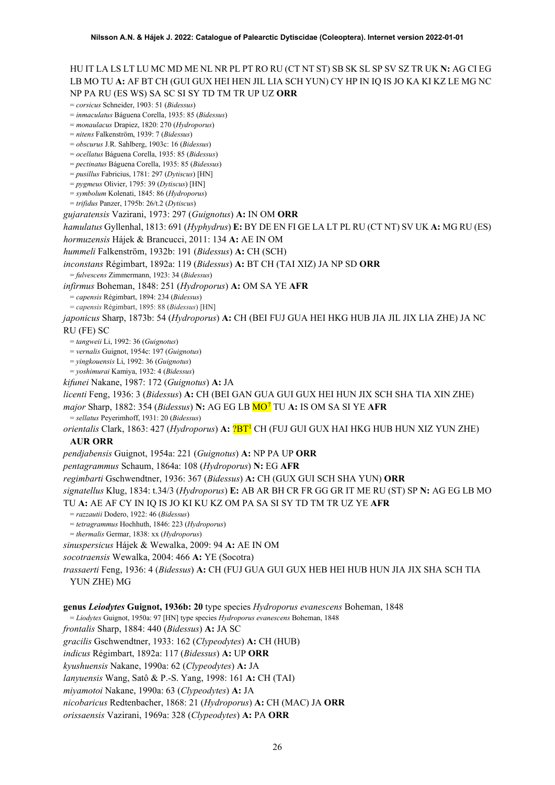## HU IT LA LS LT LU MC MD ME NL NR PL PT RO RU (CT NT ST) SB SK SL SP SV SZ TR UK **N:** AG CI EG LB MO TU **A:** AF BT CH (GUI GUX HEI HEN JIL LIA SCH YUN) CY HP IN IQ IS JO KA KI KZ LE MG NC NP PA RU (ES WS) SA SC SI SY TD TM TR UP UZ **ORR**

= *corsicus* Schneider, 1903: 51 (*Bidessus*)

= *inmaculatus* Báguena Corella, 1935: 85 (*Bidessus*)

= *monaulacus* Drapiez, 1820: 270 (*Hydroporus*)

= *nitens* Falkenström, 1939: 7 (*Bidessus*)

= *obscurus* J.R. Sahlberg, 1903c: 16 (*Bidessus*)

= *ocellatus* Báguena Corella, 1935: 85 (*Bidessus*)

= *pectinatus* Báguena Corella, 1935: 85 (*Bidessus*) = *pusillus* Fabricius, 1781: 297 (*Dytiscus*) [HN]

= *pygmeus* Olivier, 1795: 39 (*Dytiscus*) [HN]

= *symbolum* Kolenati, 1845: 86 (*Hydroporus*)

= *trifidus* Panzer, 1795b: 26/t.2 (*Dytiscus*)

*gujaratensis* Vazirani, 1973: 297 (*Guignotus*) **A:** IN OM **ORR**

*hamulatus* Gyllenhal, 1813: 691 (*Hyphydrus*) **E:** BY DE EN FI GE LA LT PL RU (CT NT) SV UK **A:** MG RU (ES)

*hormuzensis* Hájek & Brancucci, 2011: 134 **A:** AE IN OM

*hummeli* Falkenström, 1932b: 191 (*Bidessus*) **A:** CH (SCH)

*inconstans* Régimbart, 1892a: 119 (*Bidessus*) **A:** BT CH (TAI XIZ) JA NP SD **ORR**

= *fulvescens* Zimmermann, 1923: 34 (*Bidessus*)

*infirmus* Boheman, 1848: 251 (*Hydroporus*) **A:** OM SA YE **AFR**

= *capensis* Régimbart, 1894: 234 (*Bidessus*)

= *capensis* Régimbart, 1895: 88 (*Bidessus*) [HN]

*japonicus* Sharp, 1873b: 54 (*Hydroporus*) **A:** CH (BEI FUJ GUA HEI HKG HUB JIA JIL JIX LIA ZHE) JA NC RU (FE) SC

= *tangweii* Li, 1992: 36 (*Guignotus*)

= *vernalis* Guignot, 1954c: 197 (*Guignotus*)

= *yingkouensis* Li, 1992: 36 (*Guignotus*)

= *yoshimurai* Kamiya, 1932: 4 (*Bidessus*)

*kifunei* Nakane, 1987: 172 (*Guignotus*) **A:** JA

*licenti* Feng, 1936: 3 (*Bidessus*) **A:** CH (BEI GAN GUA GUI GUX HEI HUN JIX SCH SHA TIA XIN ZHE) *major* Sharp, 1882: 354 (*Bidessus*) **N:** AG EG LB MO[7](#page-52-6) TU **A:** IS OM SA SI YE **AFR**

= *sellatus* Peyerimhoff, 1931: 20 (*Bidessus*)

*orientalis* Clark, 1863: 427 (*Hydroporus*) **A:** ?B[T1](#page-2-0) CH (FUJ GUI GUX HAI HKG HUB HUN XIZ YUN ZHE)

### **AUR ORR**

*pendjabensis* Guignot, 1954a: 221 (*Guignotus*) **A:** NP PA UP **ORR**

*pentagrammus* Schaum, 1864a: 108 (*Hydroporus*) **N:** EG **AFR**

*regimbarti* Gschwendtner, 1936: 367 (*Bidessus*) **A:** CH (GUX GUI SCH SHA YUN) **ORR**

*signatellus* Klug, 1834: t.34/3 (*Hydroporus*) **E:** AB AR BH CR FR GG GR IT ME RU (ST) SP **N:** AG EG LB MO TU **A:** AE AF CY IN IQ IS JO KI KU KZ OM PA SA SI SY TD TM TR UZ YE **AFR** 

= *razzautii* Dodero, 1922: 46 (*Bidessus*)

= *tetragrammus* Hochhuth, 1846: 223 (*Hydroporus*)

= *thermalis* Germar, 1838: xx (*Hydroporus*)

*sinuspersicus* Hájek & Wewalka, 2009: 94 **A:** AE IN OM

*socotraensis* Wewalka, 2004: 466 **A:** YE (Socotra)

*trassaerti* Feng, 1936: 4 (*Bidessus*) **A:** CH (FUJ GUA GUI GUX HEB HEI HUB HUN JIA JIX SHA SCH TIA YUN ZHE) MG

**genus** *Leiodytes* **Guignot, 1936b: 20** type species *Hydroporus evanescens* Boheman, 1848

= *Liodytes* Guignot, 1950a: 97 [HN] type species *Hydroporus evanescens* Boheman, 1848

*frontalis* Sharp, 1884: 440 (*Bidessus*) **A:** JA SC

*gracilis* Gschwendtner, 1933: 162 (*Clypeodytes*) **A:** CH (HUB)

*indicus* Régimbart, 1892a: 117 (*Bidessus*) **A:** UP **ORR**

*kyushuensis* Nakane, 1990a: 62 (*Clypeodytes*) **A:** JA

*lanyuensis* Wang, Satô & P.-S. Yang, 1998: 161 **A:** CH (TAI)

*miyamotoi* Nakane, 1990a: 63 (*Clypeodytes*) **A:** JA

*nicobaricus* Redtenbacher, 1868: 21 (*Hydroporus*) **A:** CH (MAC) JA **ORR**

*orissaensis* Vazirani, 1969a: 328 (*Clypeodytes*) **A:** PA **ORR**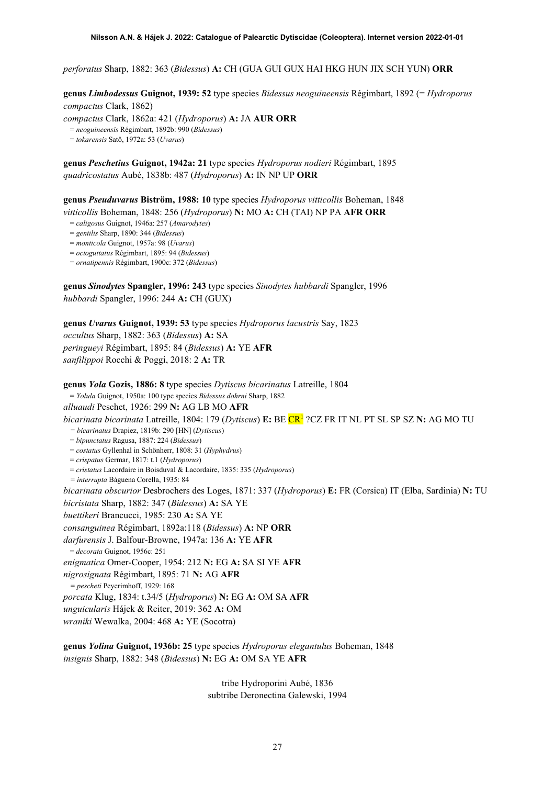*perforatus* Sharp, 1882: 363 (*Bidessus*) **A:** CH (GUA GUI GUX HAI HKG HUN JIX SCH YUN) **ORR**

**genus** *Limbodessus* **Guignot, 1939: 52** type species *Bidessus neoguineensis* Régimbart, 1892 (= *Hydroporus compactus* Clark, 1862)

*compactus* Clark, 1862a: 421 (*Hydroporus*) **A:** JA **AUR ORR**

= *neoguineensis* Régimbart, 1892b: 990 (*Bidessus*)

= *tokarensis* Satô, 1972a: 53 (*Uvarus*)

**genus** *Peschetius* **Guignot, 1942a: 21** type species *Hydroporus nodieri* Régimbart, 1895 *quadricostatus* Aubé, 1838b: 487 (*Hydroporus*) **A:** IN NP UP **ORR**

**genus** *Pseuduvarus* **Biström, 1988: 10** type species *Hydroporus vitticollis* Boheman, 1848

*vitticollis* Boheman, 1848: 256 (*Hydroporus*) **N:** MO **A:** CH (TAI) NP PA **AFR ORR**

= *caligosus* Guignot, 1946a: 257 (*Amarodytes*)

= *gentilis* Sharp, 1890: 344 (*Bidessus*)

= *monticola* Guignot, 1957a: 98 (*Uvarus*)

= *octoguttatus* Régimbart, 1895: 94 (*Bidessus*)

= *ornatipennis* Régimbart, 1900c: 372 (*Bidessus*)

**genus** *Sinodytes* **Spangler, 1996: 243** type species *Sinodytes hubbardi* Spangler, 1996 *hubbardi* Spangler, 1996: 244 **A:** CH (GUX)

**genus** *Uvarus* **Guignot, 1939: 53** type species *Hydroporus lacustris* Say, 1823 *occultus* Sharp, 1882: 363 (*Bidessus*) **A:** SA *peringueyi* Régimbart, 1895: 84 (*Bidessus*) **A:** YE **AFR** *sanfilippoi* Rocchi & Poggi, 2018: 2 **A:** TR

**genus** *Yola* **Gozis, 1886: 8** type species *Dytiscus bicarinatus* Latreille, 1804

= *Yolula* Guignot, 1950a: 100 type species *Bidessus dohrni* Sharp, 1882

*alluaudi* Peschet, 1926: 299 **N:** AG LB MO **AFR** *bicarinata bicarinata* Latreille, 1804: 179 (*Dytiscus*) **E:** BE C[R1](#page-2-0) ?CZ FR IT NL PT SL SP SZ **N:** AG MO TU *= bicarinatus* Drapiez, 1819b: 290 [HN] (*Dytiscus*) = *bipunctatus* Ragusa, 1887: 224 (*Bidessus*) = *costatus* Gyllenhal in Schönherr, 1808: 31 (*Hyphydrus*) = *crispatus* Germar, 1817: t.1 (*Hydroporus*) = *cristatus* Lacordaire in Boisduval & Lacordaire, 1835: 335 (*Hydroporus*) *= interrupta* Báguena Corella, 1935: 84 *bicarinata obscurior* Desbrochers des Loges, 1871: 337 (*Hydroporus*) **E:** FR (Corsica) IT (Elba, Sardinia) **N:** TU *bicristata* Sharp, 1882: 347 (*Bidessus*) **A:** SA YE *buettikeri* Brancucci, 1985: 230 **A:** SA YE *consanguinea* Régimbart, 1892a:118 (*Bidessus*) **A:** NP **ORR** *darfurensis* J. Balfour-Browne, 1947a: 136 **A:** YE **AFR** = *decorata* Guignot, 1956c: 251 *enigmatica* Omer-Cooper, 1954: 212 **N:** EG **A:** SA SI YE **AFR** *nigrosignata* Régimbart, 1895: 71 **N:** AG **AFR** *= pescheti* Peyerimhoff, 1929: 168 *porcata* Klug, 1834: t.34/5 (*Hydroporus*) **N:** EG **A:** OM SA **AFR** *unguicularis* Hájek & Reiter, 2019: 362 **A:** OM *wraniki* Wewalka, 2004: 468 **A:** YE (Socotra)

**genus** *Yolina* **Guignot, 1936b: 25** type species *Hydroporus elegantulus* Boheman, 1848 *insignis* Sharp, 1882: 348 (*Bidessus*) **N:** EG **A:** OM SA YE **AFR**

> tribe Hydroporini Aubé, 1836 subtribe Deronectina Galewski, 1994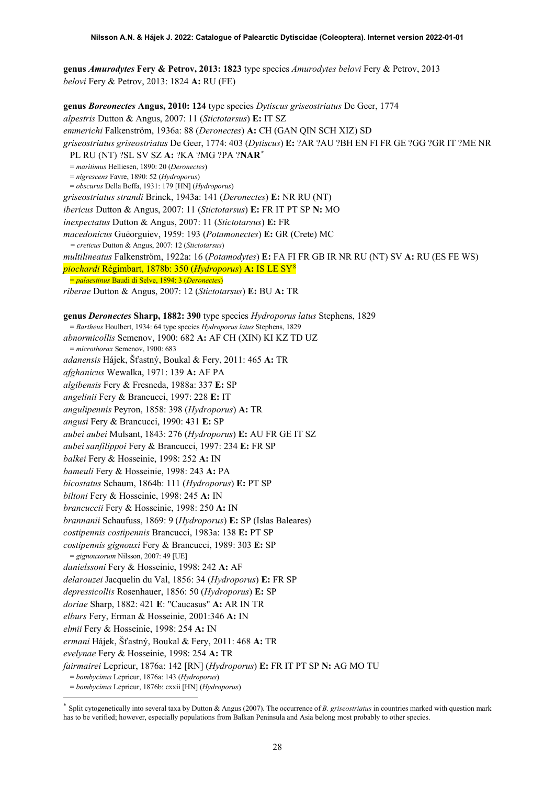**genus** *Amurodytes* **Fery & Petrov, 2013: 1823** type species *Amurodytes belovi* Fery & Petrov, 2013 *belovi* Fery & Petrov, 2013: 1824 **A:** RU (FE)

**genus** *Boreonectes* **Angus, 2010: 124** type species *Dytiscus griseostriatus* De Geer, 1774 *alpestris* Dutton & Angus, 2007: 11 (*Stictotarsus*) **E:** IT SZ *emmerichi* Falkenström, 1936a: 88 (*Deronectes*) **A:** CH (GAN QIN SCH XIZ) SD *griseostriatus griseostriatus* De Geer, 1774: 403 (*Dytiscus*) **E:** ?AR ?AU ?BH EN FI FR GE ?GG ?GR IT ?ME NR PL RU (NT) ?SL SV SZ **A:** ?KA ?MG ?PA ?**NAR[\\*](#page-27-0)** = *maritimus* Helliesen, 1890: 20 (*Deronectes*) = *nigrescens* Favre, 1890: 52 (*Hydroporus*) = *obscurus* Della Beffa, 1931: 179 [HN] (*Hydroporus*) *griseostriatus strandi* Brinck, 1943a: 141 (*Deronectes*) **E:** NR RU (NT) *ibericus* Dutton & Angus, 2007: 11 (*Stictotarsus*) **E:** FR IT PT SP **N:** MO *inexpectatus* Dutton & Angus, 2007: 11 (*Stictotarsus*) **E:** FR *macedonicus* Guéorguiev, 1959: 193 (*Potamonectes*) **E:** GR (Crete) MC *= creticus* Dutton & Angus, 2007: 12 (*Stictotarsus*) *multilineatus* Falkenström, 1922a: 16 (*Potamodytes*) **E:** FA FI FR GB IR NR RU (NT) SV **A:** RU (ES FE WS) *piochardi* Régimbart, 1878b: 350 (*Hydroporus*) **A:** IS LE SY[8](#page-52-7) = *palaestinus* Baudi di Selve, 1894: 3 (*Deronectes*) *riberae* Dutton & Angus, 2007: 12 (*Stictotarsus*) **E:** BU **A:** TR **genus** *Deronectes* **Sharp, 1882: 390** type species *Hydroporus latus* Stephens, 1829 = *Bartheus* Houlbert, 1934: 64 type species *Hydroporus latus* Stephens, 1829 *abnormicollis* Semenov, 1900: 682 **A:** AF CH (XIN) KI KZ TD UZ = *microthorax* Semenov, 1900: 683 *adanensis* Hájek, Šťastný, Boukal & Fery, 2011: 465 **A:** TR *afghanicus* Wewalka, 1971: 139 **A:** AF PA *algibensis* Fery & Fresneda, 1988a: 337 **E:** SP *angelinii* Fery & Brancucci, 1997: 228 **E:** IT *angulipennis* Peyron, 1858: 398 (*Hydroporus*) **A:** TR *angusi* Fery & Brancucci, 1990: 431 **E:** SP *aubei aubei* Mulsant, 1843: 276 (*Hydroporus*) **E:** AU FR GE IT SZ *aubei sanfilippoi* Fery & Brancucci, 1997: 234 **E:** FR SP *balkei* Fery & Hosseinie, 1998: 252 **A:** IN *bameuli* Fery & Hosseinie, 1998: 243 **A:** PA *bicostatus* Schaum, 1864b: 111 (*Hydroporus*) **E:** PT SP *biltoni* Fery & Hosseinie, 1998: 245 **A:** IN *brancuccii* Fery & Hosseinie, 1998: 250 **A:** IN *brannanii* Schaufuss, 1869: 9 (*Hydroporus*) **E:** SP (Islas Baleares) *costipennis costipennis* Brancucci, 1983a: 138 **E:** PT SP *costipennis gignouxi* Fery & Brancucci, 1989: 303 **E:** SP = *gignouxorum* Nilsson, 2007: 49 [UE] *danielssoni* Fery & Hosseinie, 1998: 242 **A:** AF *delarouzei* Jacquelin du Val, 1856: 34 (*Hydroporus*) **E:** FR SP *depressicollis* Rosenhauer, 1856: 50 (*Hydroporus*) **E:** SP *doriae* Sharp, 1882: 421 **E**: "Caucasus" **A:** AR IN TR *elburs* Fery, Erman & Hosseinie, 2001:346 **A:** IN *elmii* Fery & Hosseinie, 1998: 254 **A:** IN *ermani* Hájek, Šťastný, Boukal & Fery, 2011: 468 **A:** TR *evelynae* Fery & Hosseinie, 1998: 254 **A:** TR *fairmairei* Leprieur, 1876a: 142 [RN] (*Hydroporus*) **E:** FR IT PT SP **N:** AG MO TU = *bombycinus* Leprieur, 1876a: 143 (*Hydroporus*)

<sup>=</sup> *bombycinus* Leprieur, 1876b: cxxii [HN] (*Hydroporus*)

<span id="page-27-0"></span>Split cytogenetically into several taxa by Dutton & Angus (2007). The occurrence of *B. griseostriatus* in countries marked with question mark has to be verified; however, especially populations from Balkan Peninsula and Asia belong most probably to other species.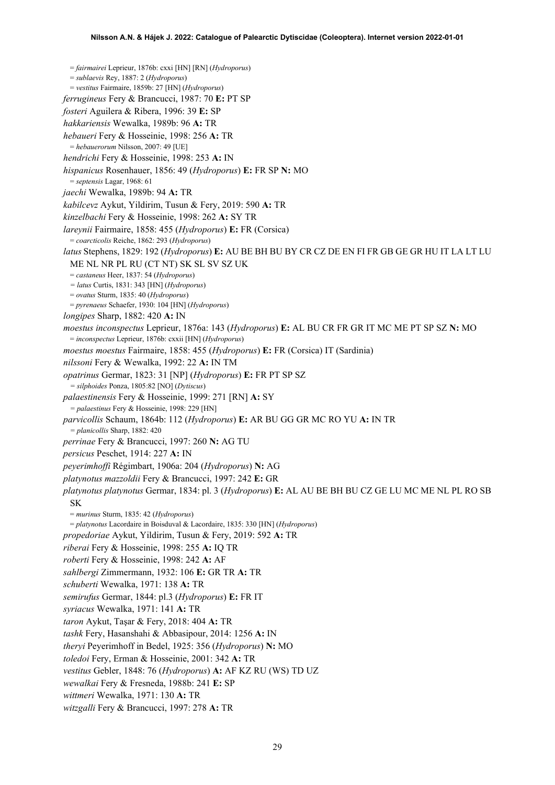= *fairmairei* Leprieur, 1876b: cxxi [HN] [RN] (*Hydroporus*) = *sublaevis* Rey, 1887: 2 (*Hydroporus*) = *vestitus* Fairmaire, 1859b: 27 [HN] (*Hydroporus*) *ferrugineus* Fery & Brancucci, 1987: 70 **E:** PT SP *fosteri* Aguilera & Ribera, 1996: 39 **E:** SP *hakkariensis* Wewalka, 1989b: 96 **A:** TR *hebaueri* Fery & Hosseinie, 1998: 256 **A:** TR = *hebauerorum* Nilsson, 2007: 49 [UE] *hendrichi* Fery & Hosseinie, 1998: 253 **A:** IN *hispanicus* Rosenhauer, 1856: 49 (*Hydroporus*) **E:** FR SP **N:** MO = *septensis* Lagar, 1968: 61 *jaechi* Wewalka, 1989b: 94 **A:** TR *kabilcevz* Aykut, Yildirim, Tusun & Fery, 2019: 590 **A:** TR *kinzelbachi* Fery & Hosseinie, 1998: 262 **A:** SY TR *lareynii* Fairmaire, 1858: 455 (*Hydroporus*) **E:** FR (Corsica) = *coarcticolis* Reiche, 1862: 293 (*Hydroporus*) *latus* Stephens, 1829: 192 (*Hydroporus*) **E:** AU BE BH BU BY CR CZ DE EN FI FR GB GE GR HU IT LA LT LU ME NL NR PL RU (CT NT) SK SL SV SZ UK = *castaneus* Heer, 1837: 54 (*Hydroporus*) *= latus* Curtis, 1831: 343 [HN] (*Hydroporus*) = *ovatus* Sturm, 1835: 40 (*Hydroporus*) = *pyrenaeus* Schaefer, 1930: 104 [HN] (*Hydroporus*) *longipes* Sharp, 1882: 420 **A:** IN *moestus inconspectus* Leprieur, 1876a: 143 (*Hydroporus*) **E:** AL BU CR FR GR IT MC ME PT SP SZ **N:** MO = *inconspectus* Leprieur, 1876b: cxxii [HN] (*Hydroporus*) *moestus moestus* Fairmaire, 1858: 455 (*Hydroporus*) **E:** FR (Corsica) IT (Sardinia) *nilssoni* Fery & Wewalka, 1992: 22 **A:** IN TM *opatrinus* Germar, 1823: 31 [NP] (*Hydroporus*) **E:** FR PT SP SZ *= silphoides* Ponza, 1805:82 [NO] (*Dytiscus*) *palaestinensis* Fery & Hosseinie, 1999: 271 [RN] **A:** SY *= palaestinus* Fery & Hosseinie, 1998: 229 [HN] *parvicollis* Schaum, 1864b: 112 (*Hydroporus*) **E:** AR BU GG GR MC RO YU **A:** IN TR *= planicollis* Sharp, 1882: 420 *perrinae* Fery & Brancucci, 1997: 260 **N:** AG TU *persicus* Peschet, 1914: 227 **A:** IN *peyerimhoffi* Régimbart, 1906a: 204 (*Hydroporus*) **N:** AG *platynotus mazzoldii* Fery & Brancucci, 1997: 242 **E:** GR *platynotus platynotus* Germar, 1834: pl. 3 (*Hydroporus*) **E:** AL AU BE BH BU CZ GE LU MC ME NL PL RO SB SK = *murinus* Sturm, 1835: 42 (*Hydroporus*) = *platynotus* Lacordaire in Boisduval & Lacordaire, 1835: 330 [HN] (*Hydroporus*) *propedoriae* Aykut, Yildirim, Tusun & Fery, 2019: 592 **A:** TR *riberai* Fery & Hosseinie, 1998: 255 **A:** IQ TR *roberti* Fery & Hosseinie, 1998: 242 **A:** AF *sahlbergi* Zimmermann, 1932: 106 **E:** GR TR **A:** TR *schuberti* Wewalka, 1971: 138 **A:** TR *semirufus* Germar, 1844: pl.3 (*Hydroporus*) **E:** FR IT *syriacus* Wewalka, 1971: 141 **A:** TR *taron* Aykut, Taşar & Fery, 2018: 404 **A:** TR *tashk* Fery, Hasanshahi & Abbasipour, 2014: 1256 **A:** IN *theryi* Peyerimhoff in Bedel, 1925: 356 (*Hydroporus*) **N:** MO *toledoi* Fery, Erman & Hosseinie, 2001: 342 **A:** TR *vestitus* Gebler, 1848: 76 (*Hydroporus*) **A:** AF KZ RU (WS) TD UZ *wewalkai* Fery & Fresneda, 1988b: 241 **E:** SP *wittmeri* Wewalka, 1971: 130 **A:** TR

*witzgalli* Fery & Brancucci, 1997: 278 **A:** TR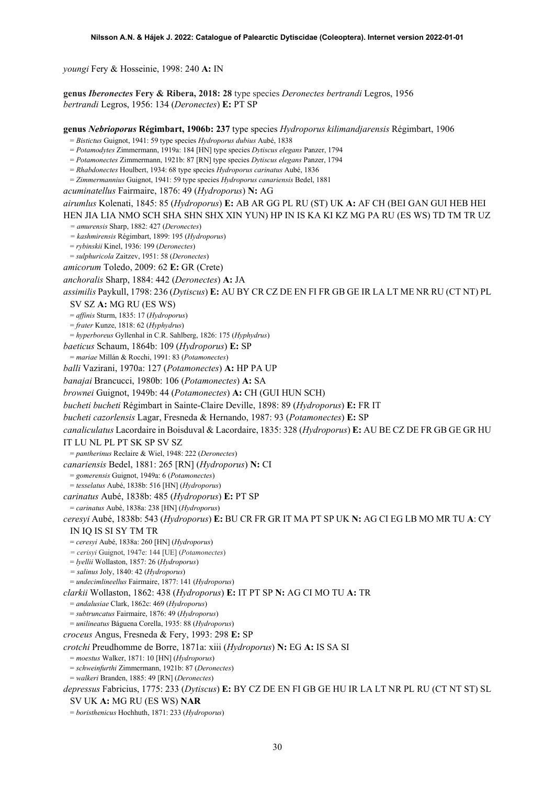*youngi* Fery & Hosseinie, 1998: 240 **A:** IN

**genus** *Iberonectes* **Fery & Ribera, 2018: 28** type species *Deronectes bertrandi* Legros, 1956 *bertrandi* Legros, 1956: 134 (*Deronectes*) **E:** PT SP

**genus** *Nebrioporus* **Régimbart, 1906b: 237** type species *Hydroporus kilimandjarensis* Régimbart, 1906 = *Bistictus* Guignot, 1941: 59 type species *Hydroporus dubius* Aubé, 1838 = *Potamodytes* Zimmermann, 1919a: 184 [HN] type species *Dytiscus elegans* Panzer, 1794 = *Potamonectes* Zimmermann, 1921b: 87 [RN] type species *Dytiscus elegans* Panzer, 1794 = *Rhabdonectes* Houlbert, 1934: 68 type species *Hydroporus carinatus* Aubé, 1836 = *Zimmermannius* Guignot, 1941: 59 type species *Hydroporus canariensis* Bedel, 1881 *acuminatellus* Fairmaire, 1876: 49 (*Hydroporus*) **N:** AG *airumlus* Kolenati, 1845: 85 (*Hydroporus*) **E:** AB AR GG PL RU (ST) UK **A:** AF CH (BEI GAN GUI HEB HEI HEN JIA LIA NMO SCH SHA SHN SHX XIN YUN) HP IN IS KA KI KZ MG PA RU (ES WS) TD TM TR UZ *= amurensis* Sharp, 1882: 427 (*Deronectes*) *= kashmirensis* Régimbart, 1899: 195 (*Hydroporus*) = *rybinskii* Kinel, 1936: 199 (*Deronectes*) = *sulphuricola* Zaitzev, 1951: 58 (*Deronectes*) *amicorum* Toledo, 2009: 62 **E:** GR (Crete) *anchoralis* Sharp, 1884: 442 (*Deronectes*) **A:** JA *assimilis* Paykull, 1798: 236 (*Dytiscus*) **E:** AU BY CR CZ DE EN FI FR GB GE IR LA LT ME NR RU (CT NT) PL SV SZ **A:** MG RU (ES WS) = *affinis* Sturm, 1835: 17 (*Hydroporus*) = *frater* Kunze, 1818: 62 (*Hyphydrus*) = *hyperboreus* Gyllenhal in C.R. Sahlberg, 1826: 175 (*Hyphydrus*) *baeticus* Schaum, 1864b: 109 (*Hydroporus*) **E:** SP = *mariae* Millán & Rocchi, 1991: 83 (*Potamonectes*) *balli* Vazirani, 1970a: 127 (*Potamonectes*) **A:** HP PA UP *banajai* Brancucci, 1980b: 106 (*Potamonectes*) **A:** SA *brownei* Guignot, 1949b: 44 (*Potamonectes*) **A:** CH (GUI HUN SCH) *bucheti bucheti* Régimbart in Sainte-Claire Deville, 1898: 89 (*Hydroporus*) **E:** FR IT *bucheti cazorlensis* Lagar, Fresneda & Hernando, 1987: 93 (*Potamonectes*) **E:** SP *canaliculatus* Lacordaire in Boisduval & Lacordaire, 1835: 328 (*Hydroporus*) **E:** AU BE CZ DE FR GB GE GR HU IT LU NL PL PT SK SP SV SZ = *pantherinus* Reclaire & Wiel, 1948: 222 (*Deronectes*) *canariensis* Bedel, 1881: 265 [RN] (*Hydroporus*) **N:** CI = *gomerensis* Guignot, 1949a: 6 (*Potamonectes*) = *tesselatus* Aubé, 1838b: 516 [HN] (*Hydroporus*) *carinatus* Aubé, 1838b: 485 (*Hydroporus*) **E:** PT SP = *carinatus* Aubé, 1838a: 238 [HN] (*Hydroporus*) *ceresyi* Aubé, 1838b: 543 (*Hydroporus*) **E:** BU CR FR GR IT MA PT SP UK **N:** AG CI EG LB MO MR TU **A**: CY IN IQ IS SI SY TM TR = *ceresyi* Aubé, 1838a: 260 [HN] (*Hydroporus*) *= cerisyi* Guignot, 1947e: 144 [UE] (*Potamonectes*) = *lyellii* Wollaston, 1857: 26 (*Hydroporus*) *= salinus* Joly, 1840: 42 (*Hydroporus*) = *undecimlineellus* Fairmaire, 1877: 141 (*Hydroporus*) *clarkii* Wollaston, 1862: 438 (*Hydroporus*) **E:** IT PT SP **N:** AG CI MO TU **A:** TR = *andalusiae* Clark, 1862c: 469 (*Hydroporus*) = *subtruncatus* Fairmaire, 1876: 49 (*Hydroporus*) = *unilineatus* Báguena Corella, 1935: 88 (*Hydroporus*) *croceus* Angus, Fresneda & Fery, 1993: 298 **E:** SP *crotchi* Preudhomme de Borre, 1871a: xiii (*Hydroporus*) **N:** EG **A:** IS SA SI = *moestus* Walker, 1871: 10 [HN] (*Hydroporus*) = *schweinfurthi* Zimmermann, 1921b: 87 (*Deronectes*) = *walkeri* Branden, 1885: 49 [RN] (*Deronectes*) *depressus* Fabricius, 1775: 233 (*Dytiscus*) **E:** BY CZ DE EN FI GB GE HU IR LA LT NR PL RU (CT NT ST) SL SV UK **A:** MG RU (ES WS) **NAR** = *boristhenicus* Hochhuth, 1871: 233 (*Hydroporus*)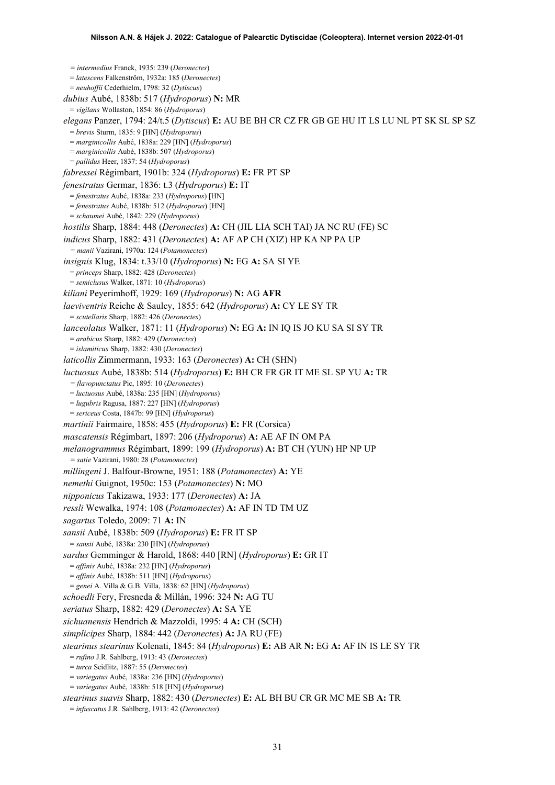*= intermedius* Franck, 1935: 239 (*Deronectes*) = *latescens* Falkenström, 1932a: 185 (*Deronectes*) = *neuhoffii* Cederhielm, 1798: 32 (*Dytiscus*) *dubius* Aubé, 1838b: 517 (*Hydroporus*) **N:** MR = *vigilans* Wollaston, 1854: 86 (*Hydroporus*) *elegans* Panzer, 1794: 24/t.5 (*Dytiscus*) **E:** AU BE BH CR CZ FR GB GE HU IT LS LU NL PT SK SL SP SZ = *brevis* Sturm, 1835: 9 [HN] (*Hydroporus*) = *marginicollis* Aubé, 1838a: 229 [HN] (*Hydroporus*) = *marginicollis* Aubé, 1838b: 507 (*Hydroporus*) = *pallidus* Heer, 1837: 54 (*Hydroporus*) *fabressei* Régimbart, 1901b: 324 (*Hydroporus*) **E:** FR PT SP *fenestratus* Germar, 1836: t.3 (*Hydroporus*) **E:** IT = *fenestratus* Aubé, 1838a: 233 (*Hydroporus*) [HN] = *fenestratus* Aubé, 1838b: 512 (*Hydroporus*) [HN] = *schaumei* Aubé, 1842: 229 (*Hydroporus*) *hostilis* Sharp, 1884: 448 (*Deronectes*) **A:** CH (JIL LIA SCH TAI) JA NC RU (FE) SC *indicus* Sharp, 1882: 431 (*Deronectes*) **A:** AF AP CH (XIZ) HP KA NP PA UP *= manii* Vazirani, 1970a: 124 (*Potamonectes*) *insignis* Klug, 1834: t.33/10 (*Hydroporus*) **N:** EG **A:** SA SI YE = *princeps* Sharp, 1882: 428 (*Deronectes*) = *semiclusus* Walker, 1871: 10 (*Hydroporus*) *kiliani* Peyerimhoff, 1929: 169 (*Hydroporus*) **N:** AG **AFR** *laeviventris* Reiche & Saulcy, 1855: 642 (*Hydroporus*) **A:** CY LE SY TR = *scutellaris* Sharp, 1882: 426 (*Deronectes*) *lanceolatus* Walker, 1871: 11 (*Hydroporus*) **N:** EG **A:** IN IQ IS JO KU SA SI SY TR = *arabicus* Sharp, 1882: 429 (*Deronectes*) = *islamiticus* Sharp, 1882: 430 (*Deronectes*) *laticollis* Zimmermann, 1933: 163 (*Deronectes*) **A:** CH (SHN) *luctuosus* Aubé, 1838b: 514 (*Hydroporus*) **E:** BH CR FR GR IT ME SL SP YU **A:** TR *= flavopunctatus* Pic, 1895: 10 (*Deronectes*) = *luctuosus* Aubé, 1838a: 235 [HN] (*Hydroporus*) = *lugubris* Ragusa, 1887: 227 [HN] (*Hydroporus*) = *sericeus* Costa, 1847b: 99 [HN] (*Hydroporus*) *martinii* Fairmaire, 1858: 455 (*Hydroporus*) **E:** FR (Corsica) *mascatensis* Régimbart, 1897: 206 (*Hydroporus*) **A:** AE AF IN OM PA *melanogrammus* Régimbart, 1899: 199 (*Hydroporus*) **A:** BT CH (YUN) HP NP UP *= satie* Vazirani, 1980: 28 (*Potamonectes*) *millingeni* J. Balfour-Browne, 1951: 188 (*Potamonectes*) **A:** YE *nemethi* Guignot, 1950c: 153 (*Potamonectes*) **N:** MO *nipponicus* Takizawa, 1933: 177 (*Deronectes*) **A:** JA *ressli* Wewalka, 1974: 108 (*Potamonectes*) **A:** AF IN TD TM UZ *sagartus* Toledo, 2009: 71 **A:** IN *sansii* Aubé, 1838b: 509 (*Hydroporus*) **E:** FR IT SP = *sansii* Aubé, 1838a: 230 [HN] (*Hydroporus*) *sardus* Gemminger & Harold, 1868: 440 [RN] (*Hydroporus*) **E:** GR IT = *affinis* Aubé, 1838a: 232 [HN] (*Hydroporus*) = *affinis* Aubé, 1838b: 511 [HN] (*Hydroporus*) = *genei* A. Villa & G.B. Villa, 1838: 62 [HN] (*Hydroporus*) *schoedli* Fery, Fresneda & Millán, 1996: 324 **N:** AG TU *seriatus* Sharp, 1882: 429 (*Deronectes*) **A:** SA YE *sichuanensis* Hendrich & Mazzoldi, 1995: 4 **A:** CH (SCH) *simplicipes* Sharp, 1884: 442 (*Deronectes*) **A:** JA RU (FE) *stearinus stearinus* Kolenati, 1845: 84 (*Hydroporus*) **E:** AB AR **N:** EG **A:** AF IN IS LE SY TR = *rufino* J.R. Sahlberg, 1913: 43 (*Deronectes*) = *turca* Seidlitz, 1887: 55 (*Deronectes*) = *variegatus* Aubé, 1838a: 236 [HN] (*Hydroporus*) = *variegatus* Aubé, 1838b: 518 [HN] (*Hydroporus*) *stearinus suavis* Sharp, 1882: 430 (*Deronectes*) **E:** AL BH BU CR GR MC ME SB **A:** TR = *infuscatus* J.R. Sahlberg, 1913: 42 (*Deronectes*)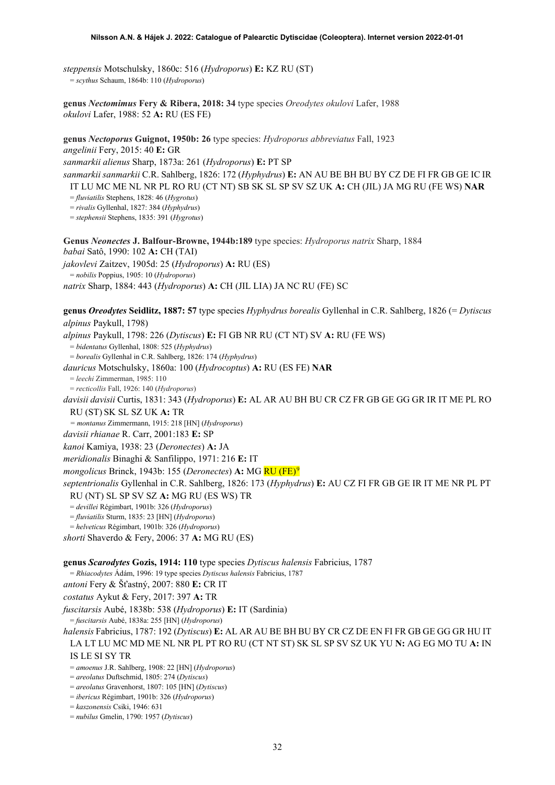*steppensis* Motschulsky, 1860c: 516 (*Hydroporus*) **E:** KZ RU (ST) = *scythus* Schaum, 1864b: 110 (*Hydroporus*)

**genus** *Nectomimus* **Fery & Ribera, 2018: 34** type species *Oreodytes okulovi* Lafer, 1988 *okulovi* Lafer, 1988: 52 **A:** RU (ES FE)

**genus** *Nectoporus* **Guignot, 1950b: 26** type species: *Hydroporus abbreviatus* Fall, 1923 *angelinii* Fery, 2015: 40 **E:** GR *sanmarkii alienus* Sharp, 1873a: 261 (*Hydroporus*) **E:** PT SP *sanmarkii sanmarkii* C.R. Sahlberg, 1826: 172 (*Hyphydrus*) **E:** AN AU BE BH BU BY CZ DE FI FR GB GE IC IR

IT LU MC ME NL NR PL RO RU (CT NT) SB SK SL SP SV SZ UK **A:** CH (JIL) JA MG RU (FE WS) **NAR**

= *fluviatilis* Stephens, 1828: 46 (*Hygrotus*)

= *rivalis* Gyllenhal, 1827: 384 (*Hyphydrus*)

= *stephensii* Stephens, 1835: 391 (*Hygrotus*)

**Genus** *Neonectes* **J. Balfour-Browne, 1944b:189** type species: *Hydroporus natrix* Sharp, 1884 *babai* Satô, 1990: 102 **A:** CH (TAI) *jakovlevi* Zaitzev, 1905d: 25 (*Hydroporus*) **A:** RU (ES)

= *nobilis* Poppius, 1905: 10 (*Hydroporus*)

*natrix* Sharp, 1884: 443 (*Hydroporus*) **A:** CH (JIL LIA) JA NC RU (FE) SC

**genus** *Oreodytes* **Seidlitz, 1887: 57** type species *Hyphydrus borealis* Gyllenhal in C.R. Sahlberg, 1826 (= *Dytiscus alpinus* Paykull, 1798)

*alpinus* Paykull, 1798: 226 (*Dytiscus*) **E:** FI GB NR RU (CT NT) SV **A:** RU (FE WS)

= *bidentatus* Gyllenhal, 1808: 525 (*Hyphydrus*)

= *borealis* Gyllenhal in C.R. Sahlberg, 1826: 174 (*Hyphydrus*)

*dauricus* Motschulsky, 1860a: 100 (*Hydrocoptus*) **A:** RU (ES FE) **NAR**

= *leechi* Zimmerman, 1985: 110

= *recticollis* Fall, 1926: 140 (*Hydroporus*)

*davisii davisii* Curtis, 1831: 343 (*Hydroporus*) **E:** AL AR AU BH BU CR CZ FR GB GE GG GR IR IT ME PL RO

RU (ST) SK SL SZ UK **A:** TR

*= montanus* Zimmermann, 1915: 218 [HN] (*Hydroporus*)

*davisii rhianae* R. Carr, 2001:183 **E:** SP

*kanoi* Kamiya, 1938: 23 (*Deronectes*) **A:** JA

*meridionalis* Binaghi & Sanfilippo, 1971: 216 **E:** IT

*mongolicus* Brinck, 1943b: 155 (*Deronectes*) **A:** MG RU (FE)[9](#page-52-8)

*septentrionalis* Gyllenhal in C.R. Sahlberg, 1826: 173 (*Hyphydrus*) **E:** AU CZ FI FR GB GE IR IT ME NR PL PT

RU (NT) SL SP SV SZ **A:** MG RU (ES WS) TR

= *devillei* Régimbart, 1901b: 326 (*Hydroporus*)

= *fluviatilis* Sturm, 1835: 23 [HN] (*Hydroporus*)

= *helveticus* Régimbart, 1901b: 326 (*Hydroporus*)

*shorti* Shaverdo & Fery, 2006: 37 **A:** MG RU (ES)

**genus** *Scarodytes* **Gozis, 1914: 110** type species *Dytiscus halensis* Fabricius, 1787

= *Rhiacodytes* Ádám, 1996: 19 type species *Dytiscus halensis* Fabricius, 1787

*antoni* Fery & Šťastný, 2007: 880 **E:** CR IT

*costatus* Aykut & Fery, 2017: 397 **A:** TR

*fuscitarsis* Aubé, 1838b: 538 (*Hydroporus*) **E:** IT (Sardinia)

= *fuscitarsis* Aubé, 1838a: 255 [HN] (*Hydroporus*)

*halensis* Fabricius, 1787: 192 (*Dytiscus*) **E:** AL AR AU BE BH BU BY CR CZ DE EN FI FR GB GE GG GR HU IT LA LT LU MC MD ME NL NR PL PT RO RU (CT NT ST) SK SL SP SV SZ UK YU **N:** AG EG MO TU **A:** IN IS LE SI SY TR

= *amoenus* J.R. Sahlberg, 1908: 22 [HN] (*Hydroporus*)

= *areolatus* Duftschmid, 1805: 274 (*Dytiscus*)

= *areolatus* Gravenhorst, 1807: 105 [HN] (*Dytiscus*)

= *ibericus* Régimbart, 1901b: 326 (*Hydroporus*)

= *kaszonensis* Csiki, 1946: 631

= *nubilus* Gmelin, 1790: 1957 (*Dytiscus*)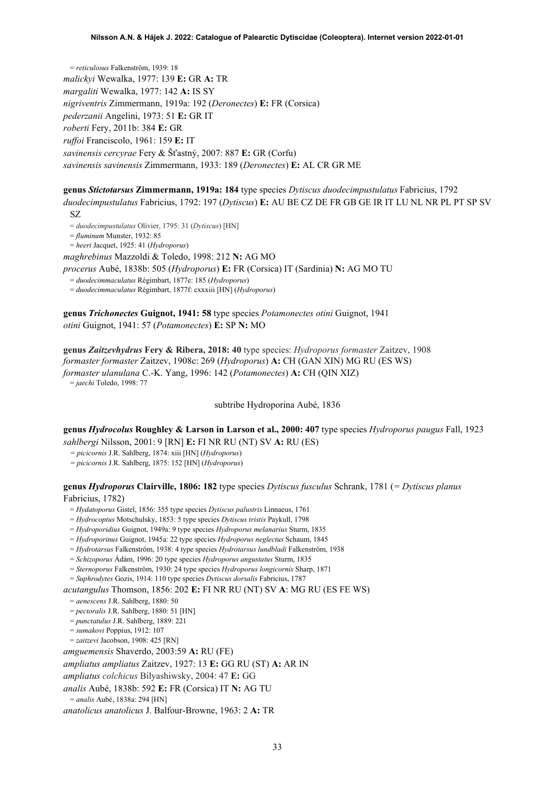= *reticulosus* Falkenström, 1939: 18 *malickyi* Wewalka, 1977: 139 **E:** GR **A:** TR *margaliti* Wewalka, 1977: 142 **A:** IS SY *nigriventris* Zimmermann, 1919a: 192 (*Deronectes*) **E:** FR (Corsica) *pederzanii* Angelini, 1973: 51 **E:** GR IT *roberti* Fery, 2011b: 384 **E:** GR *ruffoi* Franciscolo, 1961: 159 **E:** IT *savinensis cercyrae* Fery & Šťastný, 2007: 887 **E:** GR (Corfu) *savinensis savinensis* Zimmermann, 1933: 189 (*Deronectes*) **E:** AL CR GR ME

**genus** *Stictotarsus* **Zimmermann, 1919a: 184** type species *Dytiscus duodecimpustulatus* Fabricius, 1792

*duodecimpustulatus* Fabricius, 1792: 197 (*Dytiscus*) **E:** AU BE CZ DE FR GB GE IR IT LU NL NR PL PT SP SV SZ

= *duodecimpustulatus* Olivier, 1795: 31 (*Dytiscus*) [HN]

= *fluminum* Munster, 1932: 85

= *heeri* Jacquet, 1925: 41 (*Hydroporus*)

*maghrebinus* Mazzoldi & Toledo, 1998: 212 **N:** AG MO

*procerus* Aubé, 1838b: 505 (*Hydroporus*) **E:** FR (Corsica) IT (Sardinia) **N:** AG MO TU

= *duodecimmaculatus* Régimbart, 1877e: 185 (*Hydroporus*)

= *duodecimmaculatus* Régimbart, 1877f: cxxxiii [HN] (*Hydroporus*)

**genus** *Trichonectes* **Guignot, 1941: 58** type species *Potamonectes otini* Guignot, 1941 *otini* Guignot, 1941: 57 (*Potamonectes*) **E:** SP **N:** MO

**genus** *Zaitzevhydrus* **Fery & Ribera, 2018: 40** type species: *Hydroporus formaster* Zaitzev, 1908 *formaster formaster* Zaitzev, 1908c: 269 (*Hydroporus*) **A:** CH (GAN XIN) MG RU (ES WS) *formaster ulanulana* C.-K. Yang, 1996: 142 (*Potamonectes*) **A:** CH (QIN XIZ) = *jaechi* Toledo, 1998: 77

subtribe Hydroporina Aubé, 1836

**genus** *Hydrocolus* **Roughley & Larson in Larson et al., 2000: 407** type species *Hydroporus paugus* Fall, 1923

*sahlbergi* Nilsson, 2001: 9 [RN] **E:** FI NR RU (NT) SV **A:** RU (ES)

*= picicornis* J.R. Sahlberg, 1874: xiii [HN] (*Hydroporus*)

*= picicornis* J.R. Sahlberg, 1875: 152 [HN] (*Hydroporus*)

**genus** *Hydroporus* **Clairville, 1806: 182** type species *Dytiscus fusculus* Schrank, 1781 (*= Dytiscus planus* Fabricius, 1782)

= *Hydatoporus* Gistel, 1856: 355 type species *Dytiscus palustris* Linnaeus, 1761

= *Hydrocoptus* Motschulsky, 1853: 5 type species *Dytiscus tristis* Paykull, 1798

= *Hydroporidius* Guignot, 1949a: 9 type species *Hydroporus melanarius* Sturm, 1835

= *Hydroporinus* Guignot, 1945a: 22 type species *Hydroporus neglectus* Schaum, 1845

= *Hydrotarsus* Falkenström, 1938: 4 type species *Hydrotarsus lundbladi* Falkenström, 1938

= *Schizoporus* Ádám, 1996: 20 type species *Hydroporus angustatus* Sturm, 1835

= *Sternoporus* Falkenström, 1930: 24 type species *Hydroporus longicornis* Sharp, 1871

= *Suphrodytes* Gozis, 1914: 110 type species *Dytiscus dorsalis* Fabricius, 1787

*acutangulus* Thomson, 1856: 202 **E:** FI NR RU (NT) SV **A**: MG RU (ES FE WS)

= *aenescens* J.R. Sahlberg, 1880: 50

= *pectoralis* J.R. Sahlberg, 1880: 51 [HN]

= *punctatulus* J.R. Sahlberg, 1889: 221

= *sumakovi* Poppius, 1912: 107

= *zaitzevi* Jacobson, 1908: 425 [RN]

*amguemensis* Shaverdo, 2003:59 **A:** RU (FE)

*ampliatus ampliatus* Zaitzev, 1927: 13 **E:** GG RU (ST) **A:** AR IN

*ampliatus colchicus* Bilyashiwsky, 2004: 47 **E:** GG

*analis* Aubé, 1838b: 592 **E:** FR (Corsica) IT **N:** AG TU

= *analis* Aubé, 1838a: 294 [HN]

*anatolicus anatolicus* J. Balfour-Browne, 1963: 2 **A:** TR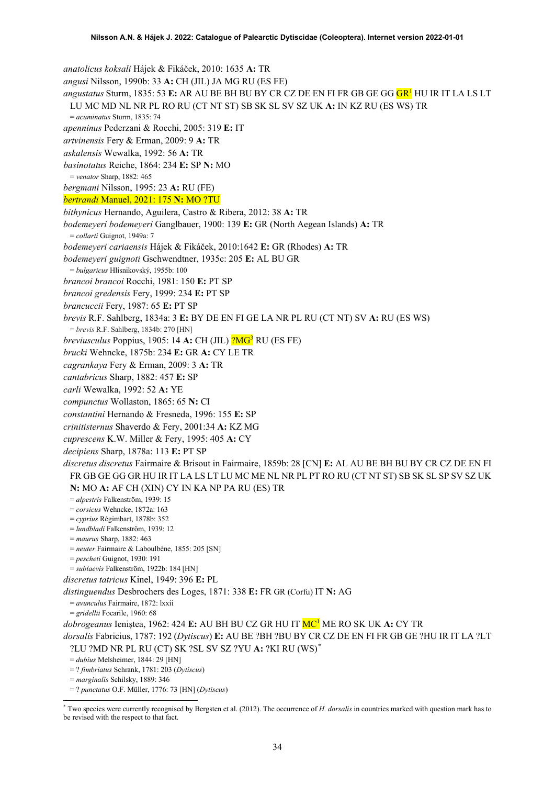*anatolicus koksali* Hájek & Fikáček, 2010: 1635 **A:** TR *angusi* Nilsson, 1990b: 33 **A:** CH (JIL) JA MG RU (ES FE) *angustatus* Sturm, 1835: 53 **E:** AR AU BE BH BU BY CR CZ DE EN FI FR GB GE GG G[R1](#page-2-0) HU IR IT LA LS LT LU MC MD NL NR PL RO RU (CT NT ST) SB SK SL SV SZ UK **A:** IN KZ RU (ES WS) TR = *acuminatus* Sturm, 1835: 74 *apenninus* Pederzani & Rocchi, 2005: 319 **E:** IT *artvinensis* Fery & Erman, 2009: 9 **A:** TR *askalensis* Wewalka, 1992: 56 **A:** TR *basinotatus* Reiche, 1864: 234 **E:** SP **N:** MO = *venator* Sharp, 1882: 465 *bergmani* Nilsson, 1995: 23 **A:** RU (FE) *bertrandi* Manuel, 2021: 175 **N:** MO ?TU *bithynicus* Hernando, Aguilera, Castro & Ribera, 2012: 38 **A:** TR *bodemeyeri bodemeyeri* Ganglbauer, 1900: 139 **E:** GR (North Aegean Islands) **A:** TR = *collarti* Guignot, 1949a: 7 *bodemeyeri cariaensis* Hájek & Fikáček, 2010:1642 **E:** GR (Rhodes) **A:** TR *bodemeyeri guignoti* Gschwendtner, 1935c: 205 **E:** AL BU GR = *bulgaricus* Hlisnikovský, 1955b: 100 *brancoi brancoi* Rocchi, 1981: 150 **E:** PT SP *brancoi gredensis* Fery, 1999: 234 **E:** PT SP *brancuccii* Fery, 1987: 65 **E:** PT SP *brevis* R.F. Sahlberg, 1834a: 3 **E:** BY DE EN FI GE LA NR PL RU (CT NT) SV **A:** RU (ES WS) = *brevis* R.F. Sahlberg, 1834b: 270 [HN] *breviusculus* Poppius, 1905: 14 A: CH (JIL) <sup>?</sup>MG<sup>3</sup> RU (ES FE) *brucki* Wehncke, 1875b: 234 **E:** GR **A:** CY LE TR *cagrankaya* Fery & Erman, 2009: 3 **A:** TR *cantabricus* Sharp, 1882: 457 **E:** SP *carli* Wewalka, 1992: 52 **A:** YE *compunctus* Wollaston, 1865: 65 **N:** CI *constantini* Hernando & Fresneda, 1996: 155 **E:** SP *crinitisternus* Shaverdo & Fery, 2001:34 **A:** KZ MG *cuprescens* K.W. Miller & Fery, 1995: 405 **A:** CY *decipiens* Sharp, 1878a: 113 **E:** PT SP *discretus discretus* Fairmaire & Brisout in Fairmaire, 1859b: 28 [CN] **E:** AL AU BE BH BU BY CR CZ DE EN FI FR GB GE GG GR HU IR IT LA LS LT LU MC ME NL NR PL PT RO RU (CT NT ST) SB SK SL SP SV SZ UK **N:** MO **A:** AF CH (XIN) CY IN KA NP PA RU (ES) TR = *alpestris* Falkenström, 1939: 15 = *corsicus* Wehncke, 1872a: 163 = *cyprius* Régimbart, 1878b: 352 = *lundbladi* Falkenström, 1939: 12 = *maurus* Sharp, 1882: 463 = *neuter* Fairmaire & Laboulbène, 1855: 205 [SN] = *pescheti* Guignot, 1930: 191 = *sublaevis* Falkenström, 1922b: 184 [HN] *discretus tatricus* Kinel, 1949: 396 **E:** PL *distinguendus* Desbrochers des Loges, 1871: 338 **E:** FR GR (Corfu) IT **N:** AG = *avunculus* Fairmaire, 1872: lxxii = *gridellii* Focarile, 1960: 68 *dobrogeanus* Ieniştea, 1962: 424 **E:** AU BH BU CZ GR HU IT M[C1](#page-2-0) ME RO SK UK **A:** CY TR *dorsalis* Fabricius, 1787: 192 (*Dytiscus*) **E:** AU BE ?BH ?BU BY CR CZ DE EN FI FR GB GE ?HU IR IT LA ?LT ?LU ?MD NR PL RU (CT) SK ?SL SV SZ ?YU **A:** ?KI RU (WS)[\\*](#page-33-0) = *dubius* Melsheimer, 1844: 29 [HN] = ? *fimbriatus* Schrank, 1781: 203 (*Dytiscus*) = *marginalis* Schilsky, 1889: 346 = ? *punctatus* O.F. Müller, 1776: 73 [HN] (*Dytiscus*)

<span id="page-33-0"></span><sup>\*</sup> Two species were currently recognised by Bergsten et al. (2012). The occurrence of *H. dorsalis* in countries marked with question mark has to be revised with the respect to that fact.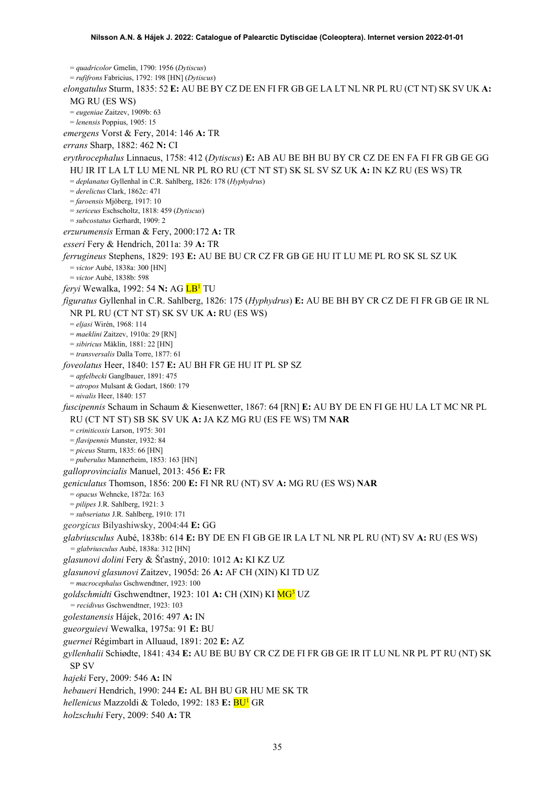= *quadricolor* Gmelin, 1790: 1956 (*Dytiscus*) = *rufifrons* Fabricius, 1792: 198 [HN] (*Dytiscus*) *elongatulus* Sturm, 1835: 52 **E:** AU BE BY CZ DE EN FI FR GB GE LA LT NL NR PL RU (CT NT) SK SV UK **A:**  MG RU (ES WS) = *eugeniae* Zaitzev, 1909b: 63 = *lenensis* Poppius, 1905: 15 *emergens* Vorst & Fery, 2014: 146 **A:** TR *errans* Sharp, 1882: 462 **N:** CI *erythrocephalus* Linnaeus, 1758: 412 (*Dytiscus*) **E:** AB AU BE BH BU BY CR CZ DE EN FA FI FR GB GE GG HU IR IT LA LT LU ME NL NR PL RO RU (CT NT ST) SK SL SV SZ UK **A:** IN KZ RU (ES WS) TR = *deplanatus* Gyllenhal in C.R. Sahlberg, 1826: 178 (*Hyphydrus*) = *derelictus* Clark, 1862c: 471 = *faroensis* Mjöberg, 1917: 10 = *sericeus* Eschscholtz, 1818: 459 (*Dytiscus*) = *subcostatus* Gerhardt, 1909: 2 *erzurumensis* Erman & Fery, 2000:172 **A:** TR *esseri* Fery & Hendrich, 2011a: 39 **A:** TR *ferrugineus* Stephens, 1829: 193 **E:** AU BE BU CR CZ FR GB GE HU IT LU ME PL RO SK SL SZ UK = *victor* Aubé, 1838a: 300 [HN] = *victor* Aubé, 1838b: 598 *feryi* Wewalka, 1992: 54 **N:** AG L[B1](#page-2-0) TU *figuratus* Gyllenhal in C.R. Sahlberg, 1826: 175 (*Hyphydrus*) **E:** AU BE BH BY CR CZ DE FI FR GB GE IR NL NR PL RU (CT NT ST) SK SV UK **A:** RU (ES WS) = *eljasi* Wirén, 1968: 114 = *maeklini* Zaitzev, 1910a: 29 [RN] = *sibiricus* Mäklin, 1881: 22 [HN] = *transversalis* Dalla Torre, 1877: 61 *foveolatus* Heer, 1840: 157 **E:** AU BH FR GE HU IT PL SP SZ = *apfelbecki* Ganglbauer, 1891: 475 = *atropos* Mulsant & Godart, 1860: 179 = *nivalis* Heer, 1840: 157 *fuscipennis* Schaum in Schaum & Kiesenwetter, 1867: 64 [RN] **E:** AU BY DE EN FI GE HU LA LT MC NR PL RU (CT NT ST) SB SK SV UK **A:** JA KZ MG RU (ES FE WS) TM **NAR** = *criniticoxis* Larson, 1975: 301 = *flavipennis* Munster, 1932: 84 = *piceus* Sturm, 1835: 66 [HN] = *puberulus* Mannerheim, 1853: 163 [HN] *galloprovincialis* Manuel, 2013: 456 **E:** FR *geniculatus* Thomson, 1856: 200 **E:** FI NR RU (NT) SV **A:** MG RU (ES WS) **NAR** = *opacus* Wehncke, 1872a: 163 = *pilipes* J.R. Sahlberg, 1921: 3 = *subseriatus* J.R. Sahlberg, 1910: 171 *georgicus* Bilyashiwsky, 2004:44 **E:** GG *glabriusculus* Aubé, 1838b: 614 **E:** BY DE EN FI GB GE IR LA LT NL NR PL RU (NT) SV **A:** RU (ES WS) *= glabriusculus* Aubé, 1838a: 312 [HN] *glasunovi dolini* Fery & Šťastný, 2010: 1012 **A:** KI KZ UZ *glasunovi glasunovi* Zaitzev, 1905d: 26 **A:** AF CH (XIN) KI TD UZ = *macrocephalus* Gschwendtner, 1923: 100 *goldschmidti* Gschwendtner, 1923: 101 **A:** CH (XIN) KI M[G3](#page-4-0) UZ *= recidivus* Gschwendtner, 1923: 103 *golestanensis* Hájek, 2016: 497 **A:** IN *gueorguievi* Wewalka, 1975a: 91 **E:** BU *guernei* Régimbart in Alluaud, 1891: 202 **E:** AZ *gyllenhalii* Schiødte, 1841: 434 **E:** AU BE BU BY CR CZ DE FI FR GB GE IR IT LU NL NR PL PT RU (NT) SK SP SV *hajeki* Fery, 2009: 546 **A:** IN *hebaueri* Hendrich, 1990: 244 **E:** AL BH BU GR HU ME SK TR *hellenicus* Mazzoldi & Toledo, 1992: 183 **E:** B[U1](#page-2-0) GR *holzschuhi* Fery, 2009: 540 **A:** TR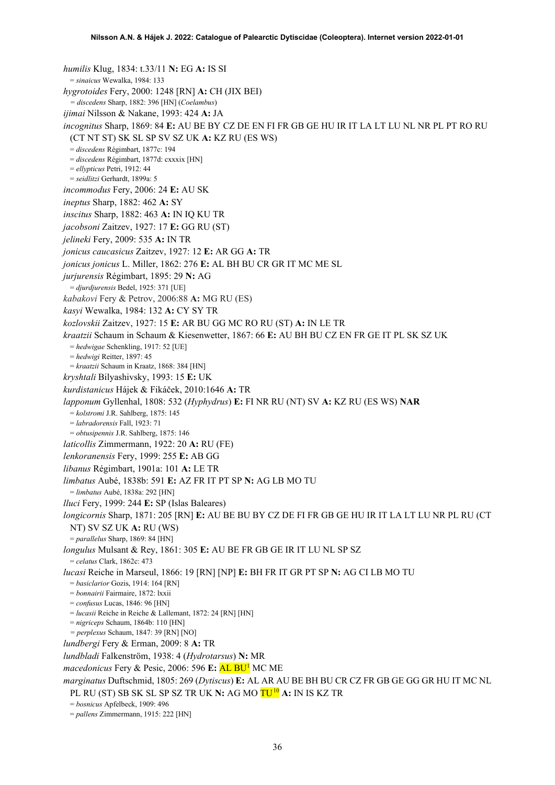*humilis* Klug, 1834: t.33/11 **N:** EG **A:** IS SI = *sinaicus* Wewalka, 1984: 133 *hygrotoides* Fery, 2000: 1248 [RN] **A:** CH (JIX BEI) *= discedens* Sharp, 1882: 396 [HN] (*Coelambus*) *ijimai* Nilsson & Nakane, 1993: 424 **A:** JA *incognitus* Sharp, 1869: 84 **E:** AU BE BY CZ DE EN FI FR GB GE HU IR IT LA LT LU NL NR PL PT RO RU (CT NT ST) SK SL SP SV SZ UK **A:** KZ RU (ES WS) = *discedens* Régimbart, 1877c: 194 = *discedens* Régimbart, 1877d: cxxxix [HN] = *ellypticus* Petri, 1912: 44 = *seidlitzi* Gerhardt, 1899a: 5 *incommodus* Fery, 2006: 24 **E:** AU SK *ineptus* Sharp, 1882: 462 **A:** SY *inscitus* Sharp, 1882: 463 **A:** IN IQ KU TR *jacobsoni* Zaitzev, 1927: 17 **E:** GG RU (ST) *jelineki* Fery, 2009: 535 **A:** IN TR *jonicus caucasicus* Zaitzev, 1927: 12 **E:** AR GG **A:** TR *jonicus jonicus* L. Miller, 1862: 276 **E:** AL BH BU CR GR IT MC ME SL *jurjurensis* Régimbart, 1895: 29 **N:** AG = *djurdjurensis* Bedel, 1925: 371 [UE] *kabakovi* Fery & Petrov, 2006:88 **A:** MG RU (ES) *kasyi* Wewalka, 1984: 132 **A:** CY SY TR *kozlovskii* Zaitzev, 1927: 15 **E:** AR BU GG MC RO RU (ST) **A:** IN LE TR *kraatzii* Schaum in Schaum & Kiesenwetter, 1867: 66 **E:** AU BH BU CZ EN FR GE IT PL SK SZ UK = *hedwigae* Schenkling, 1917: 52 [UE] = *hedwigi* Reitter, 1897: 45 = *kraatzii* Schaum in Kraatz, 1868: 384 [HN] *kryshtali* Bilyashivsky, 1993: 15 **E:** UK *kurdistanicus* Hájek & Fikáček, 2010:1646 **A:** TR *lapponum* Gyllenhal, 1808: 532 (*Hyphydrus*) **E:** FI NR RU (NT) SV **A:** KZ RU (ES WS) **NAR** = *kolstromi* J.R. Sahlberg, 1875: 145 = *labradorensis* Fall, 1923: 71 = *obtusipennis* J.R. Sahlberg, 1875: 146 *laticollis* Zimmermann, 1922: 20 **A:** RU (FE) *lenkoranensis* Fery, 1999: 255 **E:** AB GG *libanus* Régimbart, 1901a: 101 **A:** LE TR *limbatus* Aubé, 1838b: 591 **E:** AZ FR IT PT SP **N:** AG LB MO TU = *limbatus* Aubé, 1838a: 292 [HN] *lluci* Fery, 1999: 244 **E:** SP (Islas Baleares) *longicornis* Sharp, 1871: 205 [RN] **E:** AU BE BU BY CZ DE FI FR GB GE HU IR IT LA LT LU NR PL RU (CT NT) SV SZ UK **A:** RU (WS) = *parallelus* Sharp, 1869: 84 [HN] *longulus* Mulsant & Rey, 1861: 305 **E:** AU BE FR GB GE IR IT LU NL SP SZ = *celatus* Clark, 1862c: 473 *lucasi* Reiche in Marseul, 1866: 19 [RN] [NP] **E:** BH FR IT GR PT SP **N:** AG CI LB MO TU = *basiclarior* Gozis, 1914: 164 [RN] = *bonnairii* Fairmaire, 1872: lxxii = *confusus* Lucas, 1846: 96 [HN] = *lucasii* Reiche in Reiche & Lallemant, 1872: 24 [RN] [HN] = *nigriceps* Schaum, 1864b: 110 [HN] *= perplexus* Schaum, 1847: 39 [RN] [NO] *lundbergi* Fery & Erman, 2009: 8 **A:** TR *lundbladi* Falkenström, 1938: 4 (*Hydrotarsus*) **N:** MR *macedonicus* Fery & Pesic, 2006: 596 **E:** AL B[U1](#page-2-0) MC ME *marginatus* Duftschmid, 1805: 269 (*Dytiscus*) **E:** AL AR AU BE BH BU CR CZ FR GB GE GG GR HU IT MC NL PL RU (ST) SB SK SL SP SZ TR UK **N:** AG MO TU[10](#page-52-9) **A:** IN IS KZ TR = *bosnicus* Apfelbeck, 1909: 496 = *pallens* Zimmermann, 1915: 222 [HN]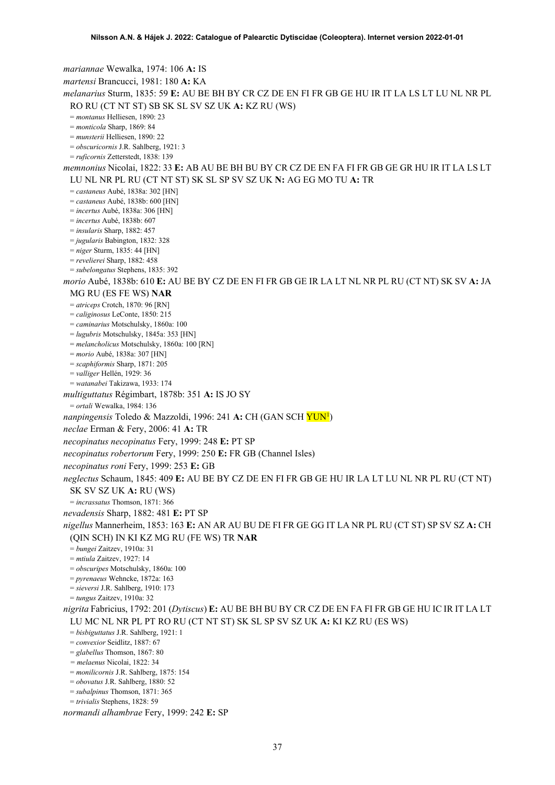*mariannae* Wewalka, 1974: 106 **A:** IS *martensi* Brancucci, 1981: 180 **A:** KA *melanarius* Sturm, 1835: 59 **E:** AU BE BH BY CR CZ DE EN FI FR GB GE HU IR IT LA LS LT LU NL NR PL RO RU (CT NT ST) SB SK SL SV SZ UK **A:** KZ RU (WS) = *montanus* Helliesen, 1890: 23 = *monticola* Sharp, 1869: 84 = *munsterii* Helliesen, 1890: 22 = *obscuricornis* J.R. Sahlberg, 1921: 3 = *ruficornis* Zetterstedt, 1838: 139 *memnonius* Nicolai, 1822: 33 **E:** AB AU BE BH BU BY CR CZ DE EN FA FI FR GB GE GR HU IR IT LA LS LT LU NL NR PL RU (CT NT ST) SK SL SP SV SZ UK **N:** AG EG MO TU **A:** TR = *castaneus* Aubé, 1838a: 302 [HN] = *castaneus* Aubé, 1838b: 600 [HN] = *incertus* Aubé, 1838a: 306 [HN] = *incertus* Aubé, 1838b: 607 = *insularis* Sharp, 1882: 457 = *jugularis* Babington, 1832: 328 = *niger* Sturm, 1835: 44 [HN] = *revelierei* Sharp, 1882: 458 = *subelongatus* Stephens, 1835: 392 *morio* Aubé, 1838b: 610 **E:** AU BE BY CZ DE EN FI FR GB GE IR LA LT NL NR PL RU (CT NT) SK SV **A:** JA MG RU (ES FE WS) **NAR** = *atriceps* Crotch, 1870: 96 [RN] = *caliginosus* LeConte, 1850: 215 = *caminarius* Motschulsky, 1860a: 100 = *lugubris* Motschulsky, 1845a: 353 [HN] = *melancholicus* Motschulsky, 1860a: 100 [RN] = *morio* Aubé, 1838a: 307 [HN] = *scaphiformis* Sharp, 1871: 205 = *valliger* Hellén, 1929: 36 = *watanabei* Takizawa, 1933: 174 *multiguttatus* Régimbart, 1878b: 351 **A:** IS JO SY = *ortali* Wewalka, 1984: 136 *nanpingensis* Toledo & Mazzoldi, 1996: 241 **A:** CH (GAN SCH YU[N1](#page-2-0) ) *neclae* Erman & Fery, 2006: 41 **A:** TR *necopinatus necopinatus* Fery, 1999: 248 **E:** PT SP *necopinatus robertorum* Fery, 1999: 250 **E:** FR GB (Channel Isles) *necopinatus roni* Fery, 1999: 253 **E:** GB *neglectus* Schaum, 1845: 409 **E:** AU BE BY CZ DE EN FI FR GB GE HU IR LA LT LU NL NR PL RU (CT NT) SK SV SZ UK **A:** RU (WS) = *incrassatus* Thomson, 1871: 366 *nevadensis* Sharp, 1882: 481 **E:** PT SP *nigellus* Mannerheim, 1853: 163 **E:** AN AR AU BU DE FI FR GE GG IT LA NR PL RU (CT ST) SP SV SZ **A:** CH (QIN SCH) IN KI KZ MG RU (FE WS) TR **NAR** = *bungei* Zaitzev, 1910a: 31 = *mtiula* Zaitzev, 1927: 14 = *obscuripes* Motschulsky, 1860a: 100 = *pyrenaeus* Wehncke, 1872a: 163 = *sieversi* J.R. Sahlberg, 1910: 173 = *tungus* Zaitzev, 1910a: 32 *nigrita* Fabricius, 1792: 201 (*Dytiscus*) **E:** AU BE BH BU BY CR CZ DE EN FA FI FR GB GE HU IC IR IT LA LT LU MC NL NR PL PT RO RU (CT NT ST) SK SL SP SV SZ UK **A:** KI KZ RU (ES WS) = *bisbiguttatus* J.R. Sahlberg, 1921: 1 = *convexior* Seidlitz, 1887: 67 = *glabellus* Thomson, 1867: 80 *= melaenus* Nicolai, 1822: 34 = *monilicornis* J.R. Sahlberg, 1875: 154 = *obovatus* J.R. Sahlberg, 1880: 52 = *subalpinus* Thomson, 1871: 365 = *trivialis* Stephens, 1828: 59 *normandi alhambrae* Fery, 1999: 242 **E:** SP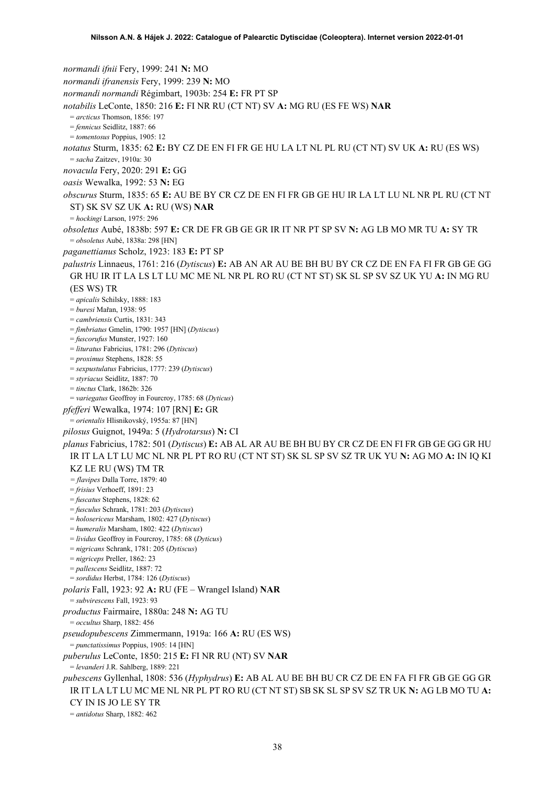*normandi ifnii* Fery, 1999: 241 **N:** MO *normandi ifranensis* Fery, 1999: 239 **N:** MO *normandi normandi* Régimbart, 1903b: 254 **E:** FR PT SP *notabilis* LeConte, 1850: 216 **E:** FI NR RU (CT NT) SV **A:** MG RU (ES FE WS) **NAR** = *arcticus* Thomson, 1856: 197 = *fennicus* Seidlitz, 1887: 66 = *tomentosus* Poppius, 1905: 12 *notatus* Sturm, 1835: 62 **E:** BY CZ DE EN FI FR GE HU LA LT NL PL RU (CT NT) SV UK **A:** RU (ES WS) = *sacha* Zaitzev, 1910a: 30 *novacula* Fery, 2020: 291 **E:** GG *oasis* Wewalka, 1992: 53 **N:** EG *obscurus* Sturm, 1835: 65 **E:** AU BE BY CR CZ DE EN FI FR GB GE HU IR LA LT LU NL NR PL RU (CT NT ST) SK SV SZ UK **A:** RU (WS) **NAR** = *hockingi* Larson, 1975: 296 *obsoletus* Aubé, 1838b: 597 **E:** CR DE FR GB GE GR IR IT NR PT SP SV **N:** AG LB MO MR TU **A:** SY TR = *obsoletus* Aubé, 1838a: 298 [HN] *paganettianus* Scholz, 1923: 183 **E:** PT SP *palustris* Linnaeus, 1761: 216 (*Dytiscus*) **E:** AB AN AR AU BE BH BU BY CR CZ DE EN FA FI FR GB GE GG GR HU IR IT LA LS LT LU MC ME NL NR PL RO RU (CT NT ST) SK SL SP SV SZ UK YU **A:** IN MG RU (ES WS) TR = *apicalis* Schilsky, 1888: 183 = *buresi* Mařan, 1938: 95 = *cambriensis* Curtis, 1831: 343 = *fimbriatus* Gmelin, 1790: 1957 [HN] (*Dytiscus*) = *fuscorufus* Munster, 1927: 160 = *lituratus* Fabricius, 1781: 296 (*Dytiscus*) = *proximus* Stephens, 1828: 55 = *sexpustulatus* Fabricius, 1777: 239 (*Dytiscus*) = *styriacus* Seidlitz, 1887: 70 = *tinctus* Clark, 1862b: 326 = *variegatus* Geoffroy in Fourcroy, 1785: 68 (*Dyticus*) *pfefferi* Wewalka, 1974: 107 [RN] **E:** GR = *orientalis* Hlisnikovský, 1955a: 87 [HN] *pilosus* Guignot, 1949a: 5 (*Hydrotarsus*) **N:** CI *planus* Fabricius, 1782: 501 (*Dytiscus*) **E:** AB AL AR AU BE BH BU BY CR CZ DE EN FI FR GB GE GG GR HU IR IT LA LT LU MC NL NR PL PT RO RU (CT NT ST) SK SL SP SV SZ TR UK YU **N:** AG MO **A:** IN IQ KI KZ LE RU (WS) TM TR *= flavipes* Dalla Torre, 1879: 40 = *frisius* Verhoeff, 1891: 23 = *fuscatus* Stephens, 1828: 62 = *fusculus* Schrank, 1781: 203 (*Dytiscus*) = *holosericeus* Marsham, 1802: 427 (*Dytiscus*) = *humeralis* Marsham, 1802: 422 (*Dytiscus*) = *lividus* Geoffroy in Fourcroy, 1785: 68 (*Dyticus*) = *nigricans* Schrank, 1781: 205 (*Dytiscus*) = *nigriceps* Preller, 1862: 23 = *pallescens* Seidlitz, 1887: 72 = *sordidus* Herbst, 1784: 126 (*Dytiscus*) *polaris* Fall, 1923: 92 **A:** RU (FE – Wrangel Island) **NAR** = *subvirescens* Fall, 1923: 93 *productus* Fairmaire, 1880a: 248 **N:** AG TU = *occultus* Sharp, 1882: 456 *pseudopubescens* Zimmermann, 1919a: 166 **A:** RU (ES WS) = *punctatissimus* Poppius, 1905: 14 [HN] *puberulus* LeConte, 1850: 215 **E:** FI NR RU (NT) SV **NAR** = *levanderi* J.R. Sahlberg, 1889: 221 *pubescens* Gyllenhal, 1808: 536 (*Hyphydrus*) **E:** AB AL AU BE BH BU CR CZ DE EN FA FI FR GB GE GG GR IR IT LA LT LU MC ME NL NR PL PT RO RU (CT NT ST) SB SK SL SP SV SZ TR UK **N:** AG LB MO TU **A:**  CY IN IS JO LE SY TR = *antidotus* Sharp, 1882: 462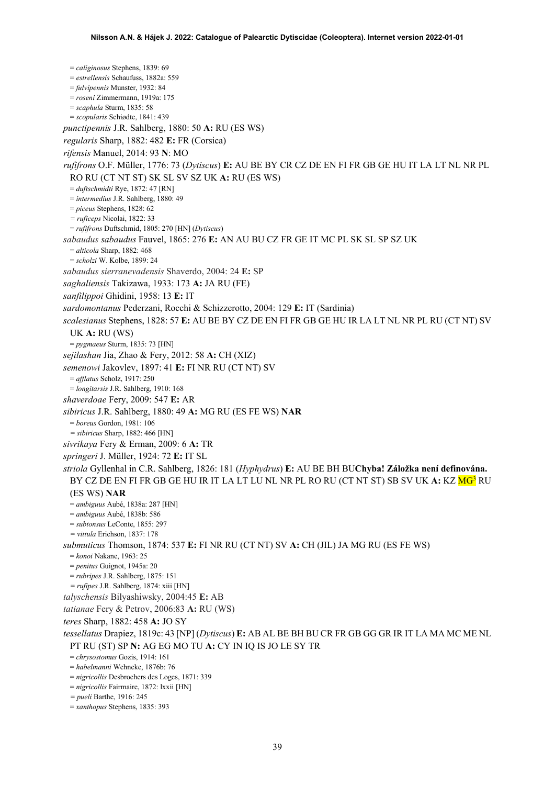= *caliginosus* Stephens, 1839: 69 = *estrellensis* Schaufuss, 1882a: 559 = *fulvipennis* Munster, 1932: 84 = *roseni* Zimmermann, 1919a: 175 = *scaphula* Sturm, 1835: 58 = *scopularis* Schiødte, 1841: 439 *punctipennis* J.R. Sahlberg, 1880: 50 **A:** RU (ES WS) *regularis* Sharp, 1882: 482 **E:** FR (Corsica) *rifensis* Manuel, 2014: 93 **N**: MO *rufifrons* O.F. Müller, 1776: 73 (*Dytiscus*) **E:** AU BE BY CR CZ DE EN FI FR GB GE HU IT LA LT NL NR PL RO RU (CT NT ST) SK SL SV SZ UK **A:** RU (ES WS) = *duftschmidti* Rye, 1872: 47 [RN] = *intermedius* J.R. Sahlberg, 1880: 49 = *piceus* Stephens, 1828: 62 *= ruficeps* Nicolai, 1822: 33 = *rufifrons* Duftschmid, 1805: 270 [HN] (*Dytiscus*) *sabaudus sabaudus* Fauvel, 1865: 276 **E:** AN AU BU CZ FR GE IT MC PL SK SL SP SZ UK = *alticola* Sharp, 1882: 468 = *scholzi* W. Kolbe, 1899: 24 *sabaudus sierranevadensis* Shaverdo, 2004: 24 **E:** SP *saghaliensis* Takizawa, 1933: 173 **A:** JA RU (FE) *sanfilippoi* Ghidini, 1958: 13 **E:** IT *sardomontanus* Pederzani, Rocchi & Schizzerotto, 2004: 129 **E:** IT (Sardinia) *scalesianus* Stephens, 1828: 57 **E:** AU BE BY CZ DE EN FI FR GB GE HU IR LA LT NL NR PL RU (CT NT) SV UK **A:** RU (WS) = *pygmaeus* Sturm, 1835: 73 [HN] *sejilashan* Jia, Zhao & Fery, 2012: 58 **A:** CH (XIZ) *semenowi* Jakovlev, 1897: 41 **E:** FI NR RU (CT NT) SV = *afflatus* Scholz, 1917: 250 = *longitarsis* J.R. Sahlberg, 1910: 168 *shaverdoae* Fery, 2009: 547 **E:** AR *sibiricus* J.R. Sahlberg, 1880: 49 **A:** MG RU (ES FE WS) **NAR** = *boreus* Gordon, 1981: 106 *= sibiricus* Sharp, 1882: 466 [HN] *sivrikaya* Fery & Erman, 2009: 6 **A:** TR *springeri* J. Müller, 1924: 72 **E:** IT SL *striola* Gyllenhal in C.R. Sahlberg, 1826: 181 (*Hyphydrus*) **E:** AU BE BH BU**Chyba! Záložka není definována.** BY CZ DE EN FI FR GB GE HU IR IT LA LT LU NL NR PL RO RU (CT NT ST) SB SV UK **A:** KZ M[G3](#page-4-0) RU (ES WS) **NAR** = *ambiguus* Aubé, 1838a: 287 [HN] = *ambiguus* Aubé, 1838b: 586 = *subtonsus* LeConte, 1855: 297 *= vittula* Erichson, 1837: 178 *submuticus* Thomson, 1874: 537 **E:** FI NR RU (CT NT) SV **A:** CH (JIL) JA MG RU (ES FE WS) = *konoi* Nakane, 1963: 25 = *penitus* Guignot, 1945a: 20 = *rubripes* J.R. Sahlberg, 1875: 151 *= rufipes* J.R. Sahlberg, 1874: xiii [HN] *talyschensis* Bilyashiwsky, 2004:45 **E:** AB *tatianae* Fery & Petrov, 2006:83 **A:** RU (WS) *teres* Sharp, 1882: 458 **A:** JO SY *tessellatus* Drapiez, 1819c: 43 [NP] (*Dytiscus*) **E:** AB AL BE BH BU CR FR GB GG GR IR IT LA MA MC ME NL PT RU (ST) SP **N:** AG EG MO TU **A:** CY IN IQ IS JO LE SY TR = *chrysostomus* Gozis, 1914: 161 = *habelmanni* Wehncke, 1876b: 76 = *nigricollis* Desbrochers des Loges, 1871: 339 = *nigricollis* Fairmaire, 1872: lxxii [HN] *= pueli* Barthe, 1916: 245

= *xanthopus* Stephens, 1835: 393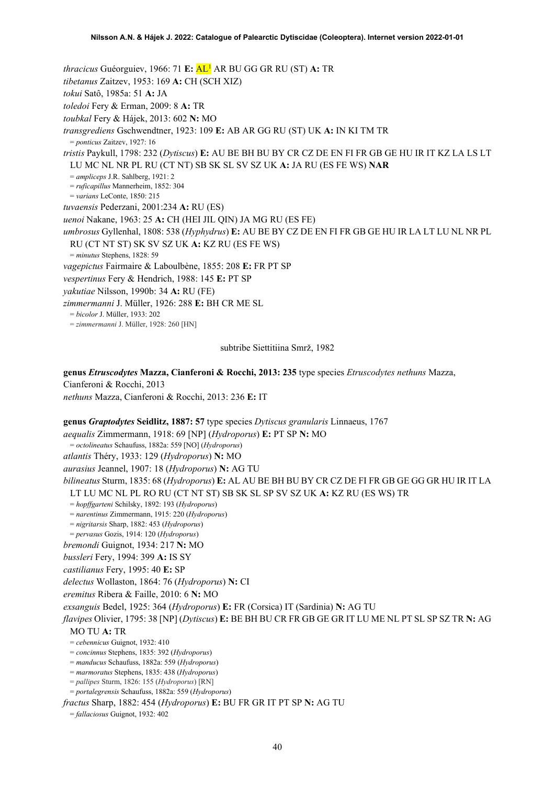*thracicus* Guéorguiev, 1966: 71 **E:** A[L1](#page-2-0) AR BU GG GR RU (ST) **A:** TR *tibetanus* Zaitzev, 1953: 169 **A:** CH (SCH XIZ) *tokui* Satô, 1985a: 51 **A:** JA *toledoi* Fery & Erman, 2009: 8 **A:** TR *toubkal* Fery & Hájek, 2013: 602 **N:** MO *transgrediens* Gschwendtner, 1923: 109 **E:** AB AR GG RU (ST) UK **A:** IN KI TM TR = *ponticus* Zaitzev, 1927: 16 *tristis* Paykull, 1798: 232 (*Dytiscus*) **E:** AU BE BH BU BY CR CZ DE EN FI FR GB GE HU IR IT KZ LA LS LT LU MC NL NR PL RU (CT NT) SB SK SL SV SZ UK **A:** JA RU (ES FE WS) **NAR** = *ampliceps* J.R. Sahlberg, 1921: 2 = *ruficapillus* Mannerheim, 1852: 304 = *varians* LeConte, 1850: 215 *tuvaensis* Pederzani, 2001:234 **A:** RU (ES) *uenoi* Nakane, 1963: 25 **A:** CH (HEI JIL QIN) JA MG RU (ES FE) *umbrosus* Gyllenhal, 1808: 538 (*Hyphydrus*) **E:** AU BE BY CZ DE EN FI FR GB GE HU IR LA LT LU NL NR PL RU (CT NT ST) SK SV SZ UK **A:** KZ RU (ES FE WS) = *minutus* Stephens, 1828: 59 *vagepictus* Fairmaire & Laboulbène, 1855: 208 **E:** FR PT SP *vespertinus* Fery & Hendrich, 1988: 145 **E:** PT SP *yakutiae* Nilsson, 1990b: 34 **A:** RU (FE) *zimmermanni* J. Müller, 1926: 288 **E:** BH CR ME SL = *bicolor* J. Müller, 1933: 202 = *zimmermanni* J. Müller, 1928: 260 [HN]

subtribe Siettitiina Smrž, 1982

**genus** *Etruscodytes* **Mazza, Cianferoni & Rocchi, 2013: 235** type species *Etruscodytes nethuns* Mazza, Cianferoni & Rocchi, 2013 *nethuns* Mazza, Cianferoni & Rocchi, 2013: 236 **E:** IT

**genus** *Graptodytes* **Seidlitz, 1887: 57** type species *Dytiscus granularis* Linnaeus, 1767 *aequalis* Zimmermann, 1918: 69 [NP] (*Hydroporus*) **E:** PT SP **N:** MO = *octolineatus* Schaufuss, 1882a: 559 [NO] (*Hydroporus*) *atlantis* Théry, 1933: 129 (*Hydroporus*) **N:** MO *aurasius* Jeannel, 1907: 18 (*Hydroporus*) **N:** AG TU *bilineatus* Sturm, 1835: 68 (*Hydroporus*) **E:** AL AU BE BH BU BY CR CZ DE FI FR GB GE GG GR HU IR IT LA LT LU MC NL PL RO RU (CT NT ST) SB SK SL SP SV SZ UK **A:** KZ RU (ES WS) TR = *hopffgarteni* Schilsky, 1892: 193 (*Hydroporus*) = *narentinus* Zimmermann, 1915: 220 (*Hydroporus*) = *nigritarsis* Sharp, 1882: 453 (*Hydroporus*) = *pervasus* Gozis, 1914: 120 (*Hydroporus*) *bremondi* Guignot, 1934: 217 **N:** MO *bussleri* Fery, 1994: 399 **A:** IS SY *castilianus* Fery, 1995: 40 **E:** SP *delectus* Wollaston, 1864: 76 (*Hydroporus*) **N:** CI *eremitus* Ribera & Faille, 2010: 6 **N:** MO *exsanguis* Bedel, 1925: 364 (*Hydroporus*) **E:** FR (Corsica) IT (Sardinia) **N:** AG TU *flavipes* Olivier, 1795: 38 [NP] (*Dytiscus*) **E:** BE BH BU CR FR GB GE GR IT LU ME NL PT SL SP SZ TR **N:** AG MO TU **A:** TR = *cebennicus* Guignot, 1932: 410 = *concinnus* Stephens, 1835: 392 (*Hydroporus*) = *manducus* Schaufuss, 1882a: 559 (*Hydroporus*) = *marmoratus* Stephens, 1835: 438 (*Hydroporus*) = *pallipes* Sturm, 1826: 155 (*Hydroporus*) [RN] = *portalegrensis* Schaufuss, 1882a: 559 (*Hydroporus*) *fractus* Sharp, 1882: 454 (*Hydroporus*) **E:** BU FR GR IT PT SP **N:** AG TU = *fallaciosus* Guignot, 1932: 402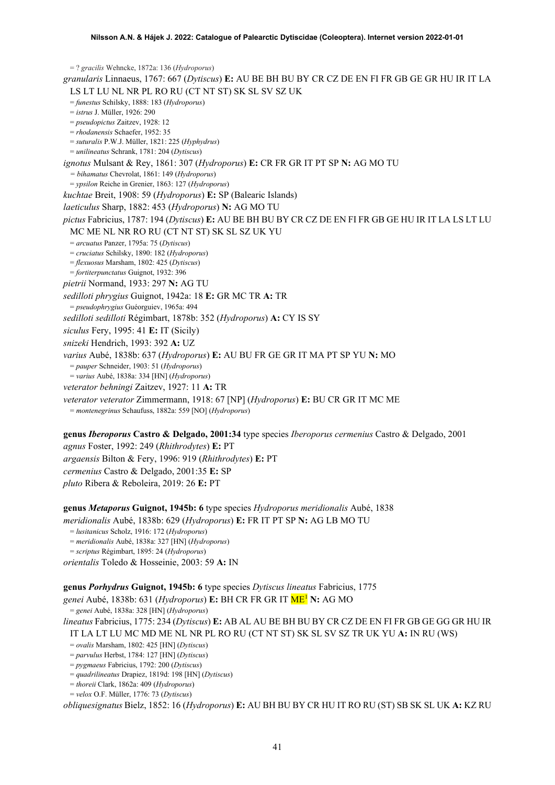= ? *gracilis* Wehncke, 1872a: 136 (*Hydroporus*) *granularis* Linnaeus, 1767: 667 (*Dytiscus*) **E:** AU BE BH BU BY CR CZ DE EN FI FR GB GE GR HU IR IT LA LS LT LU NL NR PL RO RU (CT NT ST) SK SL SV SZ UK = *funestus* Schilsky, 1888: 183 (*Hydroporus*) = *istrus* J. Müller, 1926: 290 = *pseudopictus* Zaitzev, 1928: 12 = *rhodanensis* Schaefer, 1952: 35 = *suturalis* P.W.J. Müller, 1821: 225 (*Hyphydrus*) = *unilineatus* Schrank, 1781: 204 (*Dytiscus*) *ignotus* Mulsant & Rey, 1861: 307 (*Hydroporus*) **E:** CR FR GR IT PT SP **N:** AG MO TU *= bihamatus* Chevrolat, 1861: 149 (*Hydroporus*) = *ypsilon* Reiche in Grenier, 1863: 127 (*Hydroporus*) *kuchtae* Breit, 1908: 59 (*Hydroporus*) **E:** SP (Balearic Islands) *laeticulus* Sharp, 1882: 453 (*Hydroporus*) **N:** AG MO TU *pictus* Fabricius, 1787: 194 (*Dytiscus*) **E:** AU BE BH BU BY CR CZ DE EN FI FR GB GE HU IR IT LA LS LT LU MC ME NL NR RO RU (CT NT ST) SK SL SZ UK YU = *arcuatus* Panzer, 1795a: 75 (*Dytiscus*) = *cruciatus* Schilsky, 1890: 182 (*Hydroporus*) = *flexuosus* Marsham, 1802: 425 (*Dytiscus*) = *fortiterpunctatus* Guignot, 1932: 396 *pietrii* Normand, 1933: 297 **N:** AG TU *sedilloti phrygius* Guignot, 1942a: 18 **E:** GR MC TR **A:** TR = *pseudophrygius* Guéorguiev, 1965a: 494 *sedilloti sedilloti* Régimbart, 1878b: 352 (*Hydroporus*) **A:** CY IS SY *siculus* Fery, 1995: 41 **E:** IT (Sicily) *snizeki* Hendrich, 1993: 392 **A:** UZ *varius* Aubé, 1838b: 637 (*Hydroporus*) **E:** AU BU FR GE GR IT MA PT SP YU **N:** MO = *pauper* Schneider, 1903: 51 (*Hydroporus*) = *varius* Aubé, 1838a: 334 [HN] (*Hydroporus*) *veterator behningi* Zaitzev, 1927: 11 **A:** TR *veterator veterator* Zimmermann, 1918: 67 [NP] (*Hydroporus*) **E:** BU CR GR IT MC ME = *montenegrinus* Schaufuss, 1882a: 559 [NO] (*Hydroporus*)

**genus** *Iberoporus* **Castro & Delgado, 2001:34** type species *Iberoporus cermenius* Castro & Delgado, 2001 *agnus* Foster, 1992: 249 (*Rhithrodytes*) **E:** PT *argaensis* Bilton & Fery, 1996: 919 (*Rhithrodytes*) **E:** PT *cermenius* Castro & Delgado, 2001:35 **E:** SP *pluto* Ribera & Reboleira, 2019: 26 **E:** PT

## **genus** *Metaporus* **Guignot, 1945b: 6** type species *Hydroporus meridionalis* Aubé, 1838

*meridionalis* Aubé, 1838b: 629 (*Hydroporus*) **E:** FR IT PT SP **N:** AG LB MO TU

= *lusitanicus* Scholz, 1916: 172 (*Hydroporus*)

= *meridionalis* Aubé, 1838a: 327 [HN] (*Hydroporus*)

= *scriptus* Régimbart, 1895: 24 (*Hydroporus*)

*orientalis* Toledo & Hosseinie, 2003: 59 **A:** IN

**genus** *Porhydrus* **Guignot, 1945b: 6** type species *Dytiscus lineatus* Fabricius, 1775

*genei* Aubé, 1838b: 631 (*Hydroporus*) **E:** BH CR FR GR IT M[E1](#page-2-0) **N:** AG MO

= *genei* Aubé, 1838a: 328 [HN] (*Hydroporus*)

*lineatus* Fabricius, 1775: 234 (*Dytiscus*) **E:** AB AL AU BE BH BU BY CR CZ DE EN FI FR GB GE GG GR HU IR IT LA LT LU MC MD ME NL NR PL RO RU (CT NT ST) SK SL SV SZ TR UK YU **A:** IN RU (WS)

= *ovalis* Marsham, 1802: 425 [HN] (*Dytiscus*)

= *parvulus* Herbst, 1784: 127 [HN] (*Dytiscus*)

= *pygmaeus* Fabricius, 1792: 200 (*Dytiscus*)

= *quadrilineatus* Drapiez, 1819d: 198 [HN] (*Dytiscus*)

= *thoreii* Clark, 1862a: 409 (*Hydroporus*) = *velox* O.F. Müller, 1776: 73 (*Dytiscus*)

*obliquesignatus* Bielz, 1852: 16 (*Hydroporus*) **E:** AU BH BU BY CR HU IT RO RU (ST) SB SK SL UK **A:** KZ RU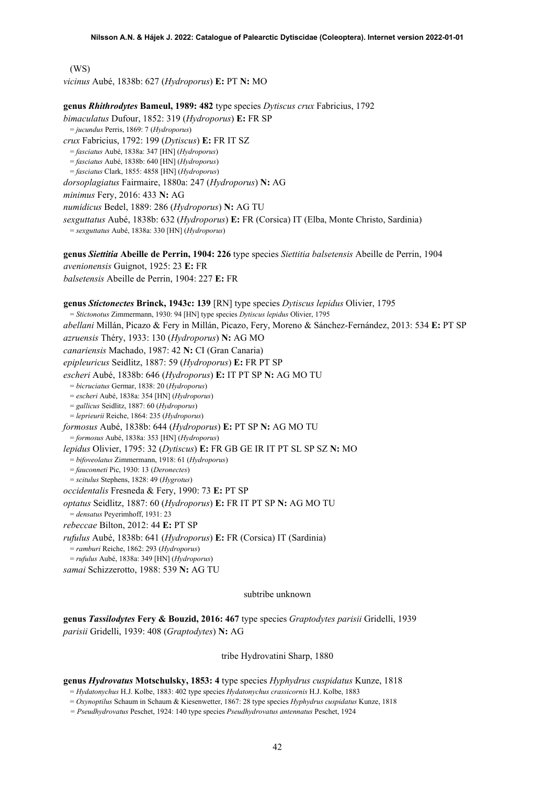(WS) *vicinus* Aubé, 1838b: 627 (*Hydroporus*) **E:** PT **N:** MO

**genus** *Rhithrodytes* **Bameul, 1989: 482** type species *Dytiscus crux* Fabricius, 1792 *bimaculatus* Dufour, 1852: 319 (*Hydroporus*) **E:** FR SP = *jucundus* Perris, 1869: 7 (*Hydroporus*) *crux* Fabricius, 1792: 199 (*Dytiscus*) **E:** FR IT SZ = *fasciatus* Aubé, 1838a: 347 [HN] (*Hydroporus*) = *fasciatus* Aubé, 1838b: 640 [HN] (*Hydroporus*) = *fasciatus* Clark, 1855: 4858 [HN] (*Hydroporus*) *dorsoplagiatus* Fairmaire, 1880a: 247 (*Hydroporus*) **N:** AG *minimus* Fery, 2016: 433 **N:** AG *numidicus* Bedel, 1889: 286 (*Hydroporus*) **N:** AG TU *sexguttatus* Aubé, 1838b: 632 (*Hydroporus*) **E:** FR (Corsica) IT (Elba, Monte Christo, Sardinia) = *sexguttatus* Aubé, 1838a: 330 [HN] (*Hydroporus*) **genus** *Siettitia* **Abeille de Perrin, 1904: 226** type species *Siettitia balsetensis* Abeille de Perrin, 1904 *avenionensis* Guignot, 1925: 23 **E:** FR *balsetensis* Abeille de Perrin, 1904: 227 **E:** FR **genus** *Stictonectes* **Brinck, 1943c: 139** [RN] type species *Dytiscus lepidus* Olivier, 1795 = *Stictonotus* Zimmermann, 1930: 94 [HN] type species *Dytiscus lepidus* Olivier, 1795 *abellani* Millán, Picazo & Fery in Millán, Picazo, Fery, Moreno & Sánchez-Fernández, 2013: 534 **E:** PT SP *azruensis* Théry, 1933: 130 (*Hydroporus*) **N:** AG MO *canariensis* Machado, 1987: 42 **N:** CI (Gran Canaria) *epipleuricus* Seidlitz, 1887: 59 (*Hydroporus*) **E:** FR PT SP *escheri* Aubé, 1838b: 646 (*Hydroporus*) **E:** IT PT SP **N:** AG MO TU = *bicruciatus* Germar, 1838: 20 (*Hydroporus*) = *escheri* Aubé, 1838a: 354 [HN] (*Hydroporus*) = *gallicus* Seidlitz, 1887: 60 (*Hydroporus*) = *leprieurii* Reiche, 1864: 235 (*Hydroporus*) *formosus* Aubé, 1838b: 644 (*Hydroporus*) **E:** PT SP **N:** AG MO TU = *formosus* Aubé, 1838a: 353 [HN] (*Hydroporus*) *lepidus* Olivier, 1795: 32 (*Dytiscus*) **E:** FR GB GE IR IT PT SL SP SZ **N:** MO = *bifoveolatus* Zimmermann, 1918: 61 (*Hydroporus*) = *fauconneti* Pic, 1930: 13 (*Deronectes*) = *scitulus* Stephens, 1828: 49 (*Hygrotus*) *occidentalis* Fresneda & Fery, 1990: 73 **E:** PT SP *optatus* Seidlitz, 1887: 60 (*Hydroporus*) **E:** FR IT PT SP **N:** AG MO TU = *densatus* Peyerimhoff, 1931: 23 *rebeccae* Bilton, 2012: 44 **E:** PT SP *rufulus* Aubé, 1838b: 641 (*Hydroporus*) **E:** FR (Corsica) IT (Sardinia) = *ramburi* Reiche, 1862: 293 (*Hydroporus*) = *rufulus* Aubé, 1838a: 349 [HN] (*Hydroporus*) *samai* Schizzerotto, 1988: 539 **N:** AG TU subtribe unknown

**genus** *Tassilodytes* **Fery & Bouzid, 2016: 467** type species *Graptodytes parisii* Gridelli, 1939 *parisii* Gridelli, 1939: 408 (*Graptodytes*) **N:** AG

### tribe Hydrovatini Sharp, 1880

### **genus** *Hydrovatus* **Motschulsky, 1853: 4** type species *Hyphydrus cuspidatus* Kunze, 1818

= *Hydatonychus* H.J. Kolbe, 1883: 402 type species *Hydatonychus crassicornis* H.J. Kolbe, 1883

= *Oxynoptilus* Schaum in Schaum & Kiesenwetter, 1867: 28 type species *Hyphydrus cuspidatus* Kunze, 1818

*= Pseudhydrovatus* Peschet, 1924: 140 type species *Pseudhydrovatus antennatus* Peschet, 1924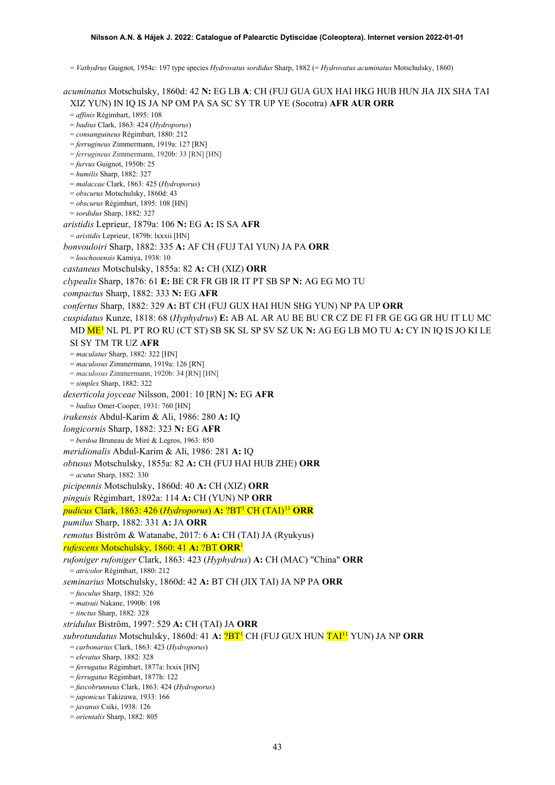= *Vathydrus* Guignot, 1954c: 197 type species *Hydrovatus sordidus* Sharp, 1882 (= *Hydrovatus acuminatus* Motschulsky, 1860)

*acuminatus* Motschulsky, 1860d: 42 **N:** EG LB **A**: CH (FUJ GUA GUX HAI HKG HUB HUN JIA JIX SHA TAI XIZ YUN) IN IQ IS JA NP OM PA SA SC SY TR UP YE (Socotra) **AFR AUR ORR** = *affinis* Régimbart, 1895: 108 = *badius* Clark, 1863: 424 (*Hydroporus*) = *consanguineus* Régimbart, 1880: 212 = *ferrugineus* Zimmermann, 1919a: 127 [RN] = *ferrugineus* Zimmermann, 1920b: 33 [RN] [HN] = *furvus* Guignot, 1950b: 25 = *humilis* Sharp, 1882: 327 = *malaccae* Clark, 1863: 425 (*Hydroporus*) = *obscurus* Motschulsky, 1860d: 43 = *obscurus* Régimbart, 1895: 108 [HN] = *sordidus* Sharp, 1882: 327 *aristidis* Leprieur, 1879a: 106 **N:** EG **A:** IS SA **AFR** = *aristidis* Leprieur, 1879b: lxxxii [HN] *bonvouloiri* Sharp, 1882: 335 **A:** AF CH (FUJ TAI YUN) JA PA **ORR** = *loochooensis* Kamiya, 1938: 10 *castaneus* Motschulsky, 1855a: 82 **A:** CH (XIZ) **ORR** *clypealis* Sharp, 1876: 61 **E:** BE CR FR GB IR IT PT SB SP **N:** AG EG MO TU *compactus* Sharp, 1882: 333 **N:** EG **AFR** *confertus* Sharp, 1882: 329 **A:** BT CH (FUJ GUX HAI HUN SHG YUN) NP PA UP **ORR** *cuspidatus* Kunze, 1818: 68 (*Hyphydrus*) **E:** AB AL AR AU BE BU CR CZ DE FI FR GE GG GR HU IT LU MC MD M[E1](#page-2-0) NL PL PT RO RU (CT ST) SB SK SL SP SV SZ UK **N:** AG EG LB MO TU **A:** CY IN IQ IS JO KI LE SI SY TM TR UZ **AFR** = *maculatus* Sharp, 1882: 322 [HN] = *maculosus* Zimmermann, 1919a: 126 [RN] = *maculosus* Zimmermann, 1920b: 34 [RN] [HN] = *simplex* Sharp, 1882: 322 *deserticola joyceae* Nilsson, 2001: 10 [RN] **N:** EG **AFR** = *badius* Omer-Cooper, 1931: 760 [HN] *irakensis* Abdul-Karim & Ali, 1986: 280 **A:** IQ *longicornis* Sharp, 1882: 323 **N:** EG **AFR** = *berdoa* Bruneau de Miré & Legros, 1963: 850 *meridionalis* Abdul-Karim & Ali, 1986: 281 **A:** IQ *obtusus* Motschulsky, 1855a: 82 **A:** CH (FUJ HAI HUB ZHE) **ORR** = *acutus* Sharp, 1882: 330 *picipennis* Motschulsky, 1860d: 40 **A:** CH (XIZ) **ORR** *pinguis* Régimbart, 1892a: 114 **A:** CH (YUN) NP **ORR** *pudicus* Clark, 1863: 426 (*Hydroporus*) **A:** ?B[T1](#page-2-0) CH (TAI)[11](#page-52-10) **ORR** *pumilus* Sharp, 1882: 331 **A:** JA **ORR** *remotus* Biström & Watanabe, 2017: 6 **A:** CH (TAI) JA (Ryukyus) *rufescens* Motschulsky, 1860: 41 **A:** ?BT **ORR**[1](#page-2-0) *rufoniger rufoniger* Clark, 1863: 423 (*Hyphydrus*) **A:** CH (MAC) "China" **ORR** = *atricolor* Régimbart, 1880: 212 *seminarius* Motschulsky, 1860d: 42 **A:** BT CH (JIX TAI) JA NP PA **ORR** = *fusculus* Sharp, 1882: 326 = *matsuii* Nakane, 1990b: 198 = *tinctus* Sharp, 1882: 328 *stridulus* Biström, 1997: 529 **A:** CH (TAI) JA **ORR** *subrotundatus* Motschulsky, 1860d: 41 **A:** ?B[T1](#page-2-0) CH (FUJ GUX HUN TAI11 YUN) JA NP **ORR** = *carbonarius* Clark, 1863: 423 (*Hydroporus*) = *elevatus* Sharp, 1882: 328 = *ferrugatus* Régimbart, 1877a: lxxix [HN] = *ferrugatus* Régimbart, 1877h: 122 = *fuscobrunneus* Clark, 1863: 424 (*Hydroporus*) = *japonicus* Takizawa, 1933: 166 = *javanus* Csiki, 1938: 126 = *orientalis* Sharp, 1882: 805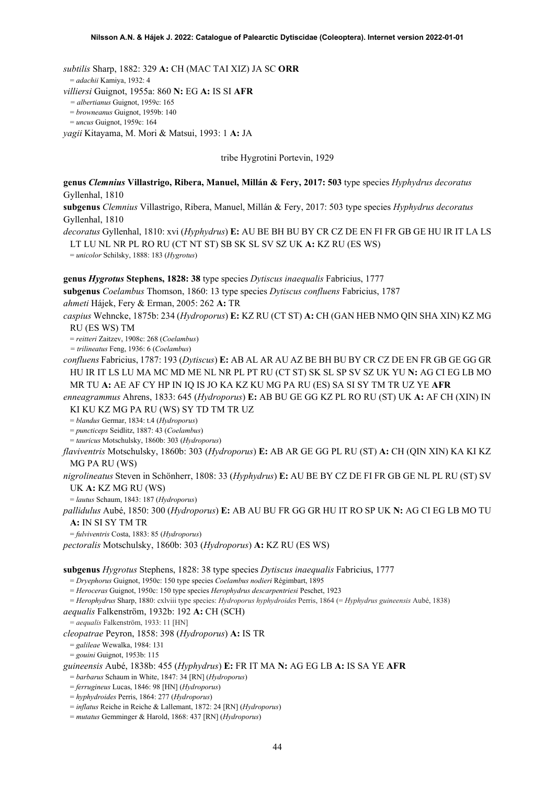*subtilis* Sharp, 1882: 329 **A:** CH (MAC TAI XIZ) JA SC **ORR** = *adachii* Kamiya, 1932: 4 *villiersi* Guignot, 1955a: 860 **N:** EG **A:** IS SI **AFR** *= albertianus* Guignot, 1959c: 165 = *browneanus* Guignot, 1959b: 140 = *uncus* Guignot, 1959c: 164

*yagii* Kitayama, M. Mori & Matsui, 1993: 1 **A:** JA

tribe Hygrotini Portevin, 1929

**genus** *Clemnius* **Villastrigo, Ribera, Manuel, Millán & Fery, 2017: 503** type species *Hyphydrus decoratus* Gyllenhal, 1810

**subgenus** *Clemnius* Villastrigo, Ribera, Manuel, Millán & Fery, 2017: 503 type species *Hyphydrus decoratus* Gyllenhal, 1810

*decoratus* Gyllenhal, 1810: xvi (*Hyphydrus*) **E:** AU BE BH BU BY CR CZ DE EN FI FR GB GE HU IR IT LA LS LT LU NL NR PL RO RU (CT NT ST) SB SK SL SV SZ UK **A:** KZ RU (ES WS)

= *unicolor* Schilsky, 1888: 183 (*Hygrotus*)

**genus** *Hygrotus* **Stephens, 1828: 38** type species *Dytiscus inaequalis* Fabricius, 1777

**subgenus** *Coelambus* Thomson, 1860: 13 type species *Dytiscus confluens* Fabricius, 1787

*ahmeti* Hájek, Fery & Erman, 2005: 262 **A:** TR

*caspius* Wehncke, 1875b: 234 (*Hydroporus*) **E:** KZ RU (CT ST) **A:** CH (GAN HEB NMO QIN SHA XIN) KZ MG RU (ES WS) TM

= *reitteri* Zaitzev, 1908c: 268 (*Coelambus*)

*= trilineatus* Feng, 1936: 6 (*Coelambus*)

*confluens* Fabricius, 1787: 193 (*Dytiscus*) **E:** AB AL AR AU AZ BE BH BU BY CR CZ DE EN FR GB GE GG GR HU IR IT LS LU MA MC MD ME NL NR PL PT RU (CT ST) SK SL SP SV SZ UK YU **N:** AG CI EG LB MO MR TU **A:** AE AF CY HP IN IQ IS JO KA KZ KU MG PA RU (ES) SA SI SY TM TR UZ YE **AFR**

*enneagrammus* Ahrens, 1833: 645 (*Hydroporus*) **E:** AB BU GE GG KZ PL RO RU (ST) UK **A:** AF CH (XIN) IN KI KU KZ MG PA RU (WS) SY TD TM TR UZ

= *blandus* Germar, 1834: t.4 (*Hydroporus*)

= *puncticeps* Seidlitz, 1887: 43 (*Coelambus*)

= *tauricus* Motschulsky, 1860b: 303 (*Hydroporus*)

*flaviventris* Motschulsky, 1860b: 303 (*Hydroporus*) **E:** AB AR GE GG PL RU (ST) **A:** CH (QIN XIN) KA KI KZ MG PA RU (WS)

*nigrolineatus* Steven in Schönherr, 1808: 33 (*Hyphydrus*) **E:** AU BE BY CZ DE FI FR GB GE NL PL RU (ST) SV UK **A:** KZ MG RU (WS)

= *lautus* Schaum, 1843: 187 (*Hydroporus*)

*pallidulus* Aubé, 1850: 300 (*Hydroporus*) **E:** AB AU BU FR GG GR HU IT RO SP UK **N:** AG CI EG LB MO TU **A:** IN SI SY TM TR

= *fulviventris* Costa, 1883: 85 (*Hydroporus*)

*pectoralis* Motschulsky, 1860b: 303 (*Hydroporus*) **A:** KZ RU (ES WS)

**subgenus** *Hygrotus* Stephens, 1828: 38 type species *Dytiscus inaequalis* Fabricius, 1777

= *Dryephorus* Guignot, 1950c: 150 type species *Coelambus nodieri* Régimbart, 1895

= *Heroceras* Guignot, 1950c: 150 type species *Herophydrus descarpentriesi* Peschet, 1923

= *Herophydrus* Sharp, 1880: cxlviii type species: *Hydroporus hyphydroides* Perris, 1864 (= *Hyphydrus guineensis* Aubé, 1838)

*aequalis* Falkenström, 1932b: 192 **A:** CH (SCH)

= *aequalis* Falkenström, 1933: 11 [HN]

*cleopatrae* Peyron, 1858: 398 (*Hydroporus*) **A:** IS TR

= *galileae* Wewalka, 1984: 131

= *gouini* Guignot, 1953b: 115

*guineensis* Aubé, 1838b: 455 (*Hyphydrus*) **E:** FR IT MA **N:** AG EG LB **A:** IS SA YE **AFR**

= *barbarus* Schaum in White, 1847: 34 [RN] (*Hydroporus*)

= *ferrugineus* Lucas, 1846: 98 [HN] (*Hydroporus*)

= *hyphydroides* Perris, 1864: 277 (*Hydroporus*)

= *inflatus* Reiche in Reiche & Lallemant, 1872: 24 [RN] (*Hydroporus*)

= *mutatus* Gemminger & Harold, 1868: 437 [RN] (*Hydroporus*)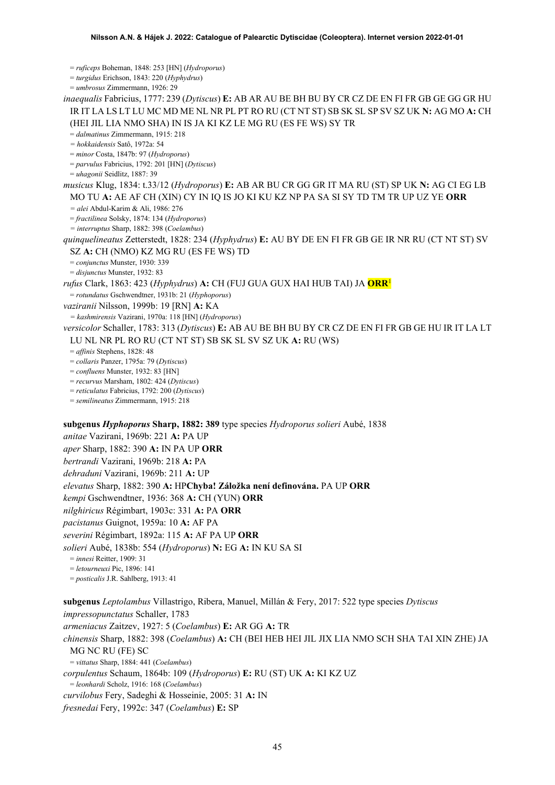= *ruficeps* Boheman, 1848: 253 [HN] (*Hydroporus*)

= *turgidus* Erichson, 1843: 220 (*Hyphydrus*)

= *umbrosus* Zimmermann, 1926: 29

*inaequalis* Fabricius, 1777: 239 (*Dytiscus*) **E:** AB AR AU BE BH BU BY CR CZ DE EN FI FR GB GE GG GR HU IR IT LA LS LT LU MC MD ME NL NR PL PT RO RU (CT NT ST) SB SK SL SP SV SZ UK **N:** AG MO **A:** CH (HEI JIL LIA NMO SHA) IN IS JA KI KZ LE MG RU (ES FE WS) SY TR

= *dalmatinus* Zimmermann, 1915: 218

*= hokkaidensis* Satô, 1972a: 54

= *minor* Costa, 1847b: 97 (*Hydroporus*)

= *parvulus* Fabricius, 1792: 201 [HN] (*Dytiscus*)

= *uhagonii* Seidlitz, 1887: 39

*musicus* Klug, 1834: t.33/12 (*Hydroporus*) **E:** AB AR BU CR GG GR IT MA RU (ST) SP UK **N:** AG CI EG LB MO TU **A:** AE AF CH (XIN) CY IN IQ IS JO KI KU KZ NP PA SA SI SY TD TM TR UP UZ YE **ORR**

*= alei* Abdul-Karim & Ali, 1986: 276

= *fractilinea* Solsky, 1874: 134 (*Hydroporus*)

*= interruptus* Sharp, 1882: 398 (*Coelambus*)

*quinquelineatus* Zetterstedt, 1828: 234 (*Hyphydrus*) **E:** AU BY DE EN FI FR GB GE IR NR RU (CT NT ST) SV SZ **A:** CH (NMO) KZ MG RU (ES FE WS) TD

= *conjunctus* Munster, 1930: 339

= *disjunctus* Munster, 1932: 83

*rufus* Clark, 1863: 423 (*Hyphydrus*) **A:** CH (FUJ GUA GUX HAI HUB TAI) JA **OR[R](#page-2-0)**<sup>1</sup>

= *rotundatus* Gschwendtner, 1931b: 21 (*Hyphoporus*)

*vaziranii* Nilsson, 1999b: 19 [RN] **A:** KA

*= kashmirensis* Vazirani, 1970a: 118 [HN] (*Hydroporus*)

*versicolor* Schaller, 1783: 313 (*Dytiscus*) **E:** AB AU BE BH BU BY CR CZ DE EN FI FR GB GE HU IR IT LA LT LU NL NR PL RO RU (CT NT ST) SB SK SL SV SZ UK **A:** RU (WS)

= *affinis* Stephens, 1828: 48

= *collaris* Panzer, 1795a: 79 (*Dytiscus*)

= *confluens* Munster, 1932: 83 [HN]

= *recurvus* Marsham, 1802: 424 (*Dytiscus*)

= *reticulatus* Fabricius, 1792: 200 (*Dytiscus*)

= *semilineatus* Zimmermann, 1915: 218

**subgenus** *Hyphoporus* **Sharp, 1882: 389** type species *Hydroporus solieri* Aubé, 1838

*anitae* Vazirani, 1969b: 221 **A:** PA UP

*aper* Sharp, 1882: 390 **A:** IN PA UP **ORR**

*bertrandi* Vazirani, 1969b: 218 **A:** PA

*dehraduni* Vazirani, 1969b: 211 **A:** UP

*elevatus* Sharp, 1882: 390 **A:** HP**Chyba! Záložka není definována.** PA UP **ORR**

*kempi* Gschwendtner, 1936: 368 **A:** CH (YUN) **ORR**

*nilghiricus* Régimbart, 1903c: 331 **A:** PA **ORR**

*pacistanus* Guignot, 1959a: 10 **A:** AF PA

*severini* Régimbart, 1892a: 115 **A:** AF PA UP **ORR**

*solieri* Aubé, 1838b: 554 (*Hydroporus*) **N:** EG **A:** IN KU SA SI

= *innesi* Reitter, 1909: 31

= *letourneuxi* Pic, 1896: 141

= *posticalis* J.R. Sahlberg, 1913: 41

**subgenus** *Leptolambus* Villastrigo, Ribera, Manuel, Millán & Fery, 2017: 522 type species *Dytiscus impressopunctatus* Schaller, 1783 *armeniacus* Zaitzev, 1927: 5 (*Coelambus*) **E:** AR GG **A:** TR *chinensis* Sharp, 1882: 398 (*Coelambus*) **A:** CH (BEI HEB HEI JIL JIX LIA NMO SCH SHA TAI XIN ZHE) JA MG NC RU (FE) SC = *vittatus* Sharp, 1884: 441 (*Coelambus*) *corpulentus* Schaum, 1864b: 109 (*Hydroporus*) **E:** RU (ST) UK **A:** KI KZ UZ = *leonhardi* Scholz, 1916: 168 (*Coelambus*) *curvilobus* Fery, Sadeghi & Hosseinie, 2005: 31 **A:** IN

*fresnedai* Fery, 1992c: 347 (*Coelambus*) **E:** SP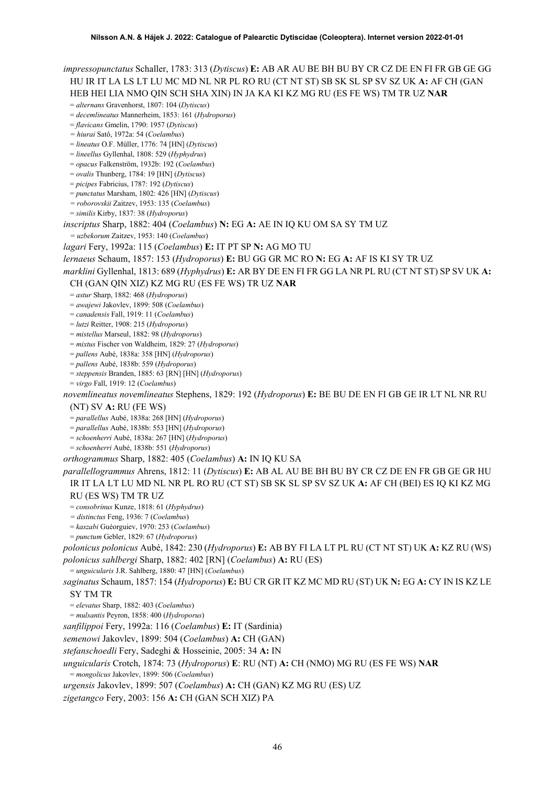*impressopunctatus* Schaller, 1783: 313 (*Dytiscus*) **E:** AB AR AU BE BH BU BY CR CZ DE EN FI FR GB GE GG HU IR IT LA LS LT LU MC MD NL NR PL RO RU (CT NT ST) SB SK SL SP SV SZ UK **A:** AF CH (GAN HEB HEI LIA NMO QIN SCH SHA XIN) IN JA KA KI KZ MG RU (ES FE WS) TM TR UZ **NAR** = *alternans* Gravenhorst, 1807: 104 (*Dytiscus*) = *decemlineatus* Mannerheim, 1853: 161 (*Hydroporus*) = *flavicans* Gmelin, 1790: 1957 (*Dytiscus*) *= hiurai* Satô, 1972a: 54 (*Coelambus*) = *lineatus* O.F. Müller, 1776: 74 [HN] (*Dytiscus*) = *lineellus* Gyllenhal, 1808: 529 (*Hyphydrus*) = *opacus* Falkenström, 1932b: 192 (*Coelambus*) = *ovalis* Thunberg, 1784: 19 [HN] (*Dytiscus*) = *picipes* Fabricius, 1787: 192 (*Dytiscus*) = *punctatus* Marsham, 1802: 426 [HN] (*Dytiscus*) *= roborovskii* Zaitzev, 1953: 135 (*Coelambus*) = *similis* Kirby, 1837: 38 (*Hydroporus*) *inscriptus* Sharp, 1882: 404 (*Coelambus*) **N:** EG **A:** AE IN IQ KU OM SA SY TM UZ *= uzbekorum* Zaitzev, 1953: 140 (*Coelambus*) *lagari* Fery, 1992a: 115 (*Coelambus*) **E:** IT PT SP **N:** AG MO TU *lernaeus* Schaum, 1857: 153 (*Hydroporus*) **E:** BU GG GR MC RO **N:** EG **A:** AF IS KI SY TR UZ *marklini* Gyllenhal, 1813: 689 (*Hyphydrus*) **E:** AR BY DE EN FI FR GG LA NR PL RU (CT NT ST) SP SV UK **A:**  CH (GAN QIN XIZ) KZ MG RU (ES FE WS) TR UZ **NAR** = *astur* Sharp, 1882: 468 (*Hydroporus*) = *awajewi* Jakovlev, 1899: 508 (*Coelambus*) = *canadensis* Fall, 1919: 11 (*Coelambus*) = *lutzi* Reitter, 1908: 215 (*Hydroporus*) = *mistellus* Marseul, 1882: 98 (*Hydroporus*) = *mixtus* Fischer von Waldheim, 1829: 27 (*Hydroporus*) = *pallens* Aubé, 1838a: 358 [HN] (*Hydroporus*) = *pallens* Aubé, 1838b: 559 (*Hydroporus*) = *steppensis* Branden, 1885: 63 [RN] [HN] (*Hydroporus*) = *virgo* Fall, 1919: 12 (*Coelambus*) *novemlineatus novemlineatus* Stephens, 1829: 192 (*Hydroporus*) **E:** BE BU DE EN FI GB GE IR LT NL NR RU (NT) SV **A:** RU (FE WS) = *parallellus* Aubé, 1838a: 268 [HN] (*Hydroporus*) = *parallellus* Aubé, 1838b: 553 [HN] (*Hydroporus*) = *schoenherri* Aubé, 1838a: 267 [HN] (*Hydroporus*) = *schoenherri* Aubé, 1838b: 551 (*Hydroporus*) *orthogrammus* Sharp, 1882: 405 (*Coelambus*) **A:** IN IQ KU SA *parallellogrammus* Ahrens, 1812: 11 (*Dytiscus*) **E:** AB AL AU BE BH BU BY CR CZ DE EN FR GB GE GR HU IR IT LA LT LU MD NL NR PL RO RU (CT ST) SB SK SL SP SV SZ UK **A:** AF CH (BEI) ES IQ KI KZ MG RU (ES WS) TM TR UZ = *consobrinus* Kunze, 1818: 61 (*Hyphydrus*) *= distinctus* Feng, 1936: 7 (*Coelambus*)

= *kaszabi* Guéorguiev, 1970: 253 (*Coelambus*)

= *punctum* Gebler, 1829: 67 (*Hydroporus*)

*polonicus polonicus* Aubé, 1842: 230 (*Hydroporus*) **E:** AB BY FI LA LT PL RU (CT NT ST) UK **A:** KZ RU (WS) *polonicus sahlbergi* Sharp, 1882: 402 [RN] (*Coelambus*) **A:** RU (ES)

= *unguicularis* J.R. Sahlberg, 1880: 47 [HN] (*Coelambus*)

*saginatus* Schaum, 1857: 154 (*Hydroporus*) **E:** BU CR GR IT KZ MC MD RU (ST) UK **N:** EG **A:** CY IN IS KZ LE SY TM TR

= *elevatus* Sharp, 1882: 403 (*Coelambus*)

= *mulsantis* Peyron, 1858: 400 (*Hydroporus*)

*sanfilippoi* Fery, 1992a: 116 (*Coelambus*) **E:** IT (Sardinia)

*semenowi* Jakovlev, 1899: 504 (*Coelambus*) **A:** CH (GAN)

*stefanschoedli* Fery, Sadeghi & Hosseinie, 2005: 34 **A:** IN

*unguicularis* Crotch, 1874: 73 (*Hydroporus*) **E**: RU (NT) **A:** CH (NMO) MG RU (ES FE WS) **NAR**

= *mongolicus* Jakovlev, 1899: 506 (*Coelambus*)

*urgensis* Jakovlev, 1899: 507 (*Coelambus*) **A:** CH (GAN) KZ MG RU (ES) UZ

*zigetangco* Fery, 2003: 156 **A:** CH (GAN SCH XIZ) PA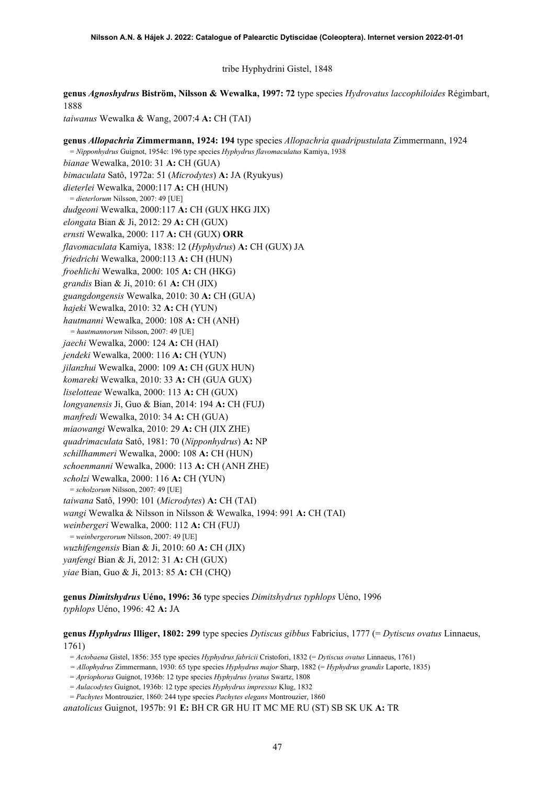tribe Hyphydrini Gistel, 1848

**genus** *Agnoshydrus* **Biström, Nilsson & Wewalka, 1997: 72** type species *Hydrovatus laccophiloides* Régimbart, 1888

*taiwanus* Wewalka & Wang, 2007:4 **A:** CH (TAI)

**genus** *Allopachria* **Zimmermann, 1924: 194** type species *Allopachria quadripustulata* Zimmermann, 1924 = *Nipponhydrus* Guignot, 1954c: 196 type species *Hyphydrus flavomaculatus* Kamiya, 1938 *bianae* Wewalka, 2010: 31 **A:** CH (GUA) *bimaculata* Satô, 1972a: 51 (*Microdytes*) **A:** JA (Ryukyus) *dieterlei* Wewalka, 2000:117 **A:** CH (HUN) = *dieterlorum* Nilsson, 2007: 49 [UE] *dudgeoni* Wewalka, 2000:117 **A:** CH (GUX HKG JIX) *elongata* Bian & Ji, 2012: 29 **A:** CH (GUX) *ernsti* Wewalka, 2000: 117 **A:** CH (GUX) **ORR** *flavomaculata* Kamiya, 1838: 12 (*Hyphydrus*) **A:** CH (GUX) JA *friedrichi* Wewalka, 2000:113 **A:** CH (HUN) *froehlichi* Wewalka, 2000: 105 **A:** CH (HKG) *grandis* Bian & Ji, 2010: 61 **A:** CH (JIX) *guangdongensis* Wewalka, 2010: 30 **A:** CH (GUA) *hajeki* Wewalka, 2010: 32 **A:** CH (YUN) *hautmanni* Wewalka, 2000: 108 **A:** CH (ANH) *= hautmannorum* Nilsson, 2007: 49 [UE] *jaechi* Wewalka, 2000: 124 **A:** CH (HAI) *jendeki* Wewalka, 2000: 116 **A:** CH (YUN) *jilanzhui* Wewalka, 2000: 109 **A:** CH (GUX HUN) *komareki* Wewalka, 2010: 33 **A:** CH (GUA GUX) *liselotteae* Wewalka, 2000: 113 **A:** CH (GUX) *longyanensis* Ji, Guo & Bian, 2014: 194 **A:** CH (FUJ) *manfredi* Wewalka, 2010: 34 **A:** CH (GUA) *miaowangi* Wewalka, 2010: 29 **A:** CH (JIX ZHE) *quadrimaculata* Satô, 1981: 70 (*Nipponhydrus*) **A:** NP *schillhammeri* Wewalka, 2000: 108 **A:** CH (HUN) *schoenmanni* Wewalka, 2000: 113 **A:** CH (ANH ZHE) *scholzi* Wewalka, 2000: 116 **A:** CH (YUN) = *scholzorum* Nilsson, 2007: 49 [UE] *taiwana* Satô, 1990: 101 (*Microdytes*) **A:** CH (TAI) *wangi* Wewalka & Nilsson in Nilsson & Wewalka, 1994: 991 **A:** CH (TAI) *weinbergeri* Wewalka, 2000: 112 **A:** CH (FUJ) = *weinbergerorum* Nilsson, 2007: 49 [UE] *wuzhifengensis* Bian & Ji, 2010: 60 **A:** CH (JIX) *yanfengi* Bian & Ji, 2012: 31 **A:** CH (GUX) *yiae* Bian, Guo & Ji, 2013: 85 **A:** CH (CHQ)

**genus** *Dimitshydrus* **Uéno, 1996: 36** type species *Dimitshydrus typhlops* Uéno, 1996 *typhlops* Uéno, 1996: 42 **A:** JA

**genus** *Hyphydrus* **Illiger, 1802: 299** type species *Dytiscus gibbus* Fabricius, 1777 (= *Dytiscus ovatus* Linnaeus, 1761)

= *Actobaena* Gistel, 1856: 355 type species *Hyphydrus fabricii* Cristofori, 1832 (= *Dytiscus ovatus* Linnaeus, 1761)

*= Allophydrus* Zimmermann, 1930: 65 type species *Hyphydrus major* Sharp, 1882 (= *Hyphydrus grandis* Laporte, 1835)

= *Apriophorus* Guignot, 1936b: 12 type species *Hyphydrus lyratus* Swartz, 1808

= *Aulacodytes* Guignot, 1936b: 12 type species *Hyphydrus impressus* Klug, 1832

= *Pachytes* Montrouzier, 1860: 244 type species *Pachytes elegans* Montrouzier, 1860 *anatolicus* Guignot, 1957b: 91 **E:** BH CR GR HU IT MC ME RU (ST) SB SK UK **A:** TR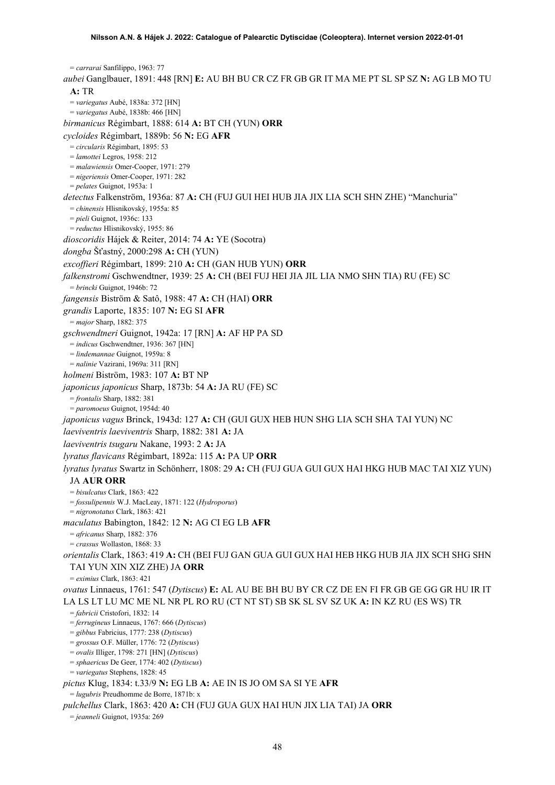= *carrarai* Sanfilippo, 1963: 77 *aubei* Ganglbauer, 1891: 448 [RN] **E:** AU BH BU CR CZ FR GB GR IT MA ME PT SL SP SZ **N:** AG LB MO TU **A:** TR = *variegatus* Aubé, 1838a: 372 [HN] = *variegatus* Aubé, 1838b: 466 [HN] *birmanicus* Régimbart, 1888: 614 **A:** BT CH (YUN) **ORR** *cycloides* Régimbart, 1889b: 56 **N:** EG **AFR** = *circularis* Régimbart, 1895: 53 = *lamottei* Legros, 1958: 212 = *malawiensis* Omer-Cooper, 1971: 279 = *nigeriensis* Omer-Cooper, 1971: 282 = *pelates* Guignot, 1953a: 1 *detectus* Falkenström, 1936a: 87 **A:** CH (FUJ GUI HEI HUB JIA JIX LIA SCH SHN ZHE) "Manchuria" = *chinensis* Hlisnikovský, 1955a: 85 = *pieli* Guignot, 1936c: 133 = *reductus* Hlisnikovský, 1955: 86 *dioscoridis* Hájek & Reiter, 2014: 74 **A:** YE (Socotra) *dongba* Šťastný, 2000:298 **A:** CH (YUN) *excoffieri* Régimbart, 1899: 210 **A:** CH (GAN HUB YUN) **ORR** *falkenstromi* Gschwendtner, 1939: 25 **A:** CH (BEI FUJ HEI JIA JIL LIA NMO SHN TIA) RU (FE) SC = *brincki* Guignot, 1946b: 72 *fangensis* Biström & Satô, 1988: 47 **A:** CH (HAI) **ORR** *grandis* Laporte, 1835: 107 **N:** EG SI **AFR** = *major* Sharp, 1882: 375 *gschwendtneri* Guignot, 1942a: 17 [RN] **A:** AF HP PA SD = *indicus* Gschwendtner, 1936: 367 [HN] = *lindemannae* Guignot, 1959a: 8 = *nalinie* Vazirani, 1969a: 311 [RN] *holmeni* Biström, 1983: 107 **A:** BT NP *japonicus japonicus* Sharp, 1873b: 54 **A:** JA RU (FE) SC = *frontalis* Sharp, 1882: 381 = *paromoeus* Guignot, 1954d: 40 *japonicus vagus* Brinck, 1943d: 127 **A:** CH (GUI GUX HEB HUN SHG LIA SCH SHA TAI YUN) NC *laeviventris laeviventris* Sharp, 1882: 381 **A:** JA *laeviventris tsugaru* Nakane, 1993: 2 **A:** JA *lyratus flavicans* Régimbart, 1892a: 115 **A:** PA UP **ORR** *lyratus lyratus* Swartz in Schönherr, 1808: 29 **A:** CH (FUJ GUA GUI GUX HAI HKG HUB MAC TAI XIZ YUN) JA **AUR ORR** = *bisulcatus* Clark, 1863: 422 = *fossulipennis* W.J. MacLeay, 1871: 122 (*Hydroporus*) = *nigronotatus* Clark, 1863: 421 *maculatus* Babington, 1842: 12 **N:** AG CI EG LB **AFR** = *africanus* Sharp, 1882: 376 = *crassus* Wollaston, 1868: 33 *orientalis* Clark, 1863: 419 **A:** CH (BEI FUJ GAN GUA GUI GUX HAI HEB HKG HUB JIA JIX SCH SHG SHN TAI YUN XIN XIZ ZHE) JA **ORR** = *eximius* Clark, 1863: 421 *ovatus* Linnaeus, 1761: 547 (*Dytiscus*) **E:** AL AU BE BH BU BY CR CZ DE EN FI FR GB GE GG GR HU IR IT LA LS LT LU MC ME NL NR PL RO RU (CT NT ST) SB SK SL SV SZ UK **A:** IN KZ RU (ES WS) TR = *fabricii* Cristofori, 1832: 14 = *ferrugineus* Linnaeus, 1767: 666 (*Dytiscus*) = *gibbus* Fabricius, 1777: 238 (*Dytiscus*) = *grossus* O.F. Müller, 1776: 72 (*Dytiscus*) = *ovalis* Illiger, 1798: 271 [HN] (*Dytiscus*) = *sphaericus* De Geer, 1774: 402 (*Dytiscus*) = *variegatus* Stephens, 1828: 45 *pictus* Klug, 1834: t.33/9 **N:** EG LB **A:** AE IN IS JO OM SA SI YE **AFR** = *lugubris* Preudhomme de Borre, 1871b: x *pulchellus* Clark, 1863: 420 **A:** CH (FUJ GUA GUX HAI HUN JIX LIA TAI) JA **ORR**

= *jeanneli* Guignot, 1935a: 269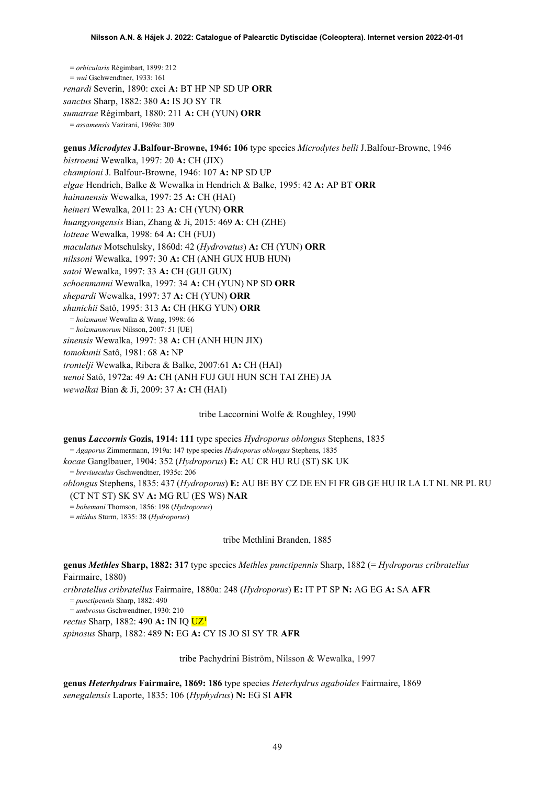= *orbicularis* Régimbart, 1899: 212 = *wui* Gschwendtner, 1933: 161 *renardi* Severin, 1890: cxci **A:** BT HP NP SD UP **ORR** *sanctus* Sharp, 1882: 380 **A:** IS JO SY TR *sumatrae* Régimbart, 1880: 211 **A:** CH (YUN) **ORR** = *assamensis* Vazirani, 1969a: 309

**genus** *Microdytes* **J.Balfour-Browne, 1946: 106** type species *Microdytes belli* J.Balfour-Browne, 1946 *bistroemi* Wewalka, 1997: 20 **A:** CH (JIX) *championi* J. Balfour-Browne, 1946: 107 **A:** NP SD UP *elgae* Hendrich, Balke & Wewalka in Hendrich & Balke, 1995: 42 **A:** AP BT **ORR** *hainanensis* Wewalka, 1997: 25 **A:** CH (HAI) *heineri* Wewalka, 2011: 23 **A:** CH (YUN) **ORR** *huangyongensis* Bian, Zhang & Ji, 2015: 469 **A**: CH (ZHE) *lotteae* Wewalka, 1998: 64 **A:** CH (FUJ) *maculatus* Motschulsky, 1860d: 42 (*Hydrovatus*) **A:** CH (YUN) **ORR** *nilssoni* Wewalka, 1997: 30 **A:** CH (ANH GUX HUB HUN) *satoi* Wewalka, 1997: 33 **A:** CH (GUI GUX) *schoenmanni* Wewalka, 1997: 34 **A:** CH (YUN) NP SD **ORR** *shepardi* Wewalka, 1997: 37 **A:** CH (YUN) **ORR** *shunichii* Satô, 1995: 313 **A:** CH (HKG YUN) **ORR** = *holzmanni* Wewalka & Wang, 1998: 66 = *holzmannorum* Nilsson, 2007: 51 [UE] *sinensis* Wewalka, 1997: 38 **A:** CH (ANH HUN JIX) *tomokunii* Satô, 1981: 68 **A:** NP *trontelji* Wewalka, Ribera & Balke, 2007:61 **A:** CH (HAI) *uenoi* Satô, 1972a: 49 **A:** CH (ANH FUJ GUI HUN SCH TAI ZHE) JA

*wewalkai* Bian & Ji, 2009: 37 **A:** CH (HAI)

tribe Laccornini Wolfe & Roughley, 1990

**genus** *Laccornis* **Gozis, 1914: 111** type species *Hydroporus oblongus* Stephens, 1835

= *Agaporus* Zimmermann, 1919a: 147 type species *Hydroporus oblongus* Stephens, 1835

*kocae* Ganglbauer, 1904: 352 (*Hydroporus*) **E:** AU CR HU RU (ST) SK UK

= *breviusculus* Gschwendtner, 1935c: 206

*oblongus* Stephens, 1835: 437 (*Hydroporus*) **E:** AU BE BY CZ DE EN FI FR GB GE HU IR LA LT NL NR PL RU (CT NT ST) SK SV **A:** MG RU (ES WS) **NAR**

= *bohemani* Thomson, 1856: 198 (*Hydroporus*)

= *nitidus* Sturm, 1835: 38 (*Hydroporus*)

tribe Methlini Branden, 1885

**genus** *Methles* **Sharp, 1882: 317** type species *Methles punctipennis* Sharp, 1882 (= *Hydroporus cribratellus* Fairmaire, 1880)

*cribratellus cribratellus* Fairmaire, 1880a: 248 (*Hydroporus*) **E:** IT PT SP **N:** AG EG **A:** SA **AFR** = *punctipennis* Sharp, 1882: 490

= *umbrosus* Gschwendtner, 1930: 210

*rectus* Sharp, 1882: 490 **A:** IN IQ U[Z1](#page-2-0)

*spinosus* Sharp, 1882: 489 **N:** EG **A:** CY IS JO SI SY TR **AFR**

tribe Pachydrini Biström, Nilsson & Wewalka, 1997

**genus** *Heterhydrus* **Fairmaire, 1869: 186** type species *Heterhydrus agaboides* Fairmaire, 1869 *senegalensis* Laporte, 1835: 106 (*Hyphydrus*) **N:** EG SI **AFR**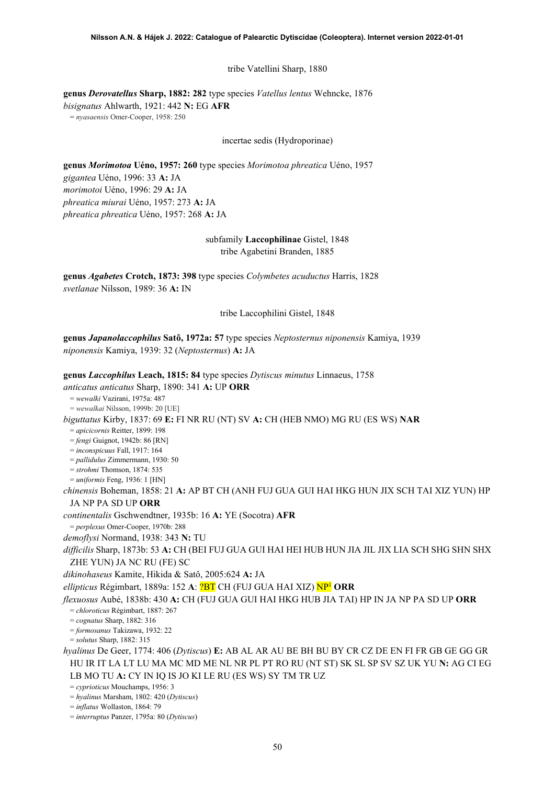tribe Vatellini Sharp, 1880

**genus** *Derovatellus* **Sharp, 1882: 282** type species *Vatellus lentus* Wehncke, 1876 *bisignatus* Ahlwarth, 1921: 442 **N:** EG **AFR**

= *nyasaensis* Omer-Cooper, 1958: 250

incertae sedis (Hydroporinae)

**genus** *Morimotoa* **Uéno, 1957: 260** type species *Morimotoa phreatica* Uéno, 1957 *gigantea* Uéno, 1996: 33 **A:** JA *morimotoi* Uéno, 1996: 29 **A:** JA *phreatica miurai* Uéno, 1957: 273 **A:** JA *phreatica phreatica* Uéno, 1957: 268 **A:** JA

> subfamily **Laccophilinae** Gistel, 1848 tribe Agabetini Branden, 1885

**genus** *Agabetes* **Crotch, 1873: 398** type species *Colymbetes acuductus* Harris, 1828 *svetlanae* Nilsson, 1989: 36 **A:** IN

tribe Laccophilini Gistel, 1848

**genus** *Japanolaccophilus* **Satô, 1972a: 57** type species *Neptosternus niponensis* Kamiya, 1939 *niponensis* Kamiya, 1939: 32 (*Neptosternus*) **A:** JA

**genus** *Laccophilus* **Leach, 1815: 84** type species *Dytiscus minutus* Linnaeus, 1758 *anticatus anticatus* Sharp, 1890: 341 **A:** UP **ORR** = *wewalki* Vazirani, 1975a: 487 = *wewalkai* Nilsson, 1999b: 20 [UE] *biguttatus* Kirby, 1837: 69 **E:** FI NR RU (NT) SV **A:** CH (HEB NMO) MG RU (ES WS) **NAR** = *apicicornis* Reitter, 1899: 198 = *fengi* Guignot, 1942b: 86 [RN] = *inconspicuus* Fall, 1917: 164 = *pallidulus* Zimmermann, 1930: 50 = *strohmi* Thomson, 1874: 535 = *uniformis* Feng, 1936: 1 [HN] *chinensis* Boheman, 1858: 21 **A:** AP BT CH (ANH FUJ GUA GUI HAI HKG HUN JIX SCH TAI XIZ YUN) HP JA NP PA SD UP **ORR** *continentalis* Gschwendtner, 1935b: 16 **A:** YE (Socotra) **AFR** = *perplexus* Omer-Cooper, 1970b: 288 *demoflysi* Normand, 1938: 343 **N:** TU *difficilis* Sharp, 1873b: 53 **A:** CH (BEI FUJ GUA GUI HAI HEI HUB HUN JIA JIL JIX LIA SCH SHG SHN SHX ZHE YUN) JA NC RU (FE) SC *dikinohaseus* Kamite, Hikida & Satô, 2005:624 **A:** JA *ellipticus* Régimbart, 1889a: 152 **A**: ?BT CH (FUJ GUA HAI XIZ) N[P1](#page-2-0) **ORR** *flexuosus* Aubé, 1838b: 430 **A:** CH (FUJ GUA GUI HAI HKG HUB JIA TAI) HP IN JA NP PA SD UP **ORR** = *chloroticus* Régimbart, 1887: 267 = *cognatus* Sharp, 1882: 316 = *formosanus* Takizawa, 1932: 22 = *solutus* Sharp, 1882: 315 *hyalinus* De Geer, 1774: 406 (*Dytiscus*) **E:** AB AL AR AU BE BH BU BY CR CZ DE EN FI FR GB GE GG GR HU IR IT LA LT LU MA MC MD ME NL NR PL PT RO RU (NT ST) SK SL SP SV SZ UK YU **N:** AG CI EG LB MO TU **A:** CY IN IQ IS JO KI LE RU (ES WS) SY TM TR UZ = *cyprioticus* Mouchamps, 1956: 3 = *hyalinus* Marsham, 1802: 420 (*Dytiscus*)

= *inflatus* Wollaston, 1864: 79

= *interruptus* Panzer, 1795a: 80 (*Dytiscus*)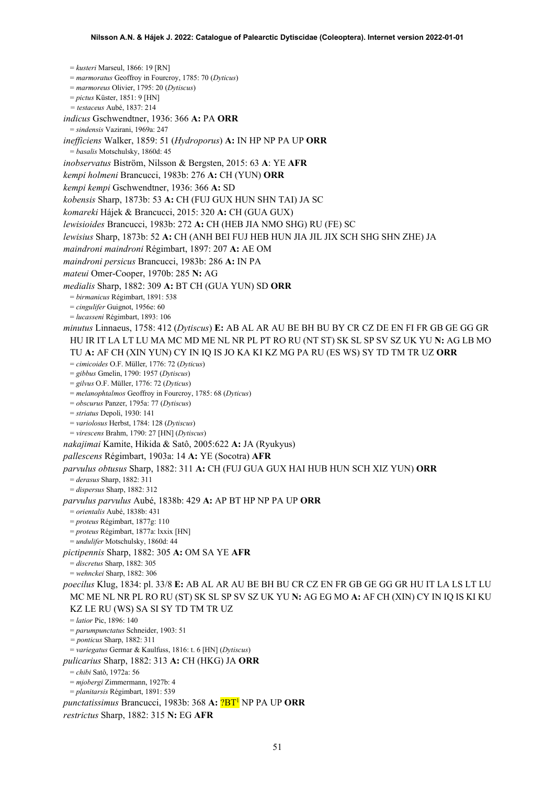= *kusteri* Marseul, 1866: 19 [RN] = *marmoratus* Geoffroy in Fourcroy, 1785: 70 (*Dyticus*) = *marmoreus* Olivier, 1795: 20 (*Dytiscus*) = *pictus* Küster, 1851: 9 [HN] *= testaceus* Aubé, 1837: 214 *indicus* Gschwendtner, 1936: 366 **A:** PA **ORR** = *sindensis* Vazirani, 1969a: 247 *inefficiens* Walker, 1859: 51 (*Hydroporus*) **A:** IN HP NP PA UP **ORR** = *basalis* Motschulsky, 1860d: 45 *inobservatus* Biström, Nilsson & Bergsten, 2015: 63 **A**: YE **AFR** *kempi holmeni* Brancucci, 1983b: 276 **A:** CH (YUN) **ORR** *kempi kempi* Gschwendtner, 1936: 366 **A:** SD *kobensis* Sharp, 1873b: 53 **A:** CH (FUJ GUX HUN SHN TAI) JA SC *komareki* Hájek & Brancucci, 2015: 320 **A:** CH (GUA GUX) *lewisioides* Brancucci, 1983b: 272 **A:** CH (HEB JIA NMO SHG) RU (FE) SC *lewisius* Sharp, 1873b: 52 **A:** CH (ANH BEI FUJ HEB HUN JIA JIL JIX SCH SHG SHN ZHE) JA *maindroni maindroni* Régimbart, 1897: 207 **A:** AE OM *maindroni persicus* Brancucci, 1983b: 286 **A:** IN PA *mateui* Omer-Cooper, 1970b: 285 **N:** AG *medialis* Sharp, 1882: 309 **A:** BT CH (GUA YUN) SD **ORR** = *birmanicus* Régimbart, 1891: 538 = *cingulifer* Guignot, 1956e: 60 = *lucasseni* Régimbart, 1893: 106 *minutus* Linnaeus, 1758: 412 (*Dytiscus*) **E:** AB AL AR AU BE BH BU BY CR CZ DE EN FI FR GB GE GG GR HU IR IT LA LT LU MA MC MD ME NL NR PL PT RO RU (NT ST) SK SL SP SV SZ UK YU **N:** AG LB MO TU **A:** AF CH (XIN YUN) CY IN IQ IS JO KA KI KZ MG PA RU (ES WS) SY TD TM TR UZ **ORR** = *cimicoides* O.F. Müller, 1776: 72 (*Dyticus*) = *gibbus* Gmelin, 1790: 1957 (*Dytiscus*) = *gilvus* O.F. Müller, 1776: 72 (*Dyticus*) = *melanophtalmos* Geoffroy in Fourcroy, 1785: 68 (*Dyticus*) = *obscurus* Panzer, 1795a: 77 (*Dytiscus*) = *striatus* Depoli, 1930: 141 = *variolosus* Herbst, 1784: 128 (*Dytiscus*) = *virescens* Brahm, 1790: 27 [HN] (*Dytiscus*) *nakajimai* Kamite, Hikida & Satô, 2005:622 **A:** JA (Ryukyus) *pallescens* Régimbart, 1903a: 14 **A:** YE (Socotra) **AFR** *parvulus obtusus* Sharp, 1882: 311 **A:** CH (FUJ GUA GUX HAI HUB HUN SCH XIZ YUN) **ORR** = *derasus* Sharp, 1882: 311 = *dispersus* Sharp, 1882: 312 *parvulus parvulus* Aubé, 1838b: 429 **A:** AP BT HP NP PA UP **ORR** = *orientalis* Aubé, 1838b: 431 = *proteus* Régimbart, 1877g: 110 = *proteus* Régimbart, 1877a: lxxix [HN] = *undulifer* Motschulsky, 1860d: 44 *pictipennis* Sharp, 1882: 305 **A:** OM SA YE **AFR** = *discretus* Sharp, 1882: 305 = *wehnckei* Sharp, 1882: 306 *poecilus* Klug, 1834: pl. 33/8 **E:** AB AL AR AU BE BH BU CR CZ EN FR GB GE GG GR HU IT LA LS LT LU MC ME NL NR PL RO RU (ST) SK SL SP SV SZ UK YU **N:** AG EG MO **A:** AF CH (XIN) CY IN IQ IS KI KU KZ LE RU (WS) SA SI SY TD TM TR UZ = *latior* Pic, 1896: 140 = *parumpunctatus* Schneider, 1903: 51 *= ponticus* Sharp, 1882: 311 = *variegatus* Germar & Kaulfuss, 1816: t. 6 [HN] (*Dytiscus*) *pulicarius* Sharp, 1882: 313 **A:** CH (HKG) JA **ORR** = *chibi* Satô, 1972a: 56 = *mjobergi* Zimmermann, 1927b: 4 = *planitarsis* Régimbart, 1891: 539 *punctatissimus* Brancucci, 1983b: 368 **A:** ?B[T1](#page-2-0) NP PA UP **ORR** *restrictus* Sharp, 1882: 315 **N:** EG **AFR**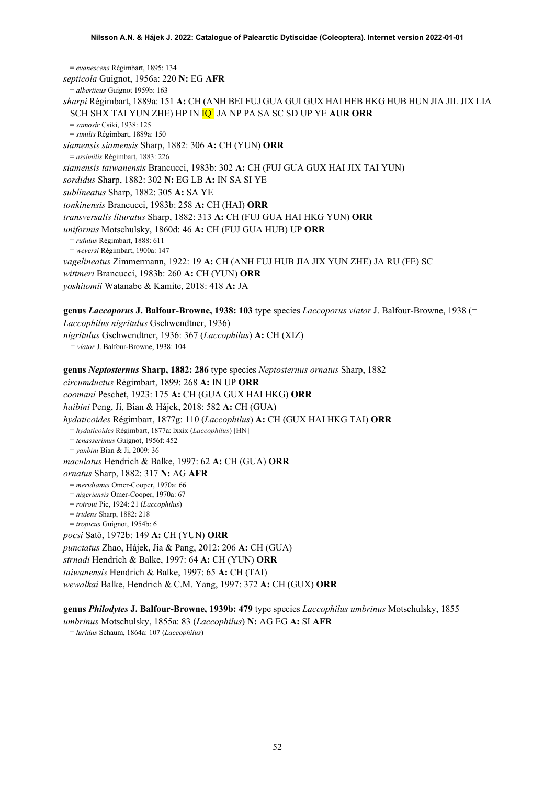= *evanescens* Régimbart, 1895: 134 *septicola* Guignot, 1956a: 220 **N:** EG **AFR** = *alberticus* Guignot 1959b: 163 *sharpi* Régimbart, 1889a: 151 **A:** CH (ANH BEI FUJ GUA GUI GUX HAI HEB HKG HUB HUN JIA JIL JIX LIA SCH SHX TAI YUN ZHE) HP IN I[Q1](#page-2-0) JA NP PA SA SC SD UP YE **AUR ORR** = *samosir* Csiki, 1938: 125 = *similis* Régimbart, 1889a: 150 *siamensis siamensis* Sharp, 1882: 306 **A:** CH (YUN) **ORR** = *assimilis* Régimbart, 1883: 226 *siamensis taiwanensis* Brancucci, 1983b: 302 **A:** CH (FUJ GUA GUX HAI JIX TAI YUN) *sordidus* Sharp, 1882: 302 **N:** EG LB **A:** IN SA SI YE *sublineatus* Sharp, 1882: 305 **A:** SA YE *tonkinensis* Brancucci, 1983b: 258 **A:** CH (HAI) **ORR** *transversalis lituratus* Sharp, 1882: 313 **A:** CH (FUJ GUA HAI HKG YUN) **ORR** *uniformis* Motschulsky, 1860d: 46 **A:** CH (FUJ GUA HUB) UP **ORR** = *rufulus* Régimbart, 1888: 611 = *weyersi* Régimbart, 1900a: 147 *vagelineatus* Zimmermann, 1922: 19 **A:** CH (ANH FUJ HUB JIA JIX YUN ZHE) JA RU (FE) SC *wittmeri* Brancucci, 1983b: 260 **A:** CH (YUN) **ORR** *yoshitomii* Watanabe & Kamite, 2018: 418 **A:** JA

**genus** *Laccoporus* **J. Balfour-Browne, 1938: 103** type species *Laccoporus viator* J. Balfour-Browne, 1938 (= *Laccophilus nigritulus* Gschwendtner, 1936) *nigritulus* Gschwendtner, 1936: 367 (*Laccophilus*) **A:** CH (XIZ)

*= viator* J. Balfour-Browne, 1938: 104

**genus** *Neptosternus* **Sharp, 1882: 286** type species *Neptosternus ornatus* Sharp, 1882 *circumductus* Régimbart, 1899: 268 **A:** IN UP **ORR** *coomani* Peschet, 1923: 175 **A:** CH (GUA GUX HAI HKG) **ORR** *haibini* Peng, Ji, Bian & Hájek, 2018: 582 **A:** CH (GUA) *hydaticoides* Régimbart, 1877g: 110 (*Laccophilus*) **A:** CH (GUX HAI HKG TAI) **ORR** = *hydaticoides* Régimbart, 1877a: lxxix (*Laccophilus*) [HN] = *tenasserimus* Guignot, 1956f: 452 = *yanbini* Bian & Ji, 2009: 36 *maculatus* Hendrich & Balke, 1997: 62 **A:** CH (GUA) **ORR** *ornatus* Sharp, 1882: 317 **N:** AG **AFR** = *meridianus* Omer-Cooper, 1970a: 66 = *nigeriensis* Omer-Cooper, 1970a: 67 = *rotroui* Pic, 1924: 21 (*Laccophilus*) = *tridens* Sharp, 1882: 218 = *tropicus* Guignot, 1954b: 6 *pocsi* Satô, 1972b: 149 **A:** CH (YUN) **ORR** *punctatus* Zhao, Hájek, Jia & Pang, 2012: 206 **A:** CH (GUA) *strnadi* Hendrich & Balke, 1997: 64 **A:** CH (YUN) **ORR** *taiwanensis* Hendrich & Balke, 1997: 65 **A:** CH (TAI) *wewalkai* Balke, Hendrich & C.M. Yang, 1997: 372 **A:** CH (GUX) **ORR**

**genus** *Philodytes* **J. Balfour-Browne, 1939b: 479** type species *Laccophilus umbrinus* Motschulsky, 1855 *umbrinus* Motschulsky, 1855a: 83 (*Laccophilus*) **N:** AG EG **A:** SI **AFR**

= *luridus* Schaum, 1864a: 107 (*Laccophilus*)